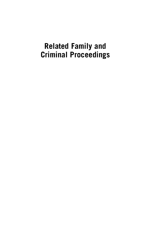# **Related Family and Criminal Proceedings**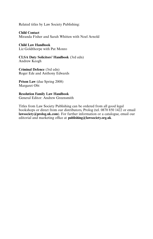Related titles by Law Society Publishing:

**Child Contact** Miranda Fisher and Sarah Whitten with Noel Arnold

**Child Law Handbook** Liz Goldthorpe with Pat Monro

**CLSA Duty Solicitors' Handbook** (3rd edn) Andrew Keogh

**Criminal Defence** (3rd edn) Roger Ede and Anthony Edwards

**Prison Law** (due Spring 2008) Margaret Obi

**Resolution Family Law Handbook** General Editor: Andrew Greensmith

Titles from Law Society Publishing can be ordered from all good legal bookshops or direct from our distributors, Prolog (tel. 0870 850 1422 or email **lawsociety@prolog.uk.com**). For further information or a catalogue, email our editorial and marketing office at **publishing@lawsociety.org.uk**.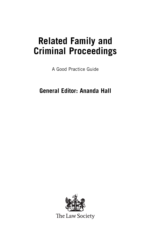# **Related Family and Criminal Proceedings**

A Good Practice Guide

**General Editor: Ananda Hall**

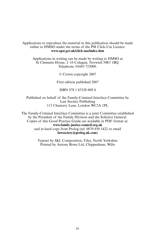Applications to reproduce the material in this publication should be made online to HMSO under the terms of the PSI Click-Use Licence: **www.opsi.gov.uk/click-use/index.htm**

Applications in writing can be made by writing to HMSO at St Clements House, 2–16 Colegate, Norwich NR3 1BQ. Telephone: 01603 723000.

© Crown copyright 2007

First edition published 2007

ISBN 978 1 85328 609 4

Published on behalf of the Family-Criminal Interface Committee by Law Society Publishing 113 Chancery Lane, London WC2A 1PL

The Family-Criminal Interface Committee is a joint Committee established by the President of the Family Division and the Solicitor General. Copies of this Good Practice Guide are available in PDF format at: **www.family-justice-council.org.uk** and in hard copy from Prolog (tel. 0870 850 1422 or email **lawsociety@prolog.uk.com**)

> Typeset by J&L Composition, Filey, North Yorkshire Printed by Antony Rowe Ltd, Chippenham, Wilts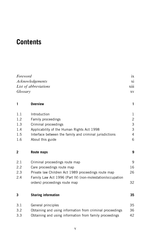# **Contents**

| Foreword                                  |                                                           | 1X |          |
|-------------------------------------------|-----------------------------------------------------------|----|----------|
| Acknowledgements<br>List of abbreviations |                                                           |    |          |
|                                           |                                                           |    | Glossary |
| 1                                         | <b>Overview</b>                                           | 1  |          |
| 1.1                                       | Introduction                                              | 1  |          |
| 1.2                                       | Family proceedings                                        | 2  |          |
| 1.3                                       | Criminal proceedings                                      | 3  |          |
| 1.4                                       | Applicability of the Human Rights Act 1998                | 3  |          |
| 1.5                                       | Interface between the family and criminal jurisdictions   | 4  |          |
| 1.6                                       | About this guide                                          | 6  |          |
| $\overline{2}$                            | Route maps                                                | 9  |          |
| 2.1                                       | Criminal proceedings route map                            | 9  |          |
| 2.2                                       | Care proceedings route map                                | 16 |          |
| 2.3                                       | Private law Children Act 1989 proceedings route map       | 26 |          |
| 2.4                                       | Family Law Act 1996 (Part IV) (non-molestation/occupation |    |          |
|                                           | orders) proceedings route map                             | 32 |          |
| 3                                         | <b>Sharing information</b>                                | 35 |          |
| 3.1                                       | General principles                                        | 35 |          |
| 3.2                                       | Obtaining and using information from criminal proceedings | 36 |          |
| 3.3                                       | Obtaining and using information from family proceedings   | 42 |          |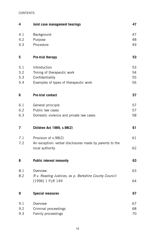### **CONTENTS**

| 4   | Joint case management hearings                                             | 47 |
|-----|----------------------------------------------------------------------------|----|
| 4.1 | Background                                                                 | 47 |
| 4.2 | Purpose                                                                    | 48 |
| 4.3 | Procedure                                                                  | 49 |
| 5   | Pre-trial therapy                                                          | 53 |
| 5.1 | Introduction                                                               | 53 |
| 5.2 | Timing of therapeutic work                                                 | 54 |
| 5.3 | Confidentiality                                                            | 55 |
| 5.4 | Examples of types of therapeutic work                                      | 56 |
| 6   | <b>Pre-trial contact</b>                                                   | 57 |
| 6.1 | General principle                                                          | 57 |
| 6.2 | Public law cases                                                           | 57 |
| 6.3 | Domestic violence and private law cases                                    | 58 |
| 7   | Children Act 1989, s.98(2)                                                 | 61 |
| 7.1 | Provision of s.98(2)                                                       | 61 |
| 7.2 | An exception: verbal disclosures made by parents to the<br>local authority | 62 |
| 8   | <b>Public interest immunity</b>                                            | 63 |
| 8.1 | Overview                                                                   | 63 |
| 8.2 | R v. Reading Justices, ex p. Berkshire County Council<br>[1996] 1 FLR 149  | 64 |
|     |                                                                            |    |
| 9   | <b>Special measures</b>                                                    | 67 |
| 9.1 | Overview                                                                   | 67 |
| 9.2 | Criminal proceedings                                                       | 68 |
| 9.3 | Family proceedings                                                         | 70 |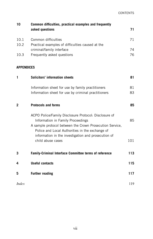| 10                | Common difficulties, practical examples and frequently<br>asked questions                                                                              | 71       |
|-------------------|--------------------------------------------------------------------------------------------------------------------------------------------------------|----------|
| 10.1<br>10.2      | Common difficulties<br>Practical examples of difficulties caused at the                                                                                | 71       |
| 10.3              | criminal/family interface<br>Frequently asked questions                                                                                                | 74<br>76 |
| <b>APPENDICES</b> |                                                                                                                                                        |          |
| 1                 | Solicitors' information sheets                                                                                                                         | 81       |
|                   | Information sheet for use by family practitioners<br>Information sheet for use by criminal practitioners                                               | 81<br>83 |
| $\mathbf{2}$      | <b>Protocols and forms</b>                                                                                                                             | 85       |
|                   | ACPO Police/Family Disclosure Protocol: Disclosure of<br>Information in Family Proceedings<br>A sample protocol between the Crown Prosecution Service, | 85       |
|                   | Police and Local Authorities in the exchange of<br>information in the investigation and prosecution of<br>child abuse cases                            | 101      |
| 3                 | Family-Criminal Interface Committee terms of reference                                                                                                 | 113      |
| 4                 | <b>Useful contacts</b>                                                                                                                                 | 115      |
| 5                 | <b>Further reading</b>                                                                                                                                 | 117      |
| <i>Index</i>      |                                                                                                                                                        | 119      |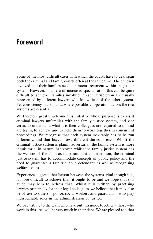# **Foreword**

Some of the most difficult cases with which the courts have to deal span both the criminal and family courts often at the same time. The children involved and their families need consistent treatment within the justice system. However, in an era of increased specialisation this can be quite difficult to achieve. Families involved in each jurisdiction are usually represented by different lawyers who know little of the other system. Yet consistency, liaison and, where possible, cooperation across the two systems are essential.

We therefore greatly welcome this initiative whose purpose is to assist criminal lawyers unfamiliar with the family justice system, and vice versa, to understand what it is their colleagues are required to do and are trying to achieve and to help them to work together in concurrent proceedings. We recognise that each system inevitably has to be run differently, and that lawyers owe different duties in each. Whilst the criminal justice system is plainly adversarial, the family system is more inquisitorial in nature. Moreover, whilst the family justice system has the welfare of the child as its paramount consideration, the criminal justice system has to accommodate concepts of public policy and the need to guarantee a fair trial to a defendant as well as recognising welfare issues.

Experience suggests that liaison between the systems, vital though it is, is more difficult to achieve than it ought to be and we hope that this guide may help to redress that. Whilst it is written by practising lawyers principally for their legal colleagues, we believe that it may also be of use to others – police, social workers and guardians – who play indispensable roles in the administration of justice.

We pay tribute to the team who have put this guide together – those who work in this area will be very much in their debt. We are pleased too that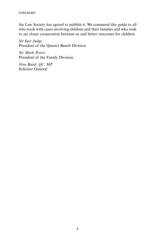the Law Society has agreed to publish it. We commend this guide to all who work with cases involving children and their families and who wish to see closer cooperation between us and better outcomes for children.

*Sir Igor Judge* President of the Queen's Bench Division

*Sir Mark Potter* President of the Family Division

*Vera Baird, QC, MP* Solicitor General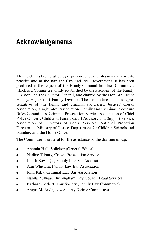# **Acknowledgements**

This guide has been drafted by experienced legal professionals in private practice and at the Bar, the CPS and local government. It has been produced at the request of the Family-Criminal Interface Committee, which is a Committee jointly established by the President of the Family Division and the Solicitor General, and chaired by the Hon Mr Justice Hedley, High Court Family Division. The Committee includes representatives of the family and criminal judiciaries, Justices' Clerks Association, Magistrates' Association, Family and Criminal Procedure Rules Committees, Criminal Prosecution Service, Association of Chief Police Officers, Child and Family Court Advisory and Support Service, Association of Directors of Social Services, National Probation Directorate, Ministry of Justice, Department for Children Schools and Families, and the Home Office.

The Committee is grateful for the assistance of the drafting group:

- Ananda Hall, Solicitor (General Editor)
- Nadine Tilbury, Crown Prosecution Service
- Judith Rowe OC, Family Law Bar Association
- Sam Whittam, Family Law Bar Association
- John Riley, Criminal Law Bar Association
- Nabila Zulfiqar, Birmingham City Council Legal Services
- Barbara Corbett, Law Society (Family Law Committee)
- Angus McBride, Law Society (Crime Committee)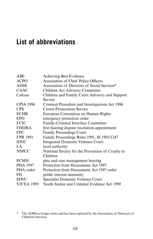# **List of abbreviations**

| ABE               | Achieving Best Evidence                           |
|-------------------|---------------------------------------------------|
| <b>ACPO</b>       | Association of Chief Police Officers              |
| <b>ADSS</b>       | Association of Directors of Social Services*      |
| <b>CAAC</b>       | Children Act Advisory Committee                   |
| Cafcass           | Children and Family Court Advisory and Support    |
|                   | Service                                           |
| <b>CPIA 1996</b>  | Criminal Procedure and Investigations Act 1996    |
| <b>CPS</b>        | Crown Prosecution Service                         |
| <b>ECHR</b>       | European Convention on Human Rights               |
| <b>EPO</b>        | emergency protection order                        |
| <b>FCIC</b>       | Family-Criminal Interface Committee               |
| <b>FHDRA</b>      | first hearing dispute resolution appointment      |
| <b>FPC</b>        | <b>Family Proceedings Court</b>                   |
| <b>FPR 1991</b>   | Family Proceedings Rules 1991, SI 1991/1247       |
| <b>IDVC</b>       | <b>Integrated Domestic Violence Court</b>         |
| $L^A$             | local authority                                   |
| <b>NSPCC</b>      | National Society for the Prevention of Cruelty to |
|                   | Children                                          |
| <b>PCMH</b>       | plea and case management hearing                  |
| PHA 1997          | Protection from Harassment Act 1997               |
| PHA order         | Protection from Harassment Act 1997 order         |
| PH                | public interest immunity                          |
| <b>SDVC</b>       | Specialist Domestic Violence Court                |
| <b>YJCEA 1999</b> | Youth Justice and Criminal Evidence Act 1999      |

<sup>\*</sup> The ADSS no longer exists and has been replaced by the Association of Directors of Children's Services.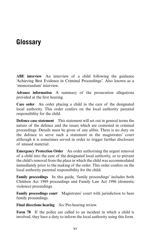## **Glossary**

**ABE interview** An interview of a child following the guidance 'Achieving Best Evidence in Criminal Proceedings'. Also known as a 'memorandum' interview.

**Advance information** A summary of the prosecution allegations provided at the first hearing.

**Care order** An order placing a child in the care of the designated local authority. This order confers on the local authority parental responsibility for the child.

**Defence case statement** This statement will set out in general terms the nature of the defence and the issues which are contested in criminal proceedings. Details must be given of any alibis. There is no duty on the defence to serve such a statement in the magistrates' court although it is sometimes served in order to trigger further disclosure of unused material.

**Emergency Protection Order** An order authorising the urgent removal of a child into the care of the designated local authority, or to prevent the child's removal from the place in which the child was accommodated immediately prior to the making of the order. This order confers on the local authority parental responsibility for the child.

**Family proceedings** In this guide, 'family proceedings' includes both Children Act 1989 proceedings and Family Law Act 1996 (domestic violence) proceedings.

**Family proceedings court** Magistrates' court with jurisdiction to hear family proceedings.

**Final directions hearing** *See* Pre-hearing review.

Form 78 If the police are called to an incident in which a child is involved, they have a duty to inform the local authority using this form.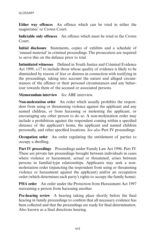**Either way offences** An offence which can be tried in either the magistrates' or Crown Court.

**Indictable only offences** An offence which must be tried in the Crown Court.

**Initial disclosure** Statements, copies of exhibits and a schedule of 'unused material' in criminal proceedings. The prosecution are required to serve this on the defence prior to trial.

**Intimidated witnesses** Defined in Youth Justice and Criminal Evidence Act 1999, s.17 to include those whose quality of evidence is likely to be diminished by reason of fear or distress in connection with testifying in the proceedings, taking into account the nature and alleged circumstances of the offence or their personal circumstances and any behaviour towards them of the accused or associated persons.

#### **Memorandum interview** *See* ABE interview.

**Non-molestation order** An order which usually prohibits the respondent from using or threatening violence against the applicant and any named children, or from harassing or molesting the applicant, or encouraging any other person to do so. A non-molestation order may include a prohibition against the respondent coming within a specified distance of the applicant's home, the applicant and named children personally, and other specified locations. *See also* Part IV proceedings.

**Occupation order** An order regulating the entitlement of parties to occupy a dwelling.

**Part IV proceedings** Proceedings under Family Law Act 1996, Part IV. These are private law proceedings brought between individuals in cases where violence or harassment, actual or threatened, arises between persons in familial-type relationships. Applicants may seek a nonmolestation order (injuncting the respondent from using or threatening violence or harassment against the applicant) and/or an occupation order (which determines each party's rights to occupy the family home).

**PHA order** An order under the Protection from Harassment Act 1997 restraining a person from harassing another.

**Pre-hearing review** A hearing taking place shortly before the final hearing in family proceedings to confirm that all necessary evidence has been collected and that the proceedings are ready for final determination. Also known as a final directions hearing.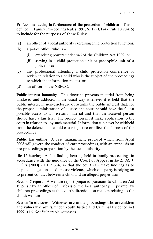**Professional acting in furtherance of the protection of children** This is defined in Family Proceedings Rules 1991, SI 1991/1247, rule 10.20A(5) to include for the purposes of those Rules:

- (a) an officer of a local authority exercising child protection functions,
- (b) a police officer who is
	- (i) exercising powers under s46 of the Children Act 1989, or
	- (ii) serving in a child protection unit or paedophile unit of a police force
- (c) any professional attending a child protection conference or review in relation to a child who is the subject of the proceedings to which the information relates, or
- (d) an officer of the NSPCC.

**Public interest immunity** This doctrine prevents material from being disclosed and adduced in the usual way whenever it is held that the public interest in non-disclosure outweighs the public interest that, for the proper administration of justice, the court should have the fullest possible access to all relevant material and that the accused person should have a fair trial. The prosecution must make application to the court in relation to any such material. Information can never be withheld from the defence if it would cause injustice or affect the fairness of the proceedings.

**Public law outline** A case management protocol which from April 2008 will govern the conduct of care proceedings, with an emphasis on pre-proceedings preparation by the local authority.

**'Re L' hearing** A fact-finding hearing held in family proceedings in accordance with the guidance of the Court of Appeal in *Re L, M, V and H* [2000] 2 FLR 334, so that the court can make findings as to disputed allegations of domestic violence, which one party is relying on to prevent contact between a child and an alleged perpetrator.

**Section 7 report** A welfare report prepared pursuant to Children Act 1989, s.7 by an officer of Cafcass or the local authority, in private law children proceedings at the court's direction, on matters relating to the child's welfare.

**Section 16 witnesses** Witnesses in criminal proceedings who are children and vulnerable adults, under Youth Justice and Criminal Evidence Act 1999, s.16. *See* Vulnerable witnesses.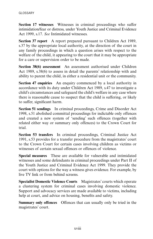**Section 17 witnesses** Witnesses in criminal proceedings who suffer intimidation/fear or distress, under Youth Justice and Criminal Evidence Act 1999, s.17. *See* Intimidated witnesses.

**Section 37 report** A report prepared pursuant to Children Act 1989. s.37 by the appropriate local authority, at the direction of the court in any family proceedings in which a question arises with respect to the welfare of the child, it appearing to the court that it may be appropriate for a care or supervision order to be made.

**Section 38(6) assessment** An assessment authorised under Children Act 1989, s.38(6) to assess in detail the parents' relationship with and ability to parent the child, in either a residential unit or the community.

**Section 47 enquiries** An enquiry commenced by a local authority in accordance with its duty under Children Act 1989, s.47 to investigate a child's circumstances and safeguard the child's welfare in any case where there is reasonable cause to suspect that the child is suffering, or likely to suffer, significant harm.

**Section 51 sendings** In criminal proceedings, Crime and Disorder Act 1998, s.51 abolished committal proceedings for indictable only offences and created a new system of 'sending' such offences (together with related either way or summary only offences) to the Crown Court for trial.

**Section 53 transfers** In criminal proceedings, Criminal Justice Act 1991, s.53 provides for a transfer procedure from the magistrates' court to the Crown Court for certain cases involving children as victims or witnesses of certain sexual offences or offences of violence.

**Special measures** These are available for vulnerable and intimidated witnesses and some defendants in criminal proceedings under Part II of the Youth Justice and Criminal Evidence Act 1999. They provide the court with options for the way a witness gives evidence. For example, by live TV link or from behind screens.

**Specialist Domestic Violence Courts** Magistrates' courts which operate a clustering system for criminal cases involving domestic violence. Support and advocacy services are made available to victims, including help at court, and advice on housing, benefits and safety.

**Summary only offences** Offences that can usually only be tried in the magistrates' court.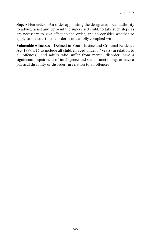**Supervision order** An order appointing the designated local authority to advise, assist and befriend the supervised child, to take such steps as are necessary to give effect to the order, and to consider whether to apply to the court if the order is not wholly complied with.

**Vulnerable witnesses** Defined in Youth Justice and Criminal Evidence Act 1999, s.16 to include all children aged under 17 years (in relation to all offences), and adults who suffer from mental disorder; have a significant impairment of intelligence and social functioning; or have a physical disability or disorder (in relation to all offences).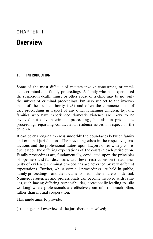## CHAPTER 1

# **Overview**

### **1.1 INTRODUCTION**

Some of the most difficult of matters involve concurrent, or imminent, criminal and family proceedings. A family who has experienced the suspicious death, injury or other abuse of a child may be not only the subject of criminal proceedings, but also subject to the involvement of the local authority (LA) and often the commencement of care proceedings in respect of any other remaining children. Equally, families who have experienced domestic violence are likely to be involved not only in criminal proceedings, but also in private law proceedings regarding contact and residence issues in respect of the children.

It can be challenging to cross smoothly the boundaries between family and criminal jurisdictions. The prevailing ethos in the respective jurisdictions and the professional duties upon lawyers differ widely consequent upon the differing expectations of the court in each jurisdiction. Family proceedings are, fundamentally, conducted upon the principles of openness and full disclosure, with fewer restrictions on the admissibility of evidence. Criminal proceedings are governed by very different expectations. Further, whilst criminal proceedings are held in public, family proceedings – and the documents filed in them – are confidential. Numerous agencies and professionals can become involved with families, each having differing responsibilities, occasionally leading to 'silo working' where professionals are effectively cut off from each other, rather than mutual cooperation.

This guide aims to provide:

(a) a general overview of the jurisdictions involved;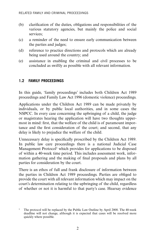- (b) clarification of the duties, obligations and responsibilities of the various statutory agencies, but mainly the police and social services;
- (c) a reminder of the need to ensure early communication between the parties and judges;
- (d) reference to practice directions and protocols which are already being used around the country; and
- (e) assistance in enabling the criminal and civil processes to be concluded as swiftly as possible with all relevant information.

### **1.2 FAMILY PROCEEDINGS**

In this guide, 'family proceedings' includes both Children Act 1989 proceedings and Family Law Act 1996 (domestic violence) proceedings.

Applications under the Children Act 1989 can be made privately by individuals, or by public local authorities, and in some cases the NSPCC. In every case concerning the upbringing of a child, the judge or magistrates hearing the application will have two thoughts uppermost in mind: first, that the welfare of the child is of paramount importance and the first consideration of the court; and second, that any delay is likely to prejudice the welfare of the child.

Unnecessary delay is specifically proscribed by the Children Act 1989. In public law care proceedings there is a national Judicial Case Management Protocol<sup>1</sup> which provides for applications to be disposed of within a 40-week time period. This includes assessment work, information gathering and the making of final proposals and plans by all parties for consideration by the court.

There is an ethos of full and frank disclosure of information between the parties in Children Act 1989 proceedings. Parties are obliged to provide the court with all relevant information which may impact on the court's determination relating to the upbringing of the child, regardless of whether or not it is harmful to that party's case. Hearsay evidence

<sup>&</sup>lt;sup>1</sup> The protocol will be replaced by the Public Law Outline by April 2008. The 40-week deadline will not change, although it is expected that cases will be resolved more quickly where possible.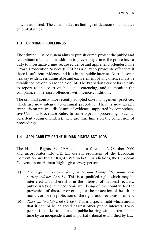may be admitted. The court makes its findings or decision on a balance of probabilities.

### **1.3 CRIMINAL PROCEEDINGS**

The criminal justice system aims to punish crime, protect the public and rehabilitate offenders. In addition to preventing crime, the police have a duty to investigate crime, secure evidence and apprehend offenders. The Crown Prosecution Service (CPS) has a duty to prosecute offenders if there is sufficient evidence and it is in the public interest. At trial, some hearsay evidence is admissible and each element of any offence must be established beyond reasonable doubt. The Probation Service has a duty to report to the court on bail and sentencing, and to monitor the compliance of released offenders with licence conditions.

The criminal courts have recently adopted case management practices, which are now integral to criminal procedure. There is now greater emphasis on pre-trial disclosure of evidence, supported by comprehensive Criminal Procedure Rules. In some types of proceedings (such as persistent young offenders), there are time limits on the conclusion of proceedings.

### **1.4 APPLICABILITY OF THE HUMAN RIGHTS ACT 1998**

The Human Rights Act 1998 came into force on 2 October 2000 and incorporates into UK law certain provisions of the European Convention on Human Rights. Within both jurisdictions, the European Convention on Human Rights gives every person:

- (a) *The right to respect for private and family life, home and correspondence (Art.8).* This is a qualified right which may be interfered with where it is in the interests of national security, public safety or the economic well being of the country, for the prevention of disorder or crime, for the protection of health or morals, or for the protection of the rights and freedoms of others.
- (b) *The right to a fair trial (Art.6).* This is a special right which means that it cannot be balanced against other public interests. Every person is entitled to a fair and public hearing within a reasonable time by an independent and impartial tribunal established by law.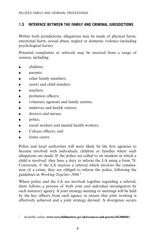### **1.5 INTERFACE BETWEEN THE FAMILY AND CRIMINAL JURISDICTIONS**

Within both jurisdictions, allegations may be made of physical harm, emotional harm, sexual abuse, neglect or domestic violence (including psychological harm).

Potential complaints or referrals may be received from a range of sources, including:

- children:
- parents;
- other family members;
- carers and child minders;
- teachers;
- probation officers;
- voluntary agencies and family centres;
- midwives and health visitors:
- doctors and nurses:
- police:
- social workers and mental health workers:
- Cafcass officers; and
- foster carers.

Police and local authorities will most likely be the first agencies to become involved with individuals, children or families where such allegations are made. If the police are called to an incident in which a child is involved, they have a duty to inform the LA using a form 78. Conversely, if the LA receives a referral which involves the commission of a crime, they are obliged to inform the police, following the guidelines in *Working Together 2006.*<sup>2</sup>

Where police and the LA are involved together regarding a referral, there follows a process of both *joint* and *individual* investigation by each statutory agency. A joint strategy meeting or meetings will be held by the key officers from each agency to ensure that joint working is effectively achieved and a joint strategy devised. A divergence occurs

<sup>2</sup> Available online (**www.everychildmatters.gov.uk/resources-and-practice/IG00060/**).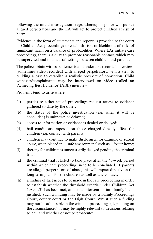following the initial investigation stage, whereupon police will pursue alleged perpetrators and the LA will act to protect children at risk of harm.

Evidence in the form of statements and reports is provided to the court in Children Act proceedings to establish risk, or likelihood of risk, of significant harm on a balance of probabilities. Where LAs initiate care proceedings, there is a duty to promote reasonable contact, which may be supervised and in a neutral setting, between children and parents.

The police obtain witness statements and undertake recorded interviews (sometimes video recorded) with alleged perpetrators, with a view to building a case to establish a realistic prospect of conviction. Child witnesses/complainants may be interviewed on video (called an 'Achieving Best Evidence' (ABE) interview).

Problems tend to arise where:

- (a) parties to either set of proceedings request access to evidence gathered to date by the other;
- (b) the status of the police investigation (e.g. when it will be concluded) is unknown or delayed;
- (c) access to information or evidence is denied or delayed;
- (d) bail conditions imposed on those charged directly affect the children (e.g. contact with parents);
- (e) children may continue to make disclosures, for example of sexual abuse, when placed in a 'safe environment' such as a foster home;
- (f) therapy for children is unnecessarily delayed pending the criminal trial;
- (g) the criminal trial is listed to take place after the 40-week period within which care proceedings need to be concluded. If parents are alleged perpetrators of abuse, this will impact directly on the long-term plans for the children as well as any contact;
- (h) a finding of fact needs to be made in the care proceedings in order to establish whether the threshold criteria under Children Act 1989, s.31 has been met, and state intervention into family life is justified. Such a finding may be made by a Family Proceedings Court, county court or the High Court. Whilst such a finding may not be admissible in the criminal proceedings (depending on the circumstances), it may be highly relevant to decisions relating to bail and whether or not to prosecute;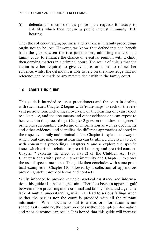(i) defendants' solicitors or the police make requests for access to LA files which then require a public interest immunity (PII) hearing.

The ethos of encouraging openness and frankness in family proceedings ought not to be lost. However, we know that defendants can benefit from the gap between the two jurisdictions, admitting matters in a family court to enhance the chance of eventual reunion with a child, then denying matters in a criminal court. The result of this is that the victim is either required to give evidence, or is led to retract her evidence, whilst the defendant is able to rely on the knowledge that no reference can be made to any matters dealt with in the family court.

### **1.6 ABOUT THIS GUIDE**

This guide is intended to assist practitioners and the court in dealing with such issues. **Chapter 2** begins with 'route maps' to each of the relevant jurisdictions, including an overview of the hearings one can expect to take place, and the documents and other evidence one can expect to be created in the proceedings. **Chapter 3** goes on to address the general principles surrounding disclosure of information as well as documents and other evidence, and identifies the different approaches adopted in the respective family and criminal fields. **Chapter 4** explains the way in which joint case management hearings can be utilised effectively to deal with concurrent proceedings. **Chapters 5** and **6** explore the specific issues which arise in relation to pre-trial therapy and pre-trial contact. **Chapter 7** explains the effect of s.98(2) of the Children Act 1989, **Chapter 8** deals with public interest immunity and **Chapter 9** explores the use of special measures. The guide then concludes with some practical examples in **Chapter 10**, followed by a collection of appendices providing useful protocol forms and contacts.

Whilst intended to provide valuable practical assistance and information, this guide also has a higher aim. There has been an apparent gulf between those practising in the criminal and family fields, and a genuine lack of mutual understanding, which can lead to serious failings when neither the parties nor the court is provided with all the relevant information. When documents fail to arrive, or information is not shared as it should be, the court proceeds without complete information and poor outcomes can result. It is hoped that this guide will increase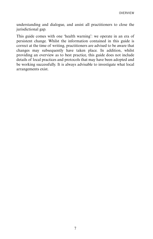understanding and dialogue, and assist all practitioners to close the jurisdictional gap.

This guide comes with one 'health warning': we operate in an era of persistent change. Whilst the information contained in this guide is correct at the time of writing, practitioners are advised to be aware that changes may subsequently have taken place. In addition, whilst providing an overview as to best practice, this guide does not include details of local practices and protocols that may have been adopted and be working successfully. It is always advisable to investigate what local arrangements exist.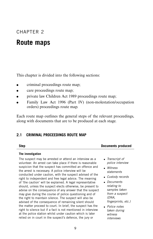## CHAPTER 2

# **Route maps**

This chapter is divided into the following sections:

- criminal proceedings route map;
- care proceedings route map;
- private law Children Act 1989 proceedings route map;
- Family Law Act 1996 (Part IV) (non-molestation/occupation orders) proceedings route map.

Each route map outlines the general steps of the relevant proceedings, along with documents that are to be produced at each stage.

#### **2.1 CRIMINAL PROCEEDINGS ROUTE MAP**

#### **Step Contracts and Step Contracts produced Documents produced**

#### **The investigation**

The suspect may be arrested or attend an interview as a volunteer. An arrest can take place if there is reasonable suspicion that the suspect has committed an offence and the arrest is necessary. A police interview will be conducted under caution, with the suspect advised of the right to independent and free legal advice. The meaning of 'the caution' will be explained. A legal representative should, unless the suspect elects otherwise, be present to advise on the consequence of any answer that the suspect may give during the course of police questioning and of the right to maintain silence. The suspect will also be advised of the consequence of remaining silent should the matter proceed to court. In brief, the suspect has the right to silence but if a fact is not mentioned in interview at the police station whilst under caution which is later relied on in court in the suspect's defence, the jury or

- Transcript of police interview
- Witness statements
- Custody records
- Documents relating to samples taken from a suspect (DNA, fingerprints, etc.)
- Police notes taken during witness interviews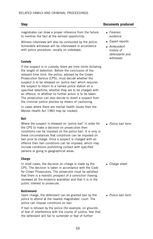#### RELATED FAMILY AND CRIMINAL PROCEEDINGS

magistrates can draw a proper inference from the failure to mention the fact at the earliest opportunity.

Witness interviews will also be conducted by the police. Vulnerable witnesses will be interviewed in accordance with police procedure, usually on videotape.

#### **Custody**

If the suspect is in custody, there are time limits dictating the length of detention. Before the conclusion of the relevant time limit, the police, advised by the Crown Prosecution Service (CPS), must decide whether the suspect is to be released on 'police bail' which requires the suspect to return to a named police station on a specified date/time, whether they are to be charged with an offence, or whether no further action is to be taken. The prosecution can also decide to divert a suspect from the criminal justice process by means of cautioning.

In cases where there are mental health issues then the Mental Health Act 1983 may be invoked.

#### **Bail**

Where the suspect is released on 'police bail' in order for the CPS to make a decision on prosecution then conditions can be imposed on the police bail. It is only in these circumstances that conditions can be imposed on bail prior to charge. Once a suspect is charged with an offence then bail conditions can be imposed, which may include conditions prohibiting contact with specified persons or going to geographical areas.

#### **Charge**

In most cases, the decision on charge is made by the CPS. The decision is taken in accordance with the Code for Crown Prosecutors. The prosecutor must be satisfied that there is a realistic prospect of a conviction (having reviewed all the evidence available) and that it is in the public interest to prosecute.

#### **Bail/remand**

Upon charge, the defendant can be granted bail by the police to attend at the nearest magistrates' court. The police can impose conditions on bail.

If bail is refused by the police (for example, on grounds of fear of interference with the course of justice, fear that the defendant will fail to surrender or fear of further

#### **Step 2008 Contract Contract Contract Contract Contract Contract Contract Contract Contract Contract Contract Contract Contract Contract Contract Contract Contract Contract Contract Contract Contract Contract Contract Co**

- $F$ orensic evidence
- Expert reports
- Antecedent history of defendants and witnesses

• Police bail form

• Charge sheet

● Police bail form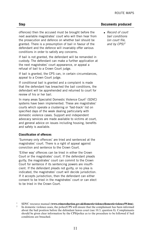offences) then the accused must be brought before the next available magistrates' court who will then hear from the prosecution and defence on whether bail should be granted. There is a presumption of bail in favour of the defendant and the defence will invariably offer various conditions in order to satisfy any concerns.

If bail is not granted, the defendant will be remanded in custody. The defendant can make a further application at the next magistrates' court appearance, or appeal a refusal of bail to a Crown Court judge.

If bail is granted, the CPS can, in certain circumstances, appeal to a Crown Court judge.

If conditional bail is granted and a complaint is made that the defendant has breached the bail conditions, the defendant will be apprehended and returned to court for review of his or her bail.

In many areas Specialist Domestic Violence Court<sup>1</sup> (SDVC) systems have been implemented. These are magistrates' courts which operate a clustering or 'fast-track' list on specified days of the week dealing particularly with domestic violence cases. Support and independent advocacy services are made available to victims at court, and general advice on issues including housing, benefits and safety is available.

#### **Classification of offences**

'Summary only offences' are tried and sentenced at the magistrates' court. There is a right of appeal against conviction and sentence to the Crown Court.

'Either way' offences can be tried in either the Crown Court or the magistrates' court. If the defendant pleads guilty, the magistrates' court can commit to the Crown Court for sentence if its sentencing powers are insufficient. If the defendant pleads not guilty, or no plea is indicated, the magistrates' court will decide jurisdiction. If it accepts jurisdiction, then the defendant can either consent to be tried in the magistrates' court or can elect to be tried in the Crown Court.

 $\bullet$  Record of court bail conditions (on court file, and by CPS)<sup>2</sup>

<sup>1</sup> SDVC resource manual (**www.crimereduction.gov.uk/domesticviolence/domesticviolence59.htm**).

<sup>2</sup> In domestic violence cases, the police/CPS will ensure that the complainant has been informed about the bail position before the defendant leaves court (see 10.3, question 8). Complainants should be given clear information by the CPS/police as to the procedure to be followed if bail conditions are breached.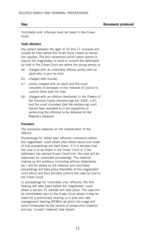'Indictable only' offences must be heard in the Crown Court.

#### **Youth offenders**

Any person between the ages of 10 and 17 inclusive will usually be tried before the Youth Court unless an exception applies. The four exceptions which either permit or require the magistrates to send or commit the defendant for trial in the Crown Court are where the young person is:

- (a) charged with an indictable offence jointly with an adult who is sent for trial;
- (b) charged with murder;
- (c) jointly charged with an adult and the court considers it necessary in the interests of justice to commit them both for trial;
- (d) charged with an offence mentioned in the Powers of the Criminal Courts (Sentencing) Act 2000, s.91, and the court considers that the sentencing court should have available to it the possibility of sentencing the offender to be detained at Her Majesty's pleasure.

#### **Procedure**

The procedure depends on the classification of the offence.

Proceedings for 'either way' offences commence before the magistrates' court where plea before venue and mode of trial proceedings will take place. If it is decided that the case is to be heard in the Crown Court or if the defendant has elected Crown Court trial, the case will be adjourned for committal proceedings. The material making up the evidence (including witness statements, etc.) will be served on the defence and committal proceedings will take place thereafter at the magistrates' court which will then formally commit the case for trial to the Crown Court.

In proceedings for 'indictable only' offences, the first hearing will take place before the magistrates' court where a section 51 transfer will take place. The case will be immediately sent to the Crown Court where it may be listed for a preliminary hearing, or a plea and case management hearing (PCMH) (at which the judge will direct timescales for the service of prosecution material and any 'unused' material) (see below).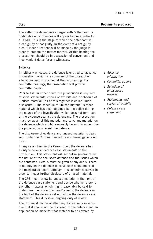Thereafter the defendants charged with 'either way' or 'indictable only' offences will appear before a judge for a PCMH. This is the stage at which the defendant will plead guilty or not guilty. In the event of a not guilty plea, further directions will be made by the judge in order to prepare the matter for trial. At this hearing the prosecution should be in possession of convenient and inconvenient dates for any witnesses.

#### **Evidence**

In 'either way' cases, the defence is entitled to 'advance information', which is a summary of the prosecution allegations and is provided at the first hearing. For committal hearings, the prosecution will provide committal papers.

Prior to trial in either court, the prosecution is required to serve statements, copies of exhibits and a schedule of 'unused material' (all of this together is called 'initial disclosure'). The schedule of unused material is other material which has been obtained by the police during the course of the investigation which does not form part of the evidence against the defendant. The prosecution must review all of this material and serve any material on the defence which might reasonably be said to undermine the prosecution or assist the defence.

The disclosure of evidence and unused material is dealt with under the Criminal Procedure and Investigations Act 1996.

In any cases tried in the Crown Court the defence has a duty to serve a 'defence case statement' on the prosecution. This statement will set out in general terms the nature of the accused's defence and the issues which are contested. Details must be given of any alibis. There is no duty on the defence to serve such a statement in the magistrates' court, although it is sometimes served in order to trigger further disclosure of unused material.

The CPS must review its unused material in the light of the defence case statement and decide whether there is any other material which might reasonably be said to undermine the prosecution and/or assist the defence in the light of the defence set out within the defence case statement. This duty is an ongoing duty of review.

The CPS must decide whether any disclosure is so sensitive that it should not be disclosed to the defence and an application be made for that material to be covered by

#### **Step 2008 Contract Step 2008 Documents produced**

- $\triangle$  Advance information
- Committal papers
- Schedule of undisclosed material
- Statements and copies of exhibits
- Defence case statement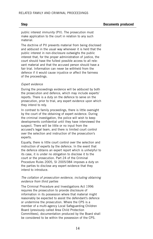#### **Step 2008 Contract Contract Contract Contract Contract Contract Contract Contract Contract Contract Contract Contract Contract Contract Contract Contract Contract Contract Contract Contract Contract Contract Contract Co**

public interest immunity (PII). The prosecution must make application to the court in relation to any such material.

The doctrine of PII prevents material from being disclosed and adduced in the usual way whenever it is held that the public interest in non-disclosure outweighs the public interest that, for the proper administration of justice, the court should have the fullest possible access to all relevant material and that the accused person should have a fair trial. Information can never be withheld from the defence if it would cause injustice or affect the fairness of the proceedings.

#### Expert evidence

During the proceedings evidence will be adduced by both the prosecution and defence, which may include experts' reports. There is a duty on the defence to serve on the prosecution, prior to trial, any expert evidence upon which they intend to rely.

In contrast to family proceedings, there is little oversight by the court of the obtaining of expert evidence. During the criminal investigation, the police will wish to keep developments confidential until they have interviewed the suspect. There will be little or no input from the accused's legal team, and there is limited court control over the selection and instruction of the prosecution's experts.

Equally, there is little court control over the selection and instruction of experts by the defence. In the event that the defence obtains an expert report which is unhelpful to its case, it is under no obligation to disclose it to the court or the prosecution. Part 24 of the Criminal Procedure Rules 2005, SI 2005/384 imposes a duty on the parties to disclose any expert evidence that they intend to introduce.

#### The collation of prosecution evidence, including obtaining evidence from third parties

The Criminal Procedure and Investigations Act 1996 requires the prosecution to provide disclosure of information in its possession where that material might reasonably be expected to assist the defendant's defence or undermine the prosecution. Where the CPS is a member of a multi-agency Local Safeguarding Children Board (previously called Area Child Protection Committees), documentation produced by the Board shall be considered to be within the possession of the CPS.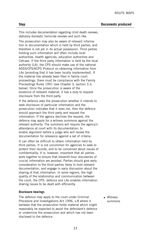This includes documentation regarding child death reviews, statutory domestic homicide reviews and such like.

The prosecution may also be aware of relevant information or documentation which is held by third parties, and therefore is not yet in its actual possession. Third parties holding such information will often include local authorities, health agencies, education authorities and Cafcass. If the third party information is held by the local authority (LA), the CPS should make use of the national ADSS/CPS/ACPO Protocol on obtaining information from LAs (providing that it has been locally implemented). If the material has already been filed in family court proceedings, there must be compliance with the Family Proceedings Rules 1991 (see Chapter 3, section 3.3, below). Once the prosecution is aware of the existence of relevant material, it has a duty to request disclosure from the third party.

If the defence asks the prosecution whether it intends to seek disclosure of particular information and the prosecution indicates that it does not, then the defence should approach the third party and request the information. If the agency declines the request, the defence may apply for a witness summons against the relevant authority. The summons will require the agency's attendance at court with its documentation, to enable argument before a judge who will review the documentation for relevance against a set of criteria.

It can often be difficult to obtain information held by third parties. It is not uncommon for agencies to seek to protect their records, and to be concerned about issues of confidentiality. It is, however, important that all parties work together to ensure that eleventh-hour discoveries of crucial information are avoided. Parties should give early consideration to the third parties likely to hold relevant documentation, and engage in early discussion about the sharing of that information. In some regions, the high quality of the relationship and communication between the court, the CPS, defence and LAs enables information sharing issues to be dealt with efficiently.

#### **Disclosure hearings**

The defence may apply to the court under Criminal Procedure and Investigations Act 1996, s.8 where it believes that the prosecution holds material which might reasonably be expected to assist the defendant's defence or undermine the prosecution and which has not been disclosed to the defence.

● Witness summons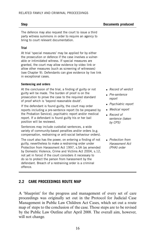The defence may also request the court to issue a third party witness summons in order to require an agency to bring to court relevant documentation.

#### **Trial**

At trial 'special measures' may be applied for by either the prosecution or defence if the case involves a vulnerable or intimidated witness. If special measures are granted, the court may allow evidence by video link or allow other measures (such as screening of witnesses) (see Chapter 9). Defendants can give evidence by live link in exceptional cases.

#### **Sentencing and orders**

At the conclusion of the trial, a finding of guilty or not guilty will be made. The burden of proof is on the prosecution to prove the case to the required standard of proof which is 'beyond reasonable doubt'.

If the defendant is found guilty, the court may order reports including a pre-sentence report (to be prepared by the Probation Service), psychiatric report and/or medical report. If a defendant is found guilty his or her bail position will be reviewed.

Sentences may include custodial sentences, a wide variety of community-based penalties and/or orders (e.g. compensation, restraining or anti-social behaviour orders).

The court also has the power, on entering a finding of not guilty, nevertheless to make a restraining order under Protection from Harassment Act 1997, s.5A (as amended by Domestic Violence, Crime and Victims Act 2004, s.12, not yet in force) if the court considers it necessary to do so to protect the person from harassment by the defendant. Breach of a restraining order is a criminal offence.

- Record of verdict
- Pre-sentence report
- Psychiatric report
- Medical report
- $\bullet$  Record of sentence (taken by CPS)
- Protection from Harassment Act (PHA) order

### **2.2 CARE PROCEEDINGS ROUTE MAP**

A 'blueprint' for the progress and management of every set of care proceedings was originally set out in the Protocol for Judicial Case Management in Public Law Children Act Cases, which set out a route map of steps to the conclusion of the case. Those steps are to be revised by the Public Law Outline after April 2008. The overall aim, however, will not change.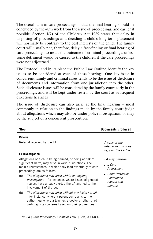The overall aim in care proceedings is that the final hearing should be concluded by the 40th week from the issue of proceedings, and earlier if possible. Section 1(2) of the Children Act 1989 states that delay in disposing of proceedings and deciding a child's long-term placement will normally be contrary to the best interests of the child. The family court will usually not, therefore, delay a fact-finding or final hearing of care proceedings to await the outcome of criminal proceedings, unless some detriment would be caused to the children if the care proceedings were not adjourned.<sup>3</sup>

The Protocol, and in its place the Public Law Outline, identify the key issues to be considered at each of these hearings. One key issue in concurrent family and criminal cases tends to be the issue of disclosure of documents and information from one jurisdiction into the other. Such disclosure issues will be considered by the family court early in the proceedings, and will be kept under review by the court at subsequent directions hearings.

The issue of disclosure can also arise at the final hearing – most commonly in relation to the findings made by the family court judge about allegations which may also be under police investigation, or may be the subject of a concurrent prosecution.

| <b>Step</b>                  | <b>Documents produced</b>                                     |
|------------------------------|---------------------------------------------------------------|
| Referral                     |                                                               |
| Referral received by the LA. | A copy of the<br>referral form will be<br>kept on the LA file |
| LA investigation             |                                                               |

Allegations of a child being harmed, or being at risk of significant harm, may arise in various situations. The main circumstances in which they lead eventually to care proceedings are as follows:

- (a) The allegations may arise within an ongoing investigation – for instance, where issues of general neglect have already alerted the LA and led to the involvement of the LA.
- (b) The allegations may arise without any history at all *–* for instance, where a parent complains to the authorities; where a teacher, a doctor or other third party reports concerns based on their professional

LA may prepare:

- a Core Assessment
- Child Protection Conference reports and minutes

<sup>3</sup> *Re TB (Care Proceedings: Criminal Trial)* [1995] 2 FLR 801.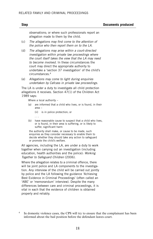#### **Step 2008 Contract Step 2008 Documents produced**

observations; or where such professionals report an allegation made to them by the child.

- (c) The allegations may first come to the attention of the police who then report them on to the LA.
- (d) The allegations may arise within a court-directed investigation within private law proceedings where the court itself takes the view that the LA may need to become involved. In these circumstances the court may direct the appropriate authority to undertake a 'section 37 investigation' of the child's circumstances.4
- (e) Allegations may come to light during enquiries undertaken by Cafcass in private law proceedings.

The LA is under a duty to investigate all child protection allegations it receives. Section 47(1) of the Children Act 1989 says:

Where a local authority –

...

- (a) are informed that a child who lives, or is found, in their area –
	- (ii) is in police protection; or
- (b) have reasonable cause to suspect that a child who lives, or is found, in their area is suffering, or is likely to suffer, significant harm

the authority shall make, or cause to be made, such enquiries as they consider necessary to enable them to decide whether they should take any action to safeguard or promote the child's welfare.

All agencies, including the LA, are under a duty to work together when carrying out an investigation (including education, health authorities and the police): Working Together to Safeguard Children (2006).

Where the allegation relates to a criminal offence, there will be joint police and LA components to the investigation. Any interview of the child will be carried out jointly by police and the LA following the guidance 'Achieving Best Evidence in Criminal Proceedings' (often called an 'ABE' or 'memorandum' interview). Despite the many differences between care and criminal proceedings, it is vital in each that the evidence of children is obtained properly and reliably.

In domestic violence cases, the CPS will try to ensure that the complainant has been informed about the bail position before the defendant leaves court.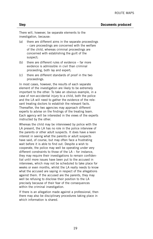There will, however, be separate elements to the investigation, because:

- (a) there are different aims in the separate proceedings – care proceedings are concerned with the welfare of the child, whereas criminal proceedings are concerned with establishing the guilt of the suspect;
- (b) there are different rules of evidence far more evidence is admissible in civil than criminal proceeding, both lay and expert;
- (c) there are different standards of proof in the two proceedings.

In most cases, however, the results of each separate element of the investigation are likely to be extremely important to the other. To take an obvious example, in a case of non-accidental injury to a child, both the police and the LA will need to gather the evidence of the relevant treating doctors to establish the relevant facts. Thereafter, the two agencies may approach different experts to advise on the findings of the treating team. Each agency will be interested in the views of the experts instructed by the other.

Whereas the child may be interviewed by police with the LA present, the LA has no role in the police interview of the parents or other adult suspects. It does have a keen interest in seeing what the parents or adult suspects have said, of course, but may often face a frustrating wait before it is able to find out. Despite a wish to cooperate, the police may well be operating under very different constraints to those of the LA – for instance, they may require their investigations to remain confidential until more issues have been put to the accused in interviews, which may not be scheduled to take place for weeks or even months, whilst the LA really needs to know what the accused are saying in respect of the allegations against them. If the accused are the parents, they may well be refusing to disclose their position to the LA precisely because of their fear of the consequences within the criminal investigation.

If there is an allegation made against a professional, then there may also be disciplinary procedures taking place in which information is shared.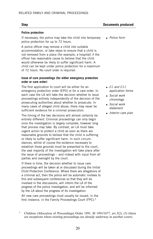## **Step 2008 Contract Step 2008 Documents produced**

#### **Police protection**

If necessary, the police may take the child into temporary • *Police form* police protection for up to 72 hours.

A police officer may remove a child into suitable accommodation, or take steps to ensure that a child is not removed from a place (for example, a hospital) if the officer has reasonable cause to believe that the child would otherwise be likely to suffer significant harm. A child can be kept under police protection for a maximum of 72 hours. No court order is required.

#### **Issue of care proceedings (for either emergency protection order or care order)**

The first application to court will be either for an emergency protection order (EPO) or for a care order. In each case the LA will take the decision whether to issue proceedings entirely independently of the decision of the prosecuting authorities about whether to prosecute. In many cases of alleged child abuse, there may never be sufficient evidence for a criminal prosecution.

The timing of the two decisions will almost certainly be entirely different. Criminal proceedings can only begin once the investigation is largely complete, however long that process may take. By contrast, an LA must take urgent action to protect a child as soon as there are reasonable grounds to believe that the child is suffering or likely to suffer significant harm. In such circumstances, whilst of course the evidence necessary to establish those grounds must be presented to the court, the vast majority of the investigation will take place after the issue of proceedings – and indeed with input from all parties and oversight by the court.

If there is time, the decision whether to issue care proceedings will be taken at or discussed during the Initial Child Protection Conference. Where there are allegations of a criminal act, then the police will be automatic invitees to this and subsequent conferences so that they will be involved in the discussions, will inform the LA of the progress of the police investigation, and will be informed by the LA about the progress of its investigation.

All new care proceedings must usually be issued, in the first instance, in the Family Proceedings Court (FPC).5

- $\bullet$  C1 and C11 application forms
- Social work chronology
- Social work statement
- Interim care plan

<sup>5</sup> Children (Allocation of Proceedings) Order 1991, SI 1991/1677, art.3(2), (3) (there are exceptions where existing proceedings are already underway in another court).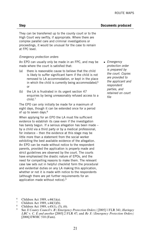### **Step 2008 Step 2008 Documents produced**

They can be transferred up to the county court or to the High Court very swiftly, if appropriate. Where there are complex parallel care and criminal investigations or proceedings, it would be unusual for the case to remain at FPC level.

#### Emergency protection orders

An EPO can usually only be made in an FPC, and may be made where the court is satisfied that:

- (a) there is reasonable cause to believe that the child is likely to suffer significant harm if the child is not removed to LA accommodation, or kept in the place in which the child is currently being accommodated;<sup>6</sup> or
- (b) the LA is frustrated in its urgent section 47 enquiries by being unreasonably refused access to a child.7

The EPO can only initially be made for a maximum of eight days, though it can be extended once for a period of up to seven days.<sup>8</sup>

When applying for an EPO the LA must file sufficient evidence to establish its case even if the investigation has barely begun. If a serious allegation has been made – by a child via a third party or by a medical professional, for instance – then the evidence at this stage may be little more than a statement from the social worker exhibiting the best available evidence of the allegation. An EPO can be made without notice to the respondent parents, provided the application is properly made and strict guidelines are observed by the court. The courts have emphasised the drastic nature of EPOs, and the need for compelling reasons to make them. The relevant case law sets out in helpful checklist form the procedural and evidential duties on any LA making this application, whether or not it is made with notice to the respondents (although there are yet further requirements for an application made without notice).9

- <sup>6</sup> Children Act 1989, s.44(1)(a).
- $\frac{7}{8}$  Children Act 1989, s.44(1)(b).
- Children Act 1989, s.45(1), (5), (6).
- <sup>9</sup> See *X County Council* v. *B (Emergency Protection Orders)* [2005] 1 FLR 341; *Haringey LBC* v. *C, E and another* [2005] 2 FLR 47; and *Re X (Emergency Protection Orders)* [2006] EWHC 510 (Fam).

<sup>•</sup> Emergency protection order is prepared by the court. Copies are provided to the applicant and respondent parties, and retained on court file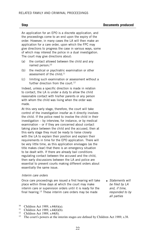An application for an EPO is a discrete application, and the proceedings come to an end upon the expiry of the order. However, in many cases the LA will then make an application for a care order, upon which the FPC may give directions to progress the case in various ways, some of which may interest the police in a dual investigation. The court may give directions about:

- (a) the contact allowed between the child and any named person;10
- (b) the medical or psychiatric examination or other assessment of the child: $11$
- (c) limiting such examination or assessment without a further direction from the court  $12$

Indeed, unless a specific direction is made in relation to contact, the LA is under a duty to allow the child reasonable contact with his/her parents or any person with whom the child was living when the order was made.

At this very early stage, therefore, the court will take control of the investigation insofar as it directly involves the child. If the police need to involve the child in their investigation – by interview, for instance, or by medical examination – or if they are concerned about contact taking place between the child and the accused, then at this early stage they must be ready to liaise closely with the LA to explain their position and explain their requirements in time for the EPO application. There will be very little time, as this application envisages (as the title makes clear) that there is an emergency situation to be dealt with. If there are already bail conditions regulating contact between the accused and the child, then early discussions between the LA and police are essential to prevent courts making different orders about essentially the same issue.

#### Interim care orders

Once care proceedings are issued a first hearing will take place within three days at which the court may make interim care or supervision orders until it is ready for the final hearing.<sup>13</sup> These interim care orders may be made

• Statements will be filed by LA and, if time, responded to by all parties

- <sup>10</sup> Children Act 1989, s.44(6)(a).
- <sup>11</sup> Children Act 1989, s.44(6)(b).
- <sup>12</sup> Children Act 1989, s.44(8).

<sup>&</sup>lt;sup>13</sup> The court's powers at the interim stages are defined by Children Act 1989, s.38.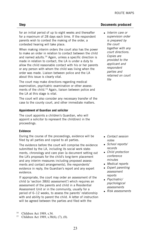for an initial period of up to eight weeks and thereafter for a maximum of 28 days each time. If the respondent parents wish to contest the making of the order, a contested hearing will take place.

When making interim orders the court also has the power to make an order in relation to contact between the child and named adults.<sup>14</sup> Again, unless a specific direction is made in relation to contact, the LA is under a duty to allow the child reasonable contact with his or her parents or any person with whom the child was living when the order was made. Liaison between police and the LA about this issue is clearly vital.

The court may make directions regarding medical examination, psychiatric examination or other assessments of the child.<sup>15</sup> Again, liaison between police and the LA at this stage is vital.

The court will also consider any necessary transfer of the case to the county court, and other immediate matters.

#### **Appointment of Guardian and solicitor**

The court appoints a children's Guardian, who will appoint a solicitor to represent the child(ren) in the proceedings.

#### **Evidence**

During the course of the proceedings, evidence will be filed by all parties and copied to all parties.

The evidence before the court will comprise the evidence submitted by the LA, including its social work statements, chronology and care plan (a document setting out the LA's proposals for the child's long-term placement and any interim measures including proposed assessments and contact arrangements), the respondents' evidence in reply, the Guardian's report and any expert evidence.

If appropriate, the court may order an assessment of the child (a 'section 38(6) assessment') which requires an assessment of the parents and child in a Residential Assessment Unit or in the community, usually for a period of 6–12 weeks, to assess the parents' relationship with and ability to parent the child. A letter of instruction will be agreed between the parties and filed with the

<sup>14</sup> Children Act 1989, s.34.

<sup>15</sup> Children Act 1989, s.38(6), (7), (8).

### **Step 2008 Contract Step 2008 Documents produced**

• Interim care or supervision order is prepared by the court together with any court directions. Copies are provided to the applicant and respondent parties and retained on court file

- Contact session notes
- School reports/ records
- Child protection conference minutes
- Medical reports
- Expert parenting assessment reports
- Psychiatric/ psychological assessments
- Risk assessments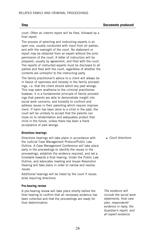court. Often an interim report will be filed, followed by a final report.

The process of selecting and instructing experts is an open one, usually conducted with input from all parties, and with the oversight of the court. No statement or report may be obtained from an expert without the prior permission of the court. A letter of instruction will be prepared, usually by agreement, and filed with the court. The reports of instructed experts must be disclosed to all parties and filed with the court, regardless of whether the contents are unhelpful to the instructing party.

The family practitioner's advice to a client will always be in favour of openness and honesty in the family proceedings, i.e. that the client should admit any past wrongs. This may seem anathema to the criminal practitioner, however, it is a fundamental principle of family proceedings that parents are able to demonstrate insight into social work concerns, and honestly to confront and address issues in their parenting which require improvement. If harm has been done to a child in the past, the court will be unlikely to accept that the parents can move on to rehabilitation and adequately protect that child in the future, unless there has been a frank acceptance of past wrongs.

#### **Directions hearings**

Directions hearings will take place in accordance with the Judicial Case Management Protocol/Public Law Outline. A Case Management Conference will take place early in the proceedings to identify the issues in the proceedings, establish the evidence required, and set a timetable towards a final hearing. Under the Public Law Outline, and advocates meeting and Issues Resolution Hearing will take place in order to narrow and resolve issues.

Additional hearings will be listed by the court if issues arise requiring directions.

#### **Pre-hearing review**

A pre-hearing review will take place shortly before the final hearing to confirm that all necessary evidence has been collected and that the proceedings are ready for final determination.

● Court directions

The evidence will include the social work statements, final care plan, respondents' evidence in reply, the Guardian's report, and all expert evidence.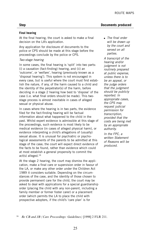#### **Step 2008 Step 2008 CONSUMING STEP 2008 Documents produced**

#### **Final hearing**

At the final hearing, the court is asked to make a final decision on the LA's application.

Any application for disclosure of documents to the police or CPS should be made at this stage before the proceedings conclude by the police or CPS.

#### Two-stage hearing

In some cases, the final hearing is 'split' into two parts: (i) a causation (fact-finding) hearing, and (ii) an 'outcome', or 'welfare', hearing (previously known as a 'disposal hearing'). This system is not encouraged in every case, but is useful where the court must first establish the nature, if any, of the harm caused to a child and the identity of the perpetrator(s) of the harm, before deciding in a stage 2 hearing how best to 'dispose' of the case (i.e. what final orders should be made). This twostage process is almost inevitable in cases of alleged sexual or physical abuse.

In cases where the hearing is in two parts, the evidence filed for the fact-finding hearing will be factual information about what happened to the child in the past. Whilst expert evidence is admissible at this stage of the proceedings, such evidence is most likely to be medical evidence (in cases of alleged physical harm), or evidence interpreting a child's allegations of (usually) sexual abuse. It is unusual for psychiatric or psychological assessments of the parents to be admitted at this stage of the case; the court will expect direct evidence of the facts to be found, rather than evidence which could at most establish a general propensity to commit the act(s) alleged. $16$ 

At the stage 2 hearing, the court may dismiss the application, make a final care or supervision order in favour of the LA, or make any other order under the Children Act 1989 it considers suitable. Depending on the circumstances of the case, and the identity of those chosen to provide permanent care for the child, the court may be asked to deal with applications for a special guardianship order (placing the child with any non-parent, including a family member or former foster carer) or a placement order (which permits the LA to place the child with prospective adopters, if the child's 'care plan' is for

 $\bullet$  The final order will be drawn up by the court and served on all parties.

A transcript of the hearing and/or judgment is not routinely prepared at public expense, unless there is to be an appeal, or the judge orders that the judgment should be publicly reported. In appropriate cases, the CPS may request judicial permission for transcription, provided that the costs are being met by an appropriate authority.

In the FPC, a written Statement of Reasons will be produced.

<sup>16</sup> *Re CB and JB (Care Proceedings: Guidelines)* [1998] 2 FLR 211.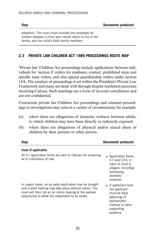# **Step 2008 Contract Step 2008 Contract Step 2008 Contract Step 2008 Contract Step 2008 Contract Step 2008 Contract Step 2008 Contract Step 2008 Contract Step 2008 Contract Step 2008 Contract Step 2008 Contract Step 2008 Co**

adoption). The court must consider the proposals for contact between a child who cannot return to his or her family, and the child's birth family members.

## **2.3 PRIVATE LAW CHILDREN ACT 1989 PROCEEDINGS ROUTE MAP**

'Private law' Children Act proceedings include applications between individuals for 'section 8' orders for residence, contact, prohibited steps and specific issue orders, and also special guardianship orders under section 14A. The conduct of proceedings is set within the President's Private Law Framework and many are dealt with through dispute resolution processes involving Cafcass. Such meetings are a form of in-court conciliation and are not confidential.

Concurrent private law Children Act proceedings and criminal proceedings or investigations may arise in a variety of circumstances, for example:

- (a) where there are allegations of domestic violence between adults, to which children may have been directly or indirectly exposed;
- (b) where there are allegations of physical and/or sexual abuse of children by their parents or other person.

| <b>Step</b>                                                                                                                                                                                                                        | <b>Documents produced</b>                                                                                                                            |
|------------------------------------------------------------------------------------------------------------------------------------------------------------------------------------------------------------------------------------|------------------------------------------------------------------------------------------------------------------------------------------------------|
| <b>Issue of application</b>                                                                                                                                                                                                        |                                                                                                                                                      |
| All C1 application forms are sent to Cafcass for screening<br>as to indications of risk.                                                                                                                                           | • Application forms<br>C1 (and C1A, if<br>harm to child is<br>alleged, including<br>witnessing<br>domestic<br>violence)                              |
| In urgent cases, an ex parte application may be brought<br>and a short hearing may take place without notice. The<br>court will then list an on notice hearing at the earliest<br>opportunity to allow the respondent to be heard. | $\bullet$ A statement from<br>the applicant<br>must be filed.<br>attaching (if<br><i>appropriate</i> )<br>medical or other<br>supporting<br>evidence |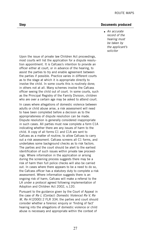#### **Step 2008 Contract Step 2008 Documents produced**

• An accurate record of the hearing must be taken by the applicant's solicitor

Upon the issue of private law Children Act proceedings, most courts will list the application for a dispute resolution appointment. It is Cafcass's intention to provide an officer either at court, or in advance of the hearing, to assist the parties to try and enable agreement between the parties if possible. Practice varies in different courts as to the stage at which it is appropriate directly to involve the child. In some courts this is routinely done; in others not at all. Many schemes involve the Cafcass officer seeing the child out of court. In some courts, such as the Principal Registry of the Family Division, children who are over a certain age may be asked to attend court.

In cases where allegations of domestic violence between adults or child abuse arise, a risk assessment will need to have been completed before a decision as to the appropriateness of dispute resolution can be made. Dispute resolution is generally considered inappropriate in such cases. All parties must now complete a form C1A indicating whether there are any issues of harm to the child. A copy of all forms C1 and C1A are sent to Cafcass as a matter of routine, to allow Cafcass to carry out a risk assessment. Cafcass screens all C1 forms, and undertakes some background checks as to risk factors. The parties and the court should be alert to the earliest identification of such issues within private law proceedings. Where information in the application or arising during the screening process suggests there may be a risk of harm then full police checks will also be carried out. In cases where there appears to be a need to do so, the Cafcass officer has a statutory duty to complete a risk assessment. Where information suggests there is an ongoing risk of harm, Cafcass will make a referral to the LA under a protocol agreed following implementation of Adoption and Children Act 2002, s.120.

Pursuant to the guidance given by the Court of Appeal in the case of Re L (Contact: Domestic Violence) Re V, Re M, Re H [2000] 2 FLR 334*,* the parties and court should consider whether a forensic enquiry or 'finding of fact' hearing into the allegations of domestic violence or child abuse is necessary and appropriate within the context of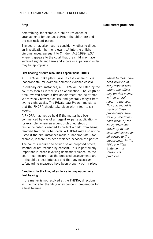determining, for example, a child's residence or arrangements for contact between the child(ren) and the non-resident parent.

The court may also need to consider whether to direct an investigation by the relevant LA into the child's circumstances, pursuant to Children Act 1989, s.37 where it appears to the court that the child may have suffered significant harm and a care or supervision order may be appropriate.

#### **First hearing dispute resolution appointment (FHDRA)**

A FHDRA will take place (save in cases where this is inappropriate, for example domestic violence cases).

In ordinary circumstances, a FHDRA will be listed by the court as soon as it receives an application. The length of time involved before a first appointment can be offered varies widely between courts, and generally ranges from two to eight weeks. The Private Law Programme states that the FHDRA should take place within four to six weeks.

A FHDRA may not be held if the matter has been commenced by way of an urgent ex parte application – for example, where an urgent prohibited steps or residence order is needed to protect a child from being removed from his or her carer. A FHDRA may also not be listed if the circumstances make it inappropriate – for example, if there has been violence between the parties.

The court is required to scrutinise all proposed orders, whether or not reached by consent. This is particularly important in cases involving domestic violence, as the court must ensure that the proposed arrangements are in the child's best interests and that any necessary safeguarding measures have been properly put in place.

#### **Directions for the filing of evidence in preparation for a final hearing**

If the matter is not resolved at the FHDRA, directions will be made for the filing of evidence in preparation for a final hearing

Where Cafcass have been involved in early dispute resolution, the officer may provide a short written or oral report to the court. No court record is made of these proceedings, save for any order/directions made by the court, which are drawn up by the court and served on all parties to the proceedings. In the FPC, a written Statement of Reasons is produced.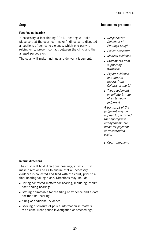#### **Fact-finding hearing**

If necessary, a fact-finding ('Re L') hearing will take place so that the court can make findings as to disputed allegations of domestic violence, which one party is relying on to prevent contact between the child and the alleged perpetrator.

The court will make findings and deliver a judgment.

### **Step 2008 CONSERVING CONSERVANCE CONSERVANCE DETAILS DOCUMEnts produced**

- Respondent's Schedule of Findings Sought
- Police disclosure
- Medical evidence
- Statements from supporting witnesses
- Expert evidence and interim reports from Cafcass or the LA
- Typed judgment or solicitor's note of ex tempore judgment.

A transcript of the judgment may be applied for, provided that appropriate arrangements are made for payment of transcription costs.

● Court directions

#### **Interim directions**

The court will hold directions hearings, at which it will make directions so as to ensure that all necessary evidence is collected and filed with the court, prior to a final hearing taking place. Directions may include:

- listing contested matters for hearing, including interim fact-finding hearings;
- setting a timetable for the filing of evidence and a date for the final hearing;
- filing of additional evidence;
- seeking disclosure of police information in matters with concurrent police investigation or proceedings;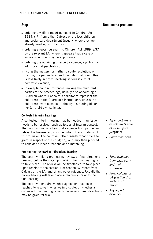### **Step 2008 Step 2008 Contract Contract Contract Contract Contract Contract Contract Contract Contract Contract Contract Contract Contract Contract Contract Contract Contract Contract Contract Contract Contract Contract**

- ordering a welfare report pursuant to Children Act 1989, s.7, from either Cafcass or the LA's children and social care department (usually where they are already involved with family);
- ordering a report pursuant to Children Act 1989, s.37 by the relevant LA, where it appears that a care or supervision order may be appropriate;
- ordering the obtaining of expert evidence, e.g. from an adult or child psychiatrist;
- listing the matters for further dispute resolution, or inviting the parties to attend mediation, although this is less likely in cases involving serious issues of domestic violence;
- in exceptional circumstances, making the child(ren) parties to the proceedings, usually also appointing a Guardian who will appoint a solicitor to represent the child(ren) on the Guardian's instructions, unless the child(ren) is/are capable of directly instructing his or her (or their) own solicitor.

### **Contested interim hearings**

A contested interim hearing may be needed if an issue needs to be resolved, such as issues of interim contact. The court will usually hear oral evidence from parties and relevant witnesses and consider what, if any, findings of fact to make. The court will also consider what orders to grant in respect of the child(ren), and may then proceed to consider further directions and timetabling.

### **Pre-hearing review/final directions hearing**

The court will list a pre-hearing review, or final directions hearing, before the date upon which the final hearing is to take place. The review will be timetabled to take place upon receipt of the section 7 or section 37 report from Cafcass or the LA, and of any other evidence. Usually the review hearing will take place a few weeks prior to the final hearing.

The court will enquire whether agreement has been reached to resolve the issues in dispute, or whether a contested final hearing remains necessary. Final directions may be given for trial.

- Typed judgment or solicitor's note of ex tempore judgment
- Court directions
- Final evidence from each party and their witnesses
- Final Cafcass or LA (section 7 or section 37) report
- Any expert evidence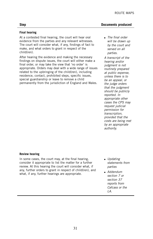#### **Final hearing**

At a contested final hearing, the court will hear oral evidence from the parties and any relevant witnesses. The court will consider what, if any, findings of fact to make, and what orders to grant in respect of the child(ren).

After hearing the evidence and making the necessary findings on dispute issues, the court will either make a final order, or may take the view that 'no order' is appropriate. Orders may deal with a wide range of issues related to the upbringing of the child(ren), including residence, contact, prohibited steps, specific issues, special guardianship or leave to remove a child permanently from the jurisdiction of England and Wales.

### **Step 2008 Contract Step 2008 Contract Step 2008 Contract Step 2008 Contract Step 2008 Contract Step 2008 Contract Step 2008 Contract Step 2008 Contract Step 2008 Contract Step 2008 Contract Step 2008 Contract Step 2008 Co**

 $\bullet$  The final order will be drawn up by the court and served on all parties.

A transcript of the hearing and/or judgment is not routinely prepared at public expense, unless there is to be an appeal, or the judge orders that the judgment should be publicly reported. In appropriate other cases the CPS may request judicial permission for transcription, provided that the costs are being met by an appropriate authority.

#### **Review hearing**

In some cases, the court may, at the final hearing, consider it appropriate to list the matter for a further review. At this hearing the court will consider what, if any, further orders to grant in respect of child(ren), and what, if any, further hearings are appropriate.

- Updating statements from parties
- $\triangle$  Addendum section 7 or section 37 reports from Cafcass or the  $\overline{A}$ .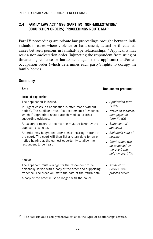## **2.4 FAMILY LAW ACT 1996 (PART IV) (NON-MOLESTATION/ OCCUPATION ORDERS) PROCEEDINGS ROUTE MAP**

Part IV proceedings are private law proceedings brought between individuals in cases where violence or harassment, actual or threatened, arises between persons in familial-type relationships.17 Applicants may seek a non-molestation order (injuncting the respondent from using or threatening violence or harassment against the applicant) and/or an occupation order (which determines each party's rights to occupy the family home).

## **Summary**

## **Step 2008 CONSERVING CONSERVANCE CONSERVANCE DETAILS DOCUMEnts produced**

### **Issue of application**

The application is issued.

In urgent cases, an application is often made 'without notice'. The applicant must file a statement of evidence, which if appropriate should attach medical or other supporting evidence.

An accurate record of the hearing must be taken by the applicant's solicitor.

An order may be granted after a short hearing in front of the court. The court will then list a return date for an on notice hearing at the earliest opportunity to allow the respondent to be heard.

#### **Service**

The applicant must arrange for the respondent to be personally served with a copy of the order and supporting evidence. The order will state the date of the return date.

A copy of the order must be lodged with the police.

- Application form FL401
- Notice to landlord/ mortgagee on form **FI** 406
- Statement of applicant
- Solicitor's note of hearing
- Court orders will be produced by the court and held on court file
- **Affidavit of** Service from process server

<sup>17</sup> The Act sets out a comprehensive list as to the types of relationships covered.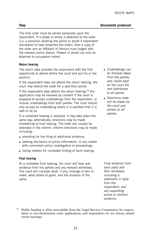#### **Step 2008 Step 2008 Contract Contract Contract Contract Contract Contract Contract Contract Contract Contract Contract Contract Contract Contract Contract Contract Contract Contract Contract Contract Contract Contract**

The final order must be served personally upon the respondent. If a power of arrest is attached to the order (i.e. a provision allowing the police to arrest a respondent discovered to have breached the order), then a copy of the order and an Affidavit of Service must lodged with the relevant police station. Powers of arrest can only be attached to occupation orders.

#### **Return hearing**

The return date provides the respondent with the first opportunity to attend before the court and put his or her position.

If the respondent does not attend the return hearing, the court may extend the order for a specified period.

If the respondent does attend the return hearing,  $18$  the application may be resolved by consent if the court is prepared to accept undertakings from the respondent, or mutual undertakings from both parties. The court should only accept an undertaking where it is satisfied that it is safe to do so.

If a contested hearing is required, it may take place the same day; alternatively, directions may be made timetabling to final hearing. The order will usually be extended in the interim. Interim directions may be made including:

- providing for the filing of additional evidence;
- seeking disclosure of police information, in any matter with concurrent police investigation or proceedings;
- listing matters for contested finding of facts hearing.

#### **Final hearing**

At a contested final hearing, the court will hear oral evidence from the parties and any relevant witnesses. The court will consider what, if any, findings of fact to make, what orders to grant, and the duration of the same.

- Undertakings can be formally taken from the parties, and copies kept on the court file and distributed to all parties
- Directions order will be drawn by the court and served on all parties.

Final evidence from each party and their witnesses, including a statement in reply from the respondent, and any supporting police or medical evidence.

<sup>&</sup>lt;sup>18</sup> Public funding is often unavailable from the Legal Services Commission for respondents to non-molestation order applications, and respondents do not always attend return hearings.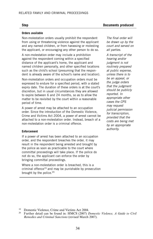#### **Orders available**

Non-molestation orders usually prohibit the respondent from using or threatening violence against the applicant and any named children, or from harassing or molesting the applicant, or encouraging any other person to do so.

A non-molestation order may include a prohibition against the respondent coming within a specified distance of the applicant's home, the applicant and named children personally, and other specified locations such as the child's school (presuming that the respondent is already aware of the school's name and location).

Non-molestation orders and occupation orders must be expressed to endure for a specified period, with a stated expiry date. The duration of these orders is at the court's discretion, but in usual circumstances they are allowed to expire between 6 and 24 months, so as to allow the matter to be revisited by the court within a reasonable period of time.

A power of arrest may be attached to an occupation order. Since the introduction of the Domestic Violence, Crime and Victims Act 2004, a power of arrest cannot be attached to a non-molestation order. Instead, breach of a non-molestation order is a criminal offence.

#### **Enforcement**

If a power of arrest has been attached to an occupation order, and the respondent breaches the order, it may result in the respondent being arrested and brought by the police as soon as practicable to the court where committal proceedings will take place. If the police do not do so, the applicant can enforce the order by bringing committal proceedings.

Where a non-molestation order is breached, this is a criminal offence<sup>19</sup> and may be punishable by prosecution brought by the police.<sup>20</sup>

#### **Step 2008 CONSERVING STEP 2008 Documents produced**

The final order will be drawn up by the court and served on all parties.

A transcript of the hearing and/or judgment is not routinely prepared at public expense, unless there is to be an appeal, or the judge orders that the *judgment* should be publicly reported. In appropriate other cases the CPS may request judicial permission for transcription, provided that the costs are being met by an appropriate authority.

<sup>19</sup> Domestic Violence, Crime and Victims Act 2004.

<sup>20</sup> Further detail can be found in: HMCS (2007) *Domestic Violence, A Guide to Civil Remedies and Criminal Sanctions* (revised March 2007).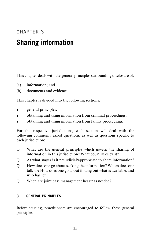# CHAPTER 3

# **Sharing information**

This chapter deals with the general principles surrounding disclosure of:

- (a) information; and
- (b) documents and evidence.

This chapter is divided into the following sections:

- general principles;
- obtaining and using information from criminal proceedings;
- obtaining and using information from family proceedings.

For the respective jurisdictions, each section will deal with the following commonly asked questions, as well as questions specific to each jurisdiction:

- Q: What are the general principles which govern the sharing of information in this jurisdiction? What court rules exist?
- Q: At what stages is it prejudicial/appropriate to share information?
- Q: How does one go about seeking the information? Whom does one talk to? How does one go about finding out what is available, and who has it?
- Q: When are joint case management hearings needed?

## **3.1 GENERAL PRINCIPLES**

Before starting, practitioners are encouraged to follow these general principles: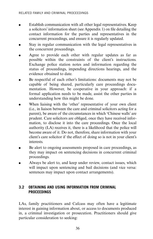- Establish communication with all other legal representatives. Keep a solicitors' information sheet (see Appendix 1) on file detailing the contact information for the parties and representatives in the concurrent proceedings, and ensure it is regularly updated.
- Stay in regular communication with the legal representatives in the concurrent proceedings.
- Agree to provide each other with regular updates as far as possible within the constraints of the client's instructions. Exchange police station notes and information regarding the status of proceedings, impending directions hearings, and the evidence obtained to date.
- Be respectful of each other's limitations: documents may not be capable of being shared, particularly care proceedings documentation. However, be cooperative in your approach: if a formal application needs to be made, assist the other parties in understanding how this might be done.
- When liaising with the 'other' representative of your own client (i.e., in liaison between the care and criminal solicitors acting for a parent), be aware of the circumstances in which 'Chinese walls' are prudent. Care solicitors are obliged, once they have received information, to disclose it into the care proceedings. Once the local authority (LA) receives it, there is a likelihood that the police will become aware of it. Do not, therefore, share information with your client's care solicitor if the effect of doing so is not in your client's interests.
- Be alert to ongoing assessments proposed in care proceedings, as they may impact on sentencing decisions in concurrent criminal proceedings.
- Always be alert to, and keep under review, contact issues, which will impact upon sentencing and bail decisions (and vice versa: sentences may impact upon contact arrangements).

## **3.2 OBTAINING AND USING INFORMATION FROM CRIMINAL PROCEEDINGS**

LAs, family practitioners and Cafcass may often have a legitimate interest in gaining information about, or access to documents produced in, a criminal investigation or prosecution. Practitioners should give particular consideration to seeking: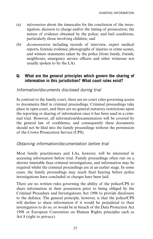- (a) *information* about the timescales for the conclusion of the investigation, decision to charge and/or the timing of prosecution; the nature of evidence obtained by the police; and bail conditions, particularly those involving children; and
- (b) *documentation* including records of interview, expert medical reports, forensic evidence, photographs of injuries or crime scenes, and witness statements taken by the police (from family, friends, neighbours, emergency service officers and other witnesses not usually spoken to by the LA).

## **Q: What are the general principles which govern the sharing of information in this jurisdiction? What court rules exist?**

## Information/documents disclosed during trial

In contrast to the family court, there are no court rules governing access to documents filed in criminal proceedings. Criminal proceedings take place in open court, and there are no general statutory restrictions upon the reporting or sharing of information once it has been used in a criminal trial. However, all information/documentation will be covered by the general law of confidence, and consequently these documents should not be filed into the family proceedings without the permission of the Crown Prosecution Service (CPS).

## Obtaining information/documentation before trial

Most family practitioners and LAs, however, will be interested in accessing information before trial. Family proceedings often run on a shorter timetable than criminal investigations, and information may be required whilst the criminal proceedings are at an earlier stage. In some cases, the family proceedings may reach final hearing before police investigations have concluded or charges have been laid.

There are no written rules governing the ability of the police/CPS to share information in their possession prior to being obliged by the Criminal Procedure and Investigations Act 1996 to provide disclosure to the defence. The general principle, however, is that the police/CPS will decline to share information if it would be prejudicial to their investigation to do so, or would be in breach of the Data Protection Act 1998 or European Convention on Human Rights principles such as Art.8 (right to privacy).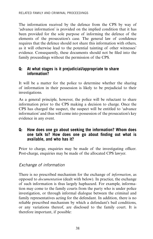The information received by the defence from the CPS by way of 'advance information' is provided on the implied condition that it has been provided for the sole purpose of informing the defence of the elements of the prosecution's case. The general law of confidence requires that the defence should not share this information with others, as it will otherwise lead to the potential tainting of other witnesses' evidence. Consequently, these documents should not be filed into the family proceedings without the permission of the CPS.

## **Q: At what stages is it prejudicial/appropriate to share information?**

It will be a matter for the police to determine whether the sharing of information in their possession is likely to be prejudicial to their investigations.

As a general principle, however, the police will be reluctant to share information prior to the CPS making a decision to charge. Once the CPS has charged the suspect, the suspect will be entitled to 'advance information' and thus will come into possession of the prosecution's key evidence in any event.

## **Q: How does one go about seeking the information? Whom does one talk to? How does one go about finding out what is available, and who has it?**

Prior to charge, enquiries may be made of the investigating officer. Post-charge, enquiries may be made of the allocated CPS lawyer.

## Exchange of information

There is no prescribed mechanism for the exchange of *information*, as opposed to *documentation* (dealt with below). In practice, the exchange of such information is thus largely haphazard. For example, information may come to the family courts from the party who is under police investigation, or through informal dialogue between the criminal and family representatives acting for the defendant. In addition, there is no reliable prescribed mechanism by which a defendant's bail conditions, or any variations thereof, are disclosed to the family court. It is therefore important, if possible: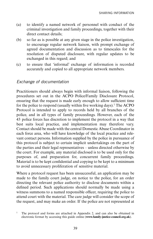- (a) to identify a named network of personnel with conduct of the criminal investigation and family proceedings, together with their direct contact details;
- (b) so far as is possible at any given stage in the police investigation, to encourage regular network liaison, with prompt exchange of agreed documentation and discussion as to timescales for the resolution of disputed disclosure, with regular updates to be exchanged in this regard; and
- (c) to ensure that 'informal' exchange of information is recorded accurately and copied to all appropriate network members.

## Exchange of documentation

Practitioners should always begin with informal liaison, following the procedures set out in the ACPO Police/Family Disclosure Protocol, ensuring that the request is made early enough to allow sufficient time for the police to respond (usually within five working days).<sup>1</sup> The ACPO Protocol is intended to apply to records held by all branches of the police, and in all types of family proceedings. However, each of the 43 police forces has discretion to implement the protocol in a way that best suits local practice, and implementation may therefore vary. Contact should be made with the central Domestic Abuse Coordinator in each force area, who will have knowledge of the local practice and relevant contact persons. Information supplied by the police in pursuance of this protocol is subject to certain implicit undertakings on the part of the parties and their legal representatives – unless directed otherwise by the court. For example, any material disclosed is to be used only for the purposes of, and preparation for, concurrent family proceedings. Material is to be kept confidential and copying to be kept to a minimum to avoid unnecessary proliferation of sensitive material.

Where a protocol request has been unsuccessful, an application may be made to the family court judge, on notice to the police, for an order directing the relevant police authority to disclose documents within a defined period. Such applications should normally be made using a witness summons to a named responsible officer, requiring the police to attend court with the material. The care judge will consider the scope of the request, and may make an order. If the police are not represented at

<sup>&</sup>lt;sup>1</sup> The protocol and forms are attached in Appendix 2, and can also be obtained in electronic format by accessing this guide online (**www.family-justice-council.org.uk**).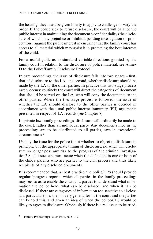the hearing, they must be given liberty to apply to challenge or vary the order. If the police seek to refuse disclosure, the court will balance the public interest in maintaining the document's confidentiality (the disclosure of which may prejudice or inhibit a pending investigation or prosecution), against the public interest in ensuring that the family court has access to all material which may assist it in protecting the best interests of the child.

For a useful guide as to standard variable directions granted by the family court in relation to the disclosure of police material, see Annex D to the Police/Family Disclosure Protocol.

In care proceedings, the issue of disclosure falls into two stages – first, that of disclosure to the LA; and second, whether disclosure should be made by the LA to the other parties. In practice this two-stage process rarely occurs: routinely the court will direct the categories of document that should be served on the LA, who will copy the documents to the other parties. Where the two-stage process is followed, the issue of whether the LA should disclose to the other parties is decided in accordance with the usual public interest immunity (PII) arguments presented in respect of LA records (see Chapter 8).

In private law family proceedings, disclosure will ordinarily be made to the court, rather than an individual party. Any documents filed in the proceedings are to be distributed to all parties, save in exceptional circumstances.2

Usually the issue for the police is not whether to object to disclosure in principle, but the appropriate timing of disclosure, i.e. when will disclosure no longer pose any risk to the progress of the criminal investigation? Such issues are most acute when the defendant is one or both of the child's parents who are parties to the civil process and thus likely recipients of any disclosed documents.

It is recommended that, as best practice, the police/CPS should provide regular 'progress reports' which all parties in the family proceedings may see, so as to enable the court and parties to understand what information the police hold, what can be disclosed, and when it can be disclosed. If there are categories of information too sensitive to disclose at a particular time, then in very general terms the court and the parties can be told this, and given an idea of when the police/CPS would be likely to agree to disclosure. Obviously if there is a real issue to be tried,

<sup>&</sup>lt;sup>2</sup> Family Proceedings Rules 1991, rule 4.17.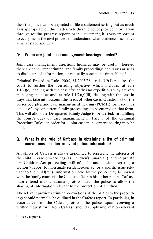then the police will be expected to file a statement setting out as much as is appropriate on this matter. Whether the police provide information through routine progress reports or in a statement, it is very important to everyone in the civil process to understand what evidence is sensitive at what stage and why.

## **Q: When are joint case management hearings needed?**

Joint case management directions hearings may be useful wherever there are concurrent criminal and family proceedings and issues arise as to disclosure of information, or mutually convenient timetabling.<sup>3</sup>

Criminal Procedure Rules 2005, SI 2005/384, rule 3.2(1) requires the court to further the overriding objective, which includes, at rule  $1.1(2)(e)$ , dealing with the case efficiently and expeditiously by actively managing the case; and, at rule  $1.1(2)(g)(iii)$ , dealing with the case in ways that take into account the needs of other cases. Question 33 of the prescribed plea and case management hearing (PCMH) form requires details of any concurrent family proceedings to be entered on that form. This will allow the Designated Family Judge to be alerted. In fulfilling the court's duty of case management in Part 3 of the Criminal Procedure Rules, an order for a joint case management hearing may be made.

## **Q: What is the role of Cafcass in obtaining a list of criminal convictions or other relevant police information?**

An officer of Cafcass is always appointed to represent the interests of the child in care proceedings (as Children's Guardian), and in private law Children Act proceedings will often be tasked with preparing a section 7 report to investigate residence/contact or a specific issue relevant to the child(ren). Information held by the police may be shared with the family court via the Cafcass officer in his or her report. Cafcass have entered into a national protocol with the police to allow the sharing of information relevant to the protection of children.

The relevant previous criminal convictions of the parties to the proceedings should normally be outlined in the Cafcass report. In particular, in accordance with the Cafcas protocol, the police, upon receiving a written request form from Cafcass, should supply information relevant

<sup>3</sup> See Chapter 4.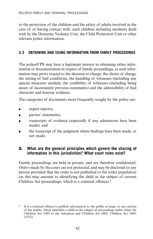to the protection of the children and the safety of adults involved in the care of, or having contact with, such children including incidents dealt with by the Domestic Violence Unit, the Child Protection Unit or other relevant police information.

## **3.3 OBTAINING AND USING INFORMATION FROM FAMILY PROCEEDINGS**

The police/CPS may have a legitimate interest in obtaining either information or documentation in respect of family proceedings, as such information may prove crucial to the decision to charge, the choice of charge, the setting of bail conditions, the handling of witnesses (including any special measures needed), the credibility of witnesses (including being aware of inconsistent previous statements) and the admissibility of bad character and hearsay evidence.

The categories of documents most frequently sought by the police are:

- expert reports;
- parties' statements;
- transcripts of evidence (especially if any admissions have been made); and
- the transcript of the judgment where findings have been made, or not made.

## **Q: What are the general principles which govern the sharing of information in this jurisdiction? What court rules exist?**

Family proceedings are held in private, and are therefore confidential. *Orders* made by the court are not protected, and may be disclosed to any person provided that the order is not published to the wider population (as this may amount to identifying the child as the subject of current Children Act proceedings, which is a criminal offence).4

<sup>&</sup>lt;sup>4</sup> It is a criminal offence to publish information to the public at large, or any section of the public, which identifies a child as the subject of proceedings under either the Children Act 1989 or the Adoption and Children Act 2002: Children Act 1989, s.97(2).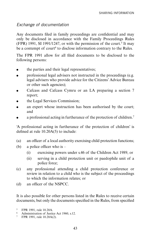## Exchange of documentation

Any documents filed in family proceedings are confidential and may only be disclosed in accordance with the Family Proceedings Rules (FPR) 1991, SI 1991/1247, or with the permission of the court.<sup>5</sup> It may be a contempt of court<sup>6</sup> to disclose information contrary to the Rules.

The FPR 1991 allow for all filed documents to be disclosed to the following persons:

- the parties and their legal representatives;
- professional legal advisers not instructed in the proceedings (e.g. legal advisers who provide advice for the Citizens' Advice Bureau or other such agencies);
- Cafcass and Cafcass Cymru or an LA preparing a section 7 report;
- the Legal Services Commission;
- an expert whose instruction has been authorised by the court; and
- a professional acting in furtherance of the protection of children.<sup>7</sup>

'A professional acting in furtherance of the protection of children' is defined at rule 10.20A(5) to include:

- (a) an officer of a local authority exercising child protection functions;
- (b) a police officer who is  $-$ 
	- (i) exercising powers under s.46 of the Children Act 1989, or
	- (ii) serving in a child protection unit or paedophile unit of a police force;
- (c) any professional attending a child protection conference or review in relation to a child who is the subject of the proceedings to which the information relates; or
- (d) an officer of the NSPCC.

It is also possible for other persons listed in the Rules to receive certain documents, but only the documents specified in the Rules, from specified

 $^{5}$  FPR 1991, rule 10.20A.

<sup>&</sup>lt;sup>6</sup> Administration of Justice Act 1960, s.12.<br><sup>7</sup> EPR 1991 rule 10.20A(2)

FPR 1991, rule 10.20A(2).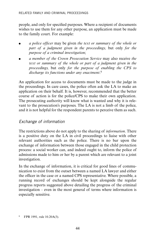people, and only for specified purposes. Where a recipient of documents wishes to use them for any other purpose, an application must be made to the family court. For example:

- *a police officer* may be given *the text or summary of the whole or part of a judgment given in the proceedings,* but only *for the purpose of a criminal investigation*;
- *a member of the Crown Prosecution Service* may also receive *the text or summary of the whole or part of a judgment given in the proceedings,* but only *for the purpose of enabling the CPS to discharge its functions under any enactment*. 8

An application for access to documents must be made to the judge in the proceedings. In care cases, the police often ask the LA to make an application on their behalf. It is, however, recommended that the better course of action is for the police/CPS to make their own application. The prosecuting authority will know what is wanted and why it is relevant to the prosecution's purposes. The LA is not a limb of the police, and it is not helpful for the respondent parents to perceive them as such.

## Exchange of information

The restrictions above do not apply to the sharing of *information*. There is a positive duty on the LA in civil proceedings to liaise with other relevant authorities such as the police. There is no bar upon the exchange of information between those engaged in the child protection process: a social worker can, and indeed ought to, inform the police of admissions made to him or her by a parent which are relevant to a joint investigation.

In the exchange of information, it is critical for good lines of communication to exist from the outset between a named LA lawyer and either the officer in the case or a named CPS representative. Where possible, a running record of exchanges should be kept alongside the regular progress reports suggested above detailing the progress of the criminal investigation – even in the most general of terms where information is especially sensitive.

FPR 1991, rule 10.20A(3).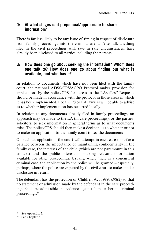## **Q: At what stages is it prejudicial/appropriate to share information?**

There is far less likely to be any issue of timing in respect of disclosure from family proceedings into the criminal arena. After all, anything filed in the civil proceedings will, save in rare circumstances, have already been disclosed to all parties including the parents.

## **Q: How does one go about seeking the information? Whom does one talk to? How does one go about finding out what is available, and who has it?**

In relation to documents which have not been filed with the family court, the national ADSS/CPS/ACPO Protocol makes provision for applications by the police/CPS for access to the LA's files. $9$  Requests should be made in accordance with the protocol in those areas in which it has been implemented. Local CPS or LA lawyers will be able to advise as to whether implementation has occurred locally.

In relation to any documents already filed in family proceedings, an approach may be made to the LA (in care proceedings), or the parties' solicitors, to seek information in general terms as to what documents exist. The police/CPS should then make a decision as to whether or not to make an application to the family court to see the documents.

On such an application, the court will attempt in each case to strike a balance between the importance of maintaining confidentiality in the family case, the interests of the child (which are not paramount in this context) and the public interest in making relevant information available for other proceedings. Usually, where there is a concurrent criminal case, the application by the police will be granted – especially, perhaps, where the police are expected by the civil court to make similar disclosure in return.

The defendant has the protection of Children Act 1989, s.98(2) so that no statement or admission made by the defendant in the care proceedings shall be admissible in evidence against him or her in criminal proceedings.10

<sup>9</sup> See Appendix 2.

<sup>&</sup>lt;sup>10</sup> See Chapter 7.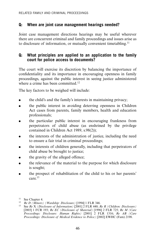## **Q: When are joint case management hearings needed?**

Joint case management directions hearings may be useful wherever there are concurrent criminal and family proceedings and issues arise as to disclosure of information, or mutually convenient timetabling.11

## **Q: What principles are applied to an application to the family court for police access to documents?**

The court will exercise its discretion by balancing the importance of confidentiality and its importance in encouraging openness in family proceedings, against the public interest in seeing justice administered where a crime has been committed.<sup>12</sup>

The key factors to be weighed will include:

- the child's and the family's interests in maintaining privacy;
- the public interest in avoiding deterring openness in Children Act cases from parents, family members, health and education professionals;
- the particular public interest in encouraging frankness from perpetrators of child abuse (as enshrined by the privilege contained in Children Act 1989, s.98(2));
- the interests of the administration of justice, including the need to ensure a fair trial in criminal proceedings;
- the interests of children generally, including that perpetrators of child abuse be brought to justice;
- the gravity of the alleged offence;
- the relevance of the material to the purpose for which disclosure is sought;
- the prospect of rehabilitation of the child to his or her parents' care.13

<sup>11</sup> See Chapter 4.

<sup>12</sup> *Re D (Minors) (Wardship: Disclosure)* [1994] 1 FLR 346.

<sup>13</sup> See *Re* X *(Disclosure of Information)* [2001] 2 FLR 440; *Re R (Children: Disclosure)* [2003] 1 FCR 193; *Re EC (Disclosure of Material)* [1996] 2 FLR 725; *Re M (Care Proceedings: Disclosure: Human Rights)* [2001] 2 FLR 1316; *Re AB (Care Proceedings: Disclosure of Medical Evidence to Police)* [2002] EWHC (Fam) 2198.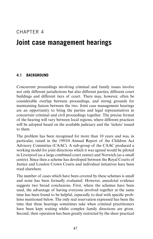## CHAPTER 4

# **Joint case management hearings**

## **4.1 BACKGROUND**

Concurrent proceedings involving criminal and family issues involve not only different jurisdictions but also different parties, different court buildings and different tiers of court. There may, however, often be considerable overlap between proceedings, and strong grounds for maintaining liaison between the two. Joint case management hearings are an opportunity to bring the parties and legal representatives in concurrent criminal and civil proceedings together. The precise format of the hearing will vary between local regions, where different practices will be adopted based on the available judiciary and the 'tickets' issued to them.

The problem has been recognised for more than 10 years and was, in particular, raised in the 1993/4 Annual Report of the Children Act Advisory Committee (CAAC). A sub-group of the CAAC produced a working model for joint directions which it was agreed would be piloted in Liverpool (as a large combined court centre) and Norwich (as a small centre). Since then a scheme has developed between the Royal Courts of Justice and London Crown Courts and individual initiatives have been tried elsewhere.

The number of cases which have been covered by these schemes is small and none has been formally evaluated. However, anecdotal evidence suggests two broad conclusions. First, where the schemes have been used, the advantage of having everyone involved together at the same time has been found to be helpful, especially to deal with specific problems mentioned below. The only real reservation expressed has been the time that these hearings sometimes take when criminal practitioners have been kept waiting whilst complex family directions are given. Second, their operation has been greatly restricted by the sheer practical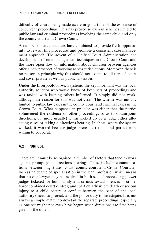difficulty of courts being made aware in good time of the existence of concurrent proceedings. This has proved so even in schemes limited to public law and criminal proceedings involving the same child and only the county court and Crown Court.

A number of circumstances have combined to provide fresh opportunity to re-visit this procedure, and promote a consistent case management approach. The advent of a Unified Court Administration, the development of case management techniques in the Crown Court and the more open flow of information about children between agencies offer a new prospect of working across jurisdictions. Moreover, there is no reason in principle why this should not extend to all tiers of court and cover private as well as public law issues.

Under the Liverpool/Norwich systems, the key informant was the local authority solicitor who would know of both sets of proceedings and was tasked with keeping others informed. It simply did not work, although the reason for this was not clear. The scheme was initially limited to public law cases in the county court and criminal cases in the Crown Court. What happened in practice was either that the parties volunteered the existence of other proceedings so as to obtain joint directions, or (more usually) it was picked up by a judge either allocating cases or taking a directions hearing. In short, where the system worked, it worked because judges were alert to it and parties were willing to cooperate.

## **4.2 PURPOSE**

There are, it must be recognised, a number of factors that tend to work against prompt joint directions hearings. These include: communications between magistrates' court, county court and Crown Court; an increasing degree of specialisation in the legal profession which means that no one lawyer may be involved in both sets of proceedings; fewer judges ticketed for both family and serious sexual offences in crime; fewer combined court centres; and, particularly where death or serious injury to a child occurs, a conflict between the pace of the local authority's need to protect, and the police duty to investigate. It is not always a simple matter to dovetail the separate proceedings, especially as one set might not even have begun when directions are first being given in the other.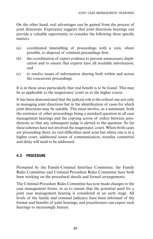On the other hand, real advantages can be gained from the process of joint directions. Experience suggests that joint directions hearings can provide a valuable opportunity to consider the following three specific matters:

- (a) coordinated timetabling of proceedings with a view, where possible, to disposal of criminal proceedings first;
- (b) the coordination of expert evidence to prevent unnecessary duplication and to ensure that experts have all available information; and
- (c) to resolve issues of information sharing both within and across the concurrent proceedings.

It is in these areas particularly that real benefit is to be found. This may be as applicable to the magistrates' court as to the higher courts.

It has been demonstrated that the judicial role is the critical one not only in managing joint directions but in the identification of cases for which joint directions may be suitable. This must involve, as a minimum, both the existence of other proceedings being a standard question in all case management hearings and the copying across of orders between jurisdictions so that any subsequent judge is alerted to the question. So far these schemes have not involved the magistrates' court. Where both cases are proceeding there, no real difficulties need arise but where one is in a higher court, additional issues of communication, transfer, committal and delay will need to be addressed.

## **4.3 PROCEDURE**

Prompted by the Family-Criminal Interface Committee, the Family Rules Committee and Criminal Procedure Rules Committee have both been working on the procedural details and formal arrangements.

The Criminal Procedure Rules Committee has now made changes to the case management forms, so as to ensure that the potential need for a joint case management hearing is considered at an early stage. All levels of the family and criminal judiciary have been informed of the format and benefits of joint hearings, and practitioners can expect such hearings to increasingly feature.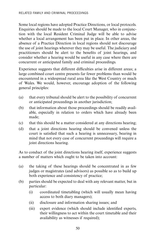Some local regions have adopted Practice Directions, or local protocols. Enquiries should be made to the local Court Manager, who in conjunction with the local Resident Criminal Judge will be able to advise whether a local arrangement has been put in place. In other areas, the absence of a Practice Direction in local regions should not discourage the use of joint hearings wherever they may be useful. The judiciary and practitioners should be alert to the benefits of joint hearings, and consider whether a hearing would be useful in any case where there are concurrent or anticipated family and criminal proceedings.

Experience suggests that different difficulties arise in different areas; a large combined court centre presents far fewer problems than would be encountered in a widespread rural area like the West Country or much of Wales. We would, however, encourage adoption of the following general principles:

- (a) that every tribunal should be alert to the possibility of concurrent or anticipated proceedings in another jurisdiction;
- (b) that information about those proceedings should be readily available, especially in relation to orders which have already been made;
- (c) that this should be a matter considered at any directions hearing;
- (d) that a joint directions hearing should be convened unless the court is satisfied that such a hearing is unnecessary, bearing in mind that not every case of concurrent proceedings will require a joint directions hearing.

As to conduct of the joint directions hearing itself, experience suggests a number of matters which ought to be taken into account:

- (a) the taking of these hearings should be concentrated in as few judges or magistrates (and advisors) as possible so as to build up both experience and consistency of practice;
- (b) parties should be expected to deal with any relevant matter, but in particular:
	- (i) coordinated timetabling (which will usually mean having access to both diary managers);
	- (ii) disclosure and information sharing issues; and
	- (iii) expert evidence (which should include identified experts, their willingness to act within the court timetable and their availability as witnesses if required);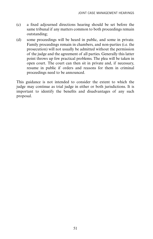- (c) a fixed adjourned directions hearing should be set before the same tribunal if any matters common to both proceedings remain outstanding;
- (d) some proceedings will be heard in public, and some in private. Family proceedings remain in chambers, and non-parties (i.e. the prosecution) will not usually be admitted without the permission of the judge and the agreement of all parties. Generally this latter point throws up few practical problems. The plea will be taken in open court. The court can then sit in private and, if necessary, resume in public if orders and reasons for them in criminal proceedings need to be announced.

This guidance is not intended to consider the extent to which the judge may continue as trial judge in either or both jurisdictions. It is important to identify the benefits and disadvantages of any such proposal.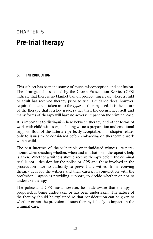## CHAPTER<sub>5</sub>

# **Pre-trial therapy**

#### **5.1 INTRODUCTION**

This subject has been the source of much misconception and confusion. The clear guidelines issued by the Crown Prosecution Service (CPS) indicate that there is no blanket ban on prosecuting a case where a child or adult has received therapy prior to trial. Guidance does, however, require that care is taken as to the *types* of therapy used. It is the nature of the therapy that is a key issue, rather than the occurrence itself and many forms of therapy will have no adverse impact on the criminal case.

It is important to distinguish here between therapy and other forms of work with child witnesses, including witness preparation and emotional support. Both of the latter are perfectly acceptable. This chapter relates only to issues to be considered before embarking on therapeutic work with a child.

The best interests of the vulnerable or intimidated witness are paramount when deciding whether, when and in what form therapeutic help is given. Whether a witness should receive therapy before the criminal trial is not a decision for the police or CPS and those involved in the prosecution have no authority to prevent any witness from receiving therapy. It is for the witness and their carers, in conjunction with the professional agencies providing support, to decide whether or not to undertake therapy.

The police and CPS must, however, be made aware that therapy is proposed, is being undertaken or has been undertaken. The nature of the therapy should be explained so that consideration can be given to whether or not the provision of such therapy is likely to impact on the criminal case.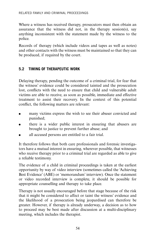Where a witness has received therapy, prosecutors must then obtain an assurance that the witness did not, in the therapy session(s), say anything inconsistent with the statement made by the witness to the police.

Records of therapy (which include videos and tapes as well as notes) and other contacts with the witness must be maintained so that they can be produced, if required by the court.

### **5.2 TIMING OF THERAPEUTIC WORK**

Delaying therapy, pending the outcome of a criminal trial, for fear that the witness' evidence could be considered tainted and the prosecution lost, conflicts with the need to ensure that child and vulnerable adult victims are able to receive, as soon as possible, immediate and effective treatment to assist their recovery. In the context of this potential conflict, the following matters are relevant:

- many victims express the wish to see their abuser convicted and punished;
- there is a wider public interest in ensuring that abusers are brought to justice to prevent further abuse; and
- all accused persons are entitled to a fair trial.

It therefore follows that both care professionals and forensic investigators have a mutual interest in ensuring, wherever possible, that witnesses who receive therapy prior to a criminal trial are regarded as able to give a reliable testimony.

The evidence of a child in criminal proceedings is taken at the earliest opportunity by way of video interview (sometimes called the 'Achieving Best Evidence' (ABE) or 'memorandum' interview). Once the statement or video recorded interview is complete, it should be possible for appropriate counselling and therapy to take place.

Therapy is not usually encouraged before that stage because of the risk that it might be considered to affect or taint the witness' evidence and the likelihood of a prosecution being jeopardised can therefore be greater. However, if therapy is already underway, a decision as to how to proceed may be best made after discussion at a multi-disciplinary meeting, which includes the therapist.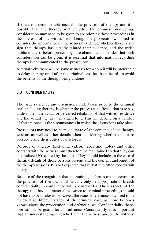If there is a demonstrable need for the provision of therapy and it is possible that the therapy will prejudice the criminal proceedings, consideration may need to be given to abandoning those proceedings in the interests of the witness' well being. The prosecutor will need to consider the importance of the witness' evidence, whether there is any sign that therapy has already tainted their evidence, and the wider public interest, before proceedings are abandoned. In order that such consideration can be given, it is essential that information regarding therapy is communicated to the prosecutor.

Alternatively, there will be some witnesses for whom it will be preferable to delay therapy until after the criminal case has been heard, to avoid the benefits of the therapy being undone.

### **5.3 CONFIDENTIALITY**

The issue raised by any discussions undertaken prior to the criminal trial, including therapy, is whether the process can affect – that is to say, undermine – the actual or perceived reliability of that witness' evidence and the weight the jury will attach to it. This will depend on a number of factors, such as the circumstances in which the discussions take place.

Prosecutors may need to be made aware of the contents of the therapy sessions as well as other details when considering whether or not to prosecute and their duties of disclosure.

Records of therapy (including videos, tapes and notes) and other contacts with the witness must therefore be maintained so that they can be produced *if* required by the court. They should include, in the case of therapy, details of those persons present and the content and length of the therapy sessions. It is not expected that verbatim written records will be kept.

Because of the recognition that maintaining a client's trust is central to the provision of therapy, it will usually only be appropriate to breach confidentiality in compliance with a court order. Those aspects of the therapy that have no material relevance to criminal proceedings should not have to be disclosed. However, the issue of relevance may need to be reviewed at different stages of the criminal case, as more becomes known about the prosecution and defence cases. Confidentiality therefore cannot be guaranteed in advance. Consequently, it is important that an understanding is reached with the witness and/or the witness'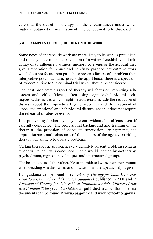carers at the outset of therapy, of the circumstances under which material obtained during treatment may be required to be disclosed.

### **5.4 EXAMPLES OF TYPES OF THERAPEUTIC WORK**

Some types of therapeutic work are more likely to be seen as prejudicial and thereby undermine the perception of a witness' credibility and reliability or to influence a witness' memory of events or the account they give. Preparation for court and carefully planned preventative work which does not focus upon past abuse presents far less of a problem than interpretive psychodynamic psychotherapy. Hence, there is a spectrum of evidential risk to the criminal trial which should be considered.

The least problematic aspect of therapy will focus on improving selfesteem and self-confidence, often using cognitive/behavioural techniques. Other issues which might be addressed include the reduction of distress about the impending legal proceedings and the treatment of associated emotional and behavioural disturbance that does not require the rehearsal of abusive events.

Interpretive psychotherapy may present evidential problems even if carefully conducted. The professional background and training of the therapist, the provision of adequate supervision arrangements, the appropriateness and robustness of the policies of the agency providing therapy will all help to obviate problems.

Certain therapeutic approaches very definitely present problems so far as evidential reliability is concerned. These would include hypnotherapy, psychodrama, regression techniques and unstructured groups.

The best interests of the vulnerable or intimidated witness are paramount when deciding whether, when and in what form therapeutic help is given.

Full guidance can be found in *Provision of Therapy for Child Witnesses Prior to a Criminal Trial (Practice Guidance)* published in 2001 and in *Provision of Therapy for Vulnerable or Intimidated Adult Witnesses Prior to a Criminal Trial (Practice Guidance)* published in 2002. Both of these documents can be found at **www.cps.gov.uk** and **www.homeoffice.gov.uk**.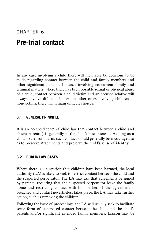# CHAPTER 6 **Pre-trial contact**

In any case involving a child there will inevitably be decisions to be made regarding contact between the child and family members and other significant persons. In cases involving concurrent family and criminal matters, where there has been possible sexual or physical abuse of a child, contact between a child victim and an accused relative will always involve difficult choices. In other cases involving children as non-victims, there will remain difficult choices.

#### **6.1 GENERAL PRINCIPLE**

It is an accepted tenet of child law that contact between a child and absent parent(s) is generally in the child's best interests. As long as a child is safe from harm, such contact should generally be encouraged so as to preserve attachments and preserve the child's sense of identity.

#### **6.2 PUBLIC LAW CASES**

Where there is a suspicion that children have been harmed, the local authority (LA) is likely to seek to restrict contact between the child and the suspected perpetrator. The LA may ask that agreements be signed by parents, requiring that the suspected perpetrator leave the family home and restricting contact with him or her. If the agreement is breached and contact nevertheless takes place, the LA may take further action, such as removing the children.

Following the issue of proceedings, the LA will usually seek to facilitate some form of supervised contact between the child and the child's parents and/or significant extended family members. Liaison may be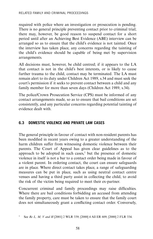required with police where an investigation or prosecution is pending. There is no general principle preventing contact prior to criminal trial; there may, however, be good reason to suspend contact for a short period until after an Achieving Best Evidence (ABE) interview can be arranged so as to ensure that the child's evidence is not tainted. Once the interview has taken place, any concerns regarding the tainting of the child's evidence should be capable of being met by supervision arrangements.

All decisions must, however, be child centred; if it appears to the LA that contact is not in the child's best interests, or is likely to cause further trauma to the child, contact may be terminated. The LA must remain alert to its duty under Children Act 1989, s.34 and must seek the court's permission if it seeks to prevent contact between a child and any family member for more than seven days (Children Act 1989, s.34).

The police/Crown Prosecution Service (CPS) must be informed of any contact arrangements made, so as to ensure that bail conditions are set consistently, and any particular concerns regarding potential tainting of evidence dealt with.

#### **6.3 DOMESTIC VIOLENCE AND PRIVATE LAW CASES**

The general principle in favour of contact with non-resident parents has been modified in recent years owing to a greater understanding of the harm children suffer from witnessing domestic violence between their parents. The Court of Appeal has given clear guidelines as to the approach to be adopted in such cases, $<sup>1</sup>$  but the presence of domestic</sup> violence in itself is not a bar to a contact order being made in favour of a violent parent. In ordering contact, the court can ensure safeguards are in place. Where direct contact takes place, a range of safeguarding measures can be put in place, such as using neutral contact centre venues and having a third party assist in collecting the child, to avoid the risk of the victim being required to meet their ex-partner.

Concurrent criminal and family proceedings may raise difficulties. Where there are bail conditions forbidding an accused from attending the family property, care must be taken to ensure that the family court does not simultaneously grant a conflicting contact order. Conversely,

<sup>1</sup> See *Re L, M, V and H* [2001] 2 WLR 339; [2000] 4 All ER 609; [2000] 2 FLR 334.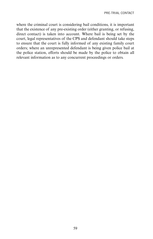where the criminal court is considering bail conditions, it is important that the existence of any pre-existing order (either granting, or refusing, direct contact) is taken into account. Where bail is being set by the court, legal representatives of the CPS and defendant should take steps to ensure that the court is fully informed of any existing family court orders; where an unrepresented defendant is being given police bail at the police station, efforts should be made by the police to obtain all relevant information as to any concurrent proceedings or orders.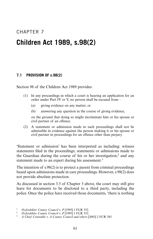## CHAPTER 7

# **Children Act 1989, s.98(2)**

#### **7.1 PROVISION OF s.98(2)**

Section 98 of the Children Act 1989 provides:

- (1) In any proceedings in which a court is hearing an application for an order under Part IV or V, no person shall be excused from –
	- (a) giving evidence on any matter; or
	- (b) answering any question in the course of giving evidence,

on the ground that doing so might incriminate him or his spouse or civil partner of an offence.

(2) A statement or admission made in such proceedings shall not be admissible in evidence against the person making it or his spouse or civil partner in proceedings for an offence other than perjury.

'Statement or admission' has been interpreted as including: witness statements filed in the proceedings; statements or admissions made to the Guardian during the course of his or her investigation;<sup>2</sup> and any statement made to an expert during his assessment.<sup>3</sup>

The intention of s.98(2) is to protect a parent from criminal proceedings based upon admissions made in care proceedings. However, s.98(2) does not provide absolute protection.

As discussed in section 3.3 of Chapter 3 above, the court may still give leave for documents to be disclosed to a third party, including the police. Once the police have received those documents, 'there is nothing

<sup>1</sup> *Oxfordshire County Council* v. *P* [1995] 1 FLR 552.

<sup>2</sup> *Oxfordshire County Council* v. *P* [1995] 1 FLR 552.

<sup>3</sup> *A Chief Constable* v. *A County Council and others* [2003] 2 FCR 385.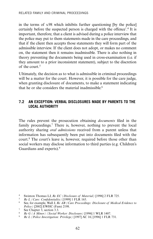in the terms of s.98 which inhibits further questioning [by the police] certainly before the suspected person is charged with the offence'.4 It is important, therefore, that a client is advised during a police interview that the police may put to them statements made in the care proceedings, and that if the client then accepts those statements they will form part of the admissible interview. If the client does not adopt, or makes no comment on, the statement then it remains inadmissible. There is also nothing in theory preventing the documents being used in cross-examination (i.e. if they amount to a prior inconsistent statement), subject to the discretion of the court.5

Ultimately, the decision as to what is admissible in criminal proceedings will be a matter for the court. However, it is possible for the care judge, when granting disclosure of documents, to make a statement indicating that he or she considers the material inadmissible.<sup>6</sup>

#### **7.2 AN EXCEPTION: VERBAL DISCLOSURES MADE BY PARENTS TO THE LOCAL AUTHORITY**

The rules prevent the prosecution obtaining *documents* filed in the family proceedings.<sup>7</sup> There is, however, nothing to prevent the local authority sharing *oral admissions* received from a parent unless that information has subsequently been put into documents filed with the court.8 The court's leave is, however, required before those other than social workers may disclose information to third parties (e.g. Children's Guardians and experts).<sup>9</sup>

<sup>4</sup> Swinton Thomas LJ, *Re EC (Disclosure of Material)* [1996] 2 FLR 725.

<sup>5</sup> *Re L (Care: Confidentiality)* [1999] 1 FLR 165.

<sup>6</sup> See, for example, Wall J, *Re AB (Care Proceedings: Disclosure of Medical Evidence to Police)* [2002] EWHC (Fam) 2198.

<sup>7</sup> See Chapter 3, section 3.3.

<sup>8</sup> *Re G (A Minor) (Social Worker: Disclosure)* [1996] 1 WLR 1407.

<sup>9</sup> *Re L (Police Investigation: Privilege)* [1997] AC 16; [1996] 1 FLR 731.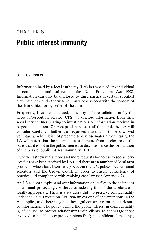## CHAPTER 8

## **Public interest immunity**

#### **8.1 OVERVIEW**

Information held by a local authority (LA) in respect of any individual is confidential and subject to the Data Protection Act 1998. Information can only be disclosed to third parties in certain specified circumstances, and otherwise can only be disclosed with the consent of the data subject or by order of the court.

Frequently, LAs are requested, either by defence solicitors or by the Crown Prosecution Service (CPS), to disclose information from their social services files relating to investigations or information received in respect of children. On receipt of a request of this kind, the LA will consider carefully whether the requested material is to be disclosed voluntarily. Where it is not prepared to disclose material voluntarily, the LA will assert that the information is immune from disclosure on the basis that it is not in the public interest to disclose, hence the formulation of the phrase 'public interest immunity' (PII).

Over the last few years more and more requests for access to social services files have been received by LAs and there are a number of local area protocols which have been set up between the LA, police, local criminal solicitors and the Crown Court, in order to ensure consistency of practice and compliance with evolving case law (see Appendix 2).

An LA cannot simply hand over information on its files to the defendant in criminal proceedings, without considering first if the disclosure is legally appropriate. There is a statutory duty to preserve confidentiality under the Data Protection Act 1998 unless one of the exceptions in the Act applies, and there may be other legal constraints on the disclosure of information. The policy behind the public interest in confidentiality is, of course, to protect relationships with clients, to encourage those involved to be able to express opinions freely in confidential meetings,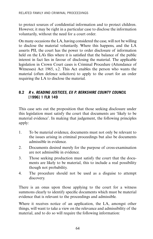to protect sources of confidential information and to protect children. However, it may be right in a particular case to disclose the information voluntarily, without the need for a court order.

On many occasions the LA, having considered the case, will not be willing to disclose the material voluntarily. Where this happens, and the LA asserts PII, the court has the power to order disclosure of information held on the LA's files where it is satisfied that the balance of the public interest in fact lies in favour of disclosing the material. The applicable legislation in Crown Court cases is Criminal Procedure (Attendance of Witnesses) Act 1965, s.2. This Act enables the person who wants the material (often defence solicitors) to apply to the court for an order requiring the LA to disclose the material.

#### **8.2 R v. READING JUSTICES, EX P. BERKSHIRE COUNTY COUNCIL [1996] 1 FLR 149**

This case sets out the proposition that those seeking disclosure under this legislation must satisfy the court that documents are 'likely to be material evidence'. In making that judgement, the following principles apply:

- 1. To be material evidence, documents must not only be relevant to the issues arising in criminal proceedings but also be documents admissible in evidence.
- 2. Documents desired merely for the purpose of cross-examination are not admissible in evidence.
- 3. Those seeking production must satisfy the court that the documents are likely to be material, this to include a real possibility though not probability.
- 4. The procedure should not be used as a disguise to attempt discovery.

There is an onus upon those applying to the court for a witness summons clearly to identify specific documents which must be material evidence that is relevant to the proceedings and admissible.

Where it receives notice of an application, the LA, amongst other things, will want to take a view on the relevance and admissibility of the material, and to do so will require the following information: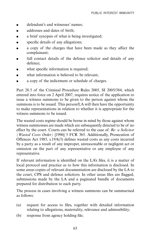- defendant's and witnesses' names:
- addresses and dates of birth;
- a brief synopsis of what is being investigated:
- specific details of any allegations:
- a copy of the charges that have been made as they affect the complainant;
- full contact details of the defence solicitor and details of any defence;
- what specific information is required;
- what information is believed to be relevant;
- a copy of the indictment or schedule of charges.

Part 28.5 of the Criminal Procedure Rules 2005, SI 2005/384, which entered into force on 2 April 2007, requires notice of the application to issue a witness summons to be given to the person against whom the summons is to be issued. This person/LA will then have the opportunity to make representations in relation to whether it is appropriate for the witness summons to be issued.

The wasted costs regime should be borne in mind by those against whom witness summonses are made which are subsequently directed to be of no effect by the court. Courts can be referred to the case of: *Re: a Solicitor (Wasted Costs Order)* [1996] 3 FCR 365. Additionally, Prosecution of Offences Act 1985, s.19A(3) defines wasted costs as any costs incurred by a party as a result of any improper, unreasonable or negligent act or omission on the part of any representative or any employee of any representative.

If relevant information is identified on the LA's files, it is a matter of local protocol and practice as to how this information is disclosed. In some areas copies of relevant documentation are disclosed by the LA to the court, CPS and defence solicitors. In other areas files are flagged, submissions made by the LA and a paginated bundle of documents prepared for distribution to each party.

The process in cases involving a witness summons can be summarised as follows:

- (a) request for access to files, together with detailed information relating to allegations, materiality, relevance and admissibility;
- (b) response from agency holding file;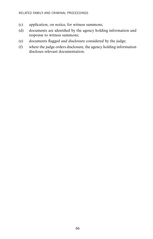#### RELATED FAMILY AND CRIMINAL PROCEEDINGS

- (c) application, on notice, for witness summons;
- (d) documents are identified by the agency holding information and response to witness summons;
- (e) documents flagged and disclosure considered by the judge;
- (f) where the judge orders disclosure, the agency holding information discloses relevant documentation.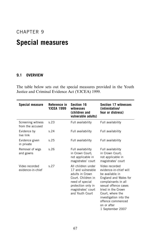## CHAPTER 9

# **Special measures**

#### **9.1 OVERVIEW**

The table below sets out the special measures provided in the Youth Justice and Criminal Evidence Act (YJCEA) 1999.

| <b>Special measure</b>                | Reference in<br>YJCEA 1999 | <b>Section 16</b><br>witnesses<br>(children and<br>vulnerable adults)                                                                                              | <b>Section 17 witnesses</b><br>(intimidation/<br>fear or distress)                                                                                                                                                                                              |
|---------------------------------------|----------------------------|--------------------------------------------------------------------------------------------------------------------------------------------------------------------|-----------------------------------------------------------------------------------------------------------------------------------------------------------------------------------------------------------------------------------------------------------------|
| Screening witness<br>from the accused | s.23                       | Full availability                                                                                                                                                  | Full availability                                                                                                                                                                                                                                               |
| Evidence by<br>live link              | s.24                       | Full availability                                                                                                                                                  | Full availability                                                                                                                                                                                                                                               |
| Evidence given<br>in private          | s.25                       | Full availability                                                                                                                                                  | Full availability                                                                                                                                                                                                                                               |
| Removal of wigs<br>and gowns          | s.26                       | Full availability<br>in Crown Court;<br>not applicable in<br>magistrates' court                                                                                    | Full availability<br>in Crown Court;<br>not applicable in<br>magistrates' court                                                                                                                                                                                 |
| Video recorded<br>evidence-in-chief   | s.27                       | All children under<br>17 and vulnerable<br>adults in Crown<br>Court. Children in<br>need of special<br>protection only in<br>magistrates' court<br>and Youth Court | Video recorded<br>evidence-in-chief will<br>be available in<br>England and Wales for<br>complainants in all<br>sexual offence cases<br>tried in the Crown<br>Court, where the<br>investigation into the<br>offence commenced<br>on or after<br>1 September 2007 |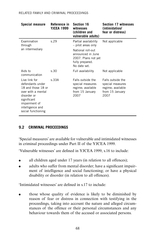#### RELATED FAMILY AND CRIMINAL PROCEEDINGS

| Special measure                                                                                                                                                        | Reference in<br><b>YJCEA 1999</b> | <b>Section 16</b><br>witnesses<br>(children and<br>vulnerable adults)                            | <b>Section 17 witnesses</b><br>(intimidation/<br>fear or distress)                    |
|------------------------------------------------------------------------------------------------------------------------------------------------------------------------|-----------------------------------|--------------------------------------------------------------------------------------------------|---------------------------------------------------------------------------------------|
| Examination<br>through                                                                                                                                                 | s.29                              | Partial availability<br>- pilot areas only                                                       | Not applicable                                                                        |
| an intermediary                                                                                                                                                        |                                   | National roll-out<br>announced in June<br>2007. Plans not yet<br>fully prepared.<br>No date set. |                                                                                       |
| Aids to<br>communication                                                                                                                                               | s.30                              | Full availability                                                                                | Not applicable                                                                        |
| Live link for<br>defendants under<br>18 and those 18 or<br>over with a mental<br>disorder or<br>significant<br>impairment of<br>intelligence and<br>social functioning | s.33A                             | Falls outside the<br>special measures<br>regime; available<br>from 15 January<br>2007            | Falls outside the<br>special measures<br>regime; available<br>from 15 January<br>2007 |

#### **9.2 CRIMINAL PROCEEDINGS**

'Special measures' are available for vulnerable and intimidated witnesses in criminal proceedings under Part II of the YJCEA 1999.

'Vulnerable witnesses' are defined in YJCEA 1999, s.16 to include:

- all children aged under 17 years (in relation to all offences);
- adults who suffer from mental disorder; have a significant impairment of intelligence and social functioning; or have a physical disability or disorder (in relation to all offences).

'Intimidated witnesses' are defined in s.17 to include:

those whose quality of evidence is likely to be diminished by reason of fear or distress in connection with testifying in the proceedings, taking into account the nature and alleged circumstances of the offence or their personal circumstances and any behaviour towards them of the accused or associated persons.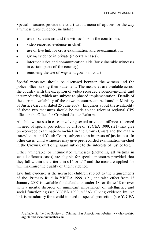Special measures provide the court with a menu of options for the way a witness gives evidence, including:

- use of screens around the witness box in the courtroom:
- video recorded evidence-in-chief:
- use of live link for cross-examination and re-examination;
- giving evidence in private (in certain cases);
- intermediaries and communication aids (for vulnerable witnesses in certain parts of the country);
- removing the use of wigs and gowns in court.

Special measures should be discussed between the witness and the police officer taking their statement. The measures are available across the country with the exception of video recorded evidence-in-chief and intermediaries, which are subject to phased implementation. Details of the current availability of these two measures can be found in Ministry of Justice Circular dated 25 June 2007.1 Enquiries about the availability of these two measures should be made to the relevant regional CPS office or the Office for Criminal Justice Reform.

All child witnesses in cases involving sexual or violent offences (deemed 'in need of special protection' by virtue of YJCEA 1999, s.21) may give pre-recorded examination-in-chief in the Crown Court and the magistrates' court and Youth Court, subject to an interests of justice test. In other cases, child witnesses may give pre-recorded examination-in-chief in the Crown Court only, again subject to the interests of justice test.

Other vulnerable or intimidated witnesses (including all victims in sexual offences cases) are eligible for special measures provided that they fall within the criteria in s.16 or s.17 and the measure applied for will maximise the quality of their evidence.

Live link evidence is the norm for children subject to the requirements of the 'Primary Rule' in YJCEA 1999, s.21, and with effect from 15 January 2007 is available for defendants under 18, or those 18 or over with a mental disorder or significant impairment of intelligence and social functioning (see YJCEA 1999, s.33A). Giving evidence by live link is mandatory for a child in need of special protection (see YJCEA

<sup>1</sup> Available via the Law Society or Criminal Bar Association websites: **www.lawsociety. org.uk** and **www.criminalbar.com**.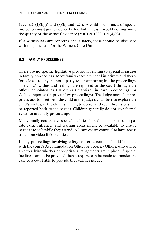1999, s.  $21(1)(b)(i)$  and  $(3)(b)$  and s.  $24$ ). A child not in need of special protection must give evidence by live link unless it would not maximise the quality of the witness' evidence (YJCEA 1999, s.21(4)(c)).

If a witness has any concerns about safety, these should be discussed with the police and/or the Witness Care Unit.

### **9.3 FAMILY PROCEEDINGS**

There are no specific legislative provisions relating to special measures in family proceedings. Most family cases are heard in private and therefore closed to anyone not a party to, or appearing in, the proceedings. The child's wishes and feelings are reported to the court through the officer appointed as Children's Guardian (in care proceedings) or Cafcass reporter (in private law proceedings). The judge may, if appropriate, ask to meet with the child in the judge's chambers to explore the child's wishes, if the child is willing to do so, and such discussions will be reported back to the parties. Children generally do not give formal evidence in family proceedings.

Many family courts have special facilities for vulnerable parties – separate exits, entrances and waiting areas might be available to ensure parties are safe while they attend. All care centre courts also have access to remote video link facilities.

In any proceedings involving safety concerns, contact should be made with the court's Accommodation Officer or Security Officer, who will be able to advise whether appropriate arrangements are in place. If special facilities cannot be provided then a request can be made to transfer the case to a court able to provide the facilities needed.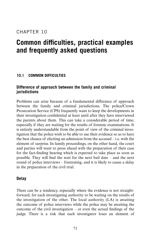## CHAPTER 10

# **Common difficulties, practical examples and frequently asked questions**

#### **10.1 COMMON DIFFICULTIES**

#### **Difference of approach between the family and criminal jurisdictions**

Problems can arise because of a fundamental difference of approach between the family and criminal jurisdictions. The police/Crown Prosecution Service (CPS) frequently want to keep the developments in their investigation confidential at least until after they have interviewed the parents about them. This can take a considerable period of time, especially if they are waiting for the results of forensic examinations. It is entirely understandable from the point of view of the criminal investigation that the police wish to be able to use their evidence so as to have the best chance of eliciting an admission from the accused – i.e. with the element of surprise. In family proceedings, on the other hand, the court and parties will want to press ahead with the preparation of their case for the fact-finding hearing which is expected to take place as soon as possible. They will find the wait for the next bail date – and the next round of police interviews – frustrating, and it is likely to cause a delay in the preparation of the civil trial.

#### **Delay**

There can be a tendency, especially where the evidence is not straightforward, for each investigating authority to be waiting on the results of the investigation of the other. The local authority (LA) is awaiting the outcome of police interviews while the police may be awaiting the outcome of the civil investigation – or even the actual findings of the judge. There is a risk that each investigator loses an element of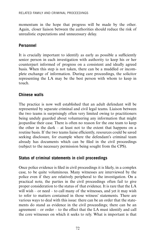momentum in the hope that progress will be made by the other. Again, closer liaison between the authorities should reduce the risk of unrealistic expectations and unnecessary delay.

## **Personnel**

It is crucially important to identify as early as possible a sufficiently senior person in each investigation with authority to keep his or her counterpart informed of progress on a consistent and ideally agreed basis. When this step is not taken, there can be a muddled or incomplete exchange of information. During care proceedings, the solicitor representing the LA may be the best person with whom to keep in touch.

## **Chinese walls**

The practice is now well established that an adult defendant will be represented by separate criminal and civil legal teams. Liaison between the two teams is surprisingly often very limited owing to practitioners being unduly guarded about volunteering any information that might jeopardise their case. There is often no reason for the one team to keep the other in the dark – at least not to the extent that happens on a routine basis. If the two teams liaise efficiently, resources could be saved seeking disclosure, for example where the defendant's criminal team already has documents which can be filed in the civil proceedings (subject to the necessary permission being sought from the CPS).

## **Status of criminal statements in civil proceedings**

Once police evidence is filed in civil proceedings it is likely, in a complex case, to be quite voluminous. Many witnesses are interviewed by the police even if they are relatively peripheral to the investigation. On a practical note, the parties in the civil proceedings often fail to give proper consideration to the status of that evidence. It is rare that the LA will wish – or need – to call many of the witnesses, and yet it may wish to refer to matters contained in those witness' statements. There are various ways to deal with this issue: there can be an order that the statements do stand as evidence in the civil proceedings; there can be an agreement – or order – to the effect that the LA must identify and call the core witnesses on which it seeks to rely. What is important is that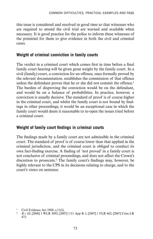this issue is considered and resolved in good time so that witnesses who are required to attend the civil trial are warned and available when necessary. It is good practice for the police to inform these witnesses of the potential for them to give evidence in both the civil and criminal cases.

### **Weight of criminal conviction in family courts**

The verdict in a criminal court which comes first in time before a final family court hearing will be given great weight by the family court. In a civil (family) court, a conviction for an offence, once formally proved by the relevant documentation, establishes the commission of that offence unless the defendant proves that he or she did not commit the offence.<sup>1</sup> The burden of disproving the conviction would be on the defendant, and would be on a balance of probabilities. In practice, however, a conviction is usually decisive. The standard of proof is of course higher in the criminal court, and whilst the family court is not bound by findings in other proceedings, it would be an exceptional case in which the family court would deem it reasonable to re-open the issues tried before a criminal court.

### **Weight of family court findings in criminal courts**

The findings made by a family court are not admissible in the criminal court. The standard of proof is of course lower than that applied in the criminal jurisdiction, and the criminal court is obliged to conduct its own fact-finding exercise. A finding of 'not proved' in a family court is not conclusive of criminal proceedings, and does not affect the Crown's discretion to prosecute.<sup>2</sup> The family court's findings may, however, be highly relevant to the CPS in its decisions relating to charge, and to the court's views on sentence.

Civil Evidence Act 1968, s.11(2).

<sup>2</sup> *R* v *SL* [2006] 1 WLR 3092; [2007] 1 Cr App R 1; [2007] 1 FLR 462; [2007] Crim LR 472.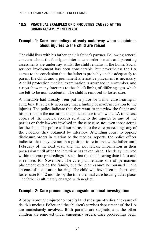#### **10.2 PRACTICAL EXAMPLES OF DIFFICULTIES CAUSED AT THE CRIMINAL/FAMILY INTERFACE**

#### **Example 1: Care proceedings already underway when suspicions about injuries to the child are raised**

The child lives with his father and his father's partner. Following general concerns about the family, an interim care order is made and parenting assessments are underway, whilst the child remains in the home. Social services involvement has been considerable, but nevertheless the LA comes to the conclusion that the father is probably unable adequately to parent the child, and a permanent alternative placement is necessary. A child protection medical examination is arranged in November, and x-rays show many fractures to the child's limbs, of differing ages, which are felt to be non-accidental. The child is removed to foster care.

A timetable had already been put in place for a final care hearing in June/July. It is clearly necessary that a finding be made in relation to the injuries. The police indicate that they want to interview the father and his partner; in the meantime the police refuse to allow the LA to release copies of the medical records relating to the injuries to any of the parties or their lawyers involved in the care case, not even those acting for the child. The police will not release into the care proceedings any of the evidence they obtained by interview. Attending court to oppose disclosure orders in relation to the medical reports, the police officer indicates that they are not in a position to re-interview the father until February of the next year, and will not release information in their possession until after the interview has taken place. The delay incurred within the care proceedings is such that the final hearing date is lost and is re-listed for November. The care plan remains one of permanent placement outside the family, but the plan cannot be pursued in the absence of a causation hearing. The child will have been in short-term foster care for 12 months by the time the final care hearing takes place. The father is ultimately charged with neglect.

#### **Example 2: Care proceedings alongside criminal investigation**

A baby is brought injured to hospital and subsequently dies; the cause of death is unclear. Police and the children's services department of the LA are immediately involved. Both parents are suspects, and the other children are removed under emergency orders. Care proceedings begin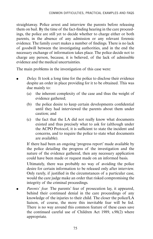straightaway. Police arrest and interview the parents before releasing them on bail. By the time of the fact-finding hearing in the care proceedings, the police are still yet to decide whether to charge either or both parents, in the absence of any admission or any relevant forensic evidence. The family court makes a number of findings. There is no lack of goodwill between the investigating authorities, and in the end the necessary exchange of information takes place. The police decide not to charge any person, because, it is believed, of the lack of admissible evidence and the medical uncertainties.

The main problems in the investigation of this case were:

- *Delay.* It took a long time for the police to disclose their evidence despite an order in place providing for it to be obtained. This was due mainly to:
	- (a) the inherent complexity of the case and thus the weight of evidence gathered;
	- (b) the police desire to keep certain developments confidential until they had interviewed the parents about them under caution; and
	- (c) the fact that the LA did not really know what documents existed and thus precisely what to ask for (although under the ACPO Protocol, it is sufficient to state the incident and concerns, and to require the police to state what documents are available).

If there had been an ongoing 'progress report' made available by the police detailing the progress of the investigation and the nature of the evidence gathered, then any necessary application could have been made or request made on an informed basis.

Ultimately, there was probably no way of avoiding the police desire for certain information to be released only after interview. Only rarely, if justified in the circumstances of a particular case, would the care judge make an order that risked compromising the integrity of the criminal proceedings.

Parents' fear. The parents' fear of prosecution lay, it appeared, behind their continued denial in the care proceedings of any knowledge of the injuries to their child. The closer the police/LA liaison, of course, the more this inevitable fear will be fed. There is no way around this common feature of these cases save the continued careful use of Children Act 1989, s.98(2) where appropriate.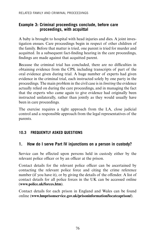### **Example 3: Criminal proceedings conclude, before care proceedings, with acquittal**

A baby is brought to hospital with head injuries and dies. A joint investigation ensues. Care proceedings begin in respect of other children of the family. Before that matter is tried, one parent is tried for murder and acquitted. In a subsequent fact-finding hearing in the care proceedings, findings are made against that acquitted parent.

Because the criminal trial has concluded, there are no difficulties in obtaining evidence from the CPS, including transcripts of part of the oral evidence given during trial. A huge number of experts had given evidence in the criminal trial, each instructed solely by one party in the proceedings. The main problem in the civil case is in *limiting* the evidence actually relied on during the care proceedings, and in managing the fact that the experts who came again to give evidence had originally been instructed unilaterally, rather than jointly as they would usually have been in care proceedings.

The exercise requires a tight approach from the LA, close judicial control and a responsible approach from the legal representatives of the parents.

## **10.3 FREQUENTLY ASKED QUESTIONS**

## **1. How do I serve Part IV injunctions on a person in custody?**

Service can be effected upon persons held in custody either by the relevant police officer or by an officer at the prison.

Contact details for the relevant police officer can be ascertained by contacting the relevant police force and citing the crime reference number (if you have it), or by giving the details of the offender. A list of contact details for all police forces in the UK can be accessed online (**www.police.uk/forces.htm**).

Contact details for each prison in England and Wales can be found online (**www.hmprisonservice.gov.uk/prisoninformation/locateaprison/**).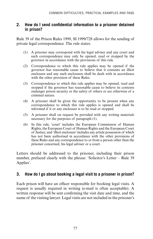#### **2. How do I send confidential information to a prisoner detained in prison?**

Rule 39 of the Prison Rules 1999, SI 1999/728 allows for the sending of private legal correspondence. The rule states:

- (1) A prisoner may correspond with his legal adviser and any court and such correspondence may only be opened, read or stopped by the governor in accordance with the provisions of this rule.
- (2) Correspondence to which this rule applies may be opened if the governor has reasonable cause to believe that it contains an illicit enclosure and any such enclosures shall be dealt with in accordance with the other provision of these Rules.
- (3) Correspondence to which this rule applies may be opened, read and stopped if the governor has reasonable cause to believe its contents endanger prison security or the safety of others or are otherwise of a criminal nature.
- (4) A prisoner shall be given the opportunity to be present when any correspondence to which this rule applies is opened and shall be informed if it or any enclosure is to be read or stopped.
- (5) A prisoner shall on request be provided with any writing materials necessary for the purposes of paragraph (1).
- (6) In this rule, 'court' includes the European Commission of Human Rights, the European Court of Human Rights and the European Court of Justice; and 'illicit enclosure' includes any article possession of which has not been authorised in accordance with the other provisions of these Rules and any correspondence to or from a person other than the prisoner concerned, his legal adviser or a court.

Letters should be addressed to the prisoner, including their prison number, prefaced clearly with the phrase: 'Solicitor's Letter – Rule 39 Applies'.

### **3. How do I go about booking a legal visit to a prisoner in prison?**

Each prison will have an officer responsible for booking legal visits. A request is usually required in writing (e-mail is often acceptable). A written response will be sent confirming the visit date and time, and the name of the visiting lawyer. Legal visits are not included in the prisoner's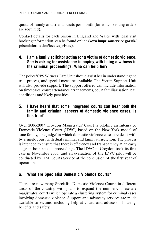quota of family and friends visits per month (for which visiting orders are required).

Contact details for each prison in England and Wales, with legal visit booking information, can be found online (**www.hmprisonservice.gov.uk/ prisoninformation/locateaprison/**).

### **4. I am a family solicitor acting for a victim of domestic violence. She is asking for assistance in coping with being a witness in the criminal proceedings. Who can help her?**

The police/CPS Witness Care Unit should assist her in understanding the trial process, and special measures available. The Victim Support Unit will also provide support. The support offered can include information on timescales, court attendance arrangements, court familiarisation, bail conditions and likely penalties.

#### **5. I have heard that some integrated courts can hear both the family and criminal aspects of domestic violence cases, is this true?**

Over 2006/2007 Croydon Magistrates' Court is piloting an Integrated Domestic Violence Court (IDVC) based on the New York model of 'one family, one judge' in which domestic violence cases are dealt with by a single court with dual criminal and family jurisdiction. The process is intended to ensure that there is efficiency and transparency at an early stage in both sets of proceedings. The IDVC in Croydon took its first case in November 2006, and an evaluation of the IDVC pilot will be conducted by HM Courts Service at the conclusion of the first year of operation.

## **6. What are Specialist Domestic Violence Courts?**

There are now many Specialist Domestic Violence Courts in different areas of the country, with plans to expand the numbers. These are magistrates' courts which operate a clustering system for criminal cases involving domestic violence. Support and advocacy services are made available to victims, including help at court, and advice on housing, benefits and safety.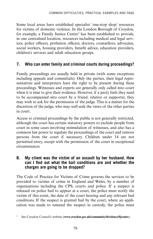Some local areas have established specialist 'one-stop shop' resources for victims of domestic violence. In the London Borough of Croydon, for example, a Family Justice Centre<sup>3</sup> has been established to provide. in one centralised location, resources including medical and legal services, police officers, probation officers, doctors, counsellors, advocates, social workers, housing providers, benefit advice, education providers, children's services and adult education groups.

## **7. Who can enter family and criminal courts during proceedings?**

Family proceedings are usually held in private (with some exceptions including appeals and committals). Only the parties, their legal representatives and interpreters have the right to be present during these proceedings. Witnesses and experts are generally only called into court when it is time to give their evidence. However, if a party feels they need to be accompanied into court by a friend, relative or supporter, they may wish to ask for the permission of the judge. This is a matter for the discretion of the judge, who may well seek the views of the other parties in court.

Access to criminal proceedings by the public is not generally restricted, although the court has certain statutory powers to exclude people from court in some cases involving intimidation of witnesses, and also has a common law power to regulate the proceedings of the court and remove persons from the court if necessary. Children under 14 are not permitted entry, except with the permission of the court in exceptional circumstances.

#### **8. My client was the victim of an assault by her husband. How can I find out what the bail conditions are and whether the charges are going to be dropped?**

The Code of Practice for Victims of Crime governs the services to be provided to victims of crime in England and Wales, by a number of organisations including the CPS, courts and police. If a suspect is released on police bail to appear at a court, the police must notify the victim of this event, the date of the court hearing and any relevant bail conditions. If the suspect is granted bail by the court, where an application was made to remand the suspect in custody, the police must

<sup>3</sup> See Croydon Council's website (**www.croydon.gov.uk/community/dviolence/fjcentre**).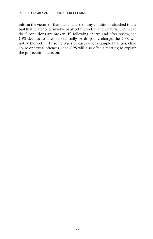inform the victim of that fact and also of any conditions attached to the bail that relate to, or involve or affect the victim and what the victim can do if conditions are broken. If, following charge and after review, the CPS decides to alter substantially or drop any charge, the CPS will notify the victim. In some types of cases – for example fatalities, child abuse or sexual offences – the CPS will also offer a meeting to explain the prosecution decision.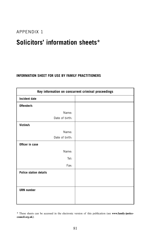## APPENDIX 1

# **Solicitors' information sheets\***

#### **INFORMATION SHEET FOR USE BY FAMILY PRACTITIONERS**

| Key information on concurrent criminal proceedings |  |  |
|----------------------------------------------------|--|--|
| Incident date                                      |  |  |
| Offender/s                                         |  |  |
| Name:                                              |  |  |
| Date of birth:                                     |  |  |
| Victim/s                                           |  |  |
| Name:                                              |  |  |
| Date of birth:                                     |  |  |
| Officer in case                                    |  |  |
| Name:                                              |  |  |
| Tel:                                               |  |  |
| Fax:                                               |  |  |
| <b>Police station details</b>                      |  |  |
|                                                    |  |  |
| <b>URN</b> number                                  |  |  |
|                                                    |  |  |
|                                                    |  |  |

<sup>\*</sup> These sheets can be accessed in the electronic version of this publication (see **www.family-justicecouncil.org.uk**).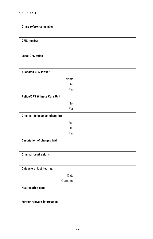| Crime reference number                  |  |
|-----------------------------------------|--|
|                                         |  |
| <b>CRIS number</b>                      |  |
|                                         |  |
|                                         |  |
| <b>Local CPS office</b>                 |  |
|                                         |  |
|                                         |  |
|                                         |  |
| <b>Allocated CPS lawyer</b>             |  |
|                                         |  |
| Name:                                   |  |
| Tel:                                    |  |
| Fax:                                    |  |
| <b>Police/CPS Witness Care Unit</b>     |  |
|                                         |  |
| Tel:                                    |  |
| Fax:                                    |  |
|                                         |  |
| <b>Criminal defence solicitors firm</b> |  |
| Ref:                                    |  |
|                                         |  |
| Tel:                                    |  |
| Fax:                                    |  |
| <b>Description of charges laid</b>      |  |
|                                         |  |
|                                         |  |
|                                         |  |
| <b>Criminal court details</b>           |  |
|                                         |  |
|                                         |  |
| <b>Outcome of last hearing</b>          |  |
| Date:                                   |  |
|                                         |  |
| Outcome:                                |  |
| <b>Next hearing date</b>                |  |
|                                         |  |
|                                         |  |
| Further relevant information            |  |
|                                         |  |
|                                         |  |
|                                         |  |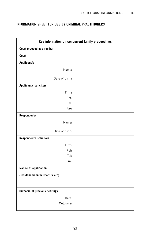#### **INFORMATION SHEET FOR USE BY CRIMINAL PRACTITIONERS**

| Key information on concurrent family proceedings |  |  |
|--------------------------------------------------|--|--|
| <b>Court proceedings number</b>                  |  |  |
| Court                                            |  |  |
| Applicant/s                                      |  |  |
| Name:                                            |  |  |
| Date of birth:                                   |  |  |
| <b>Applicant's solicitors</b>                    |  |  |
| Firm:                                            |  |  |
| Ref:                                             |  |  |
| Tel:                                             |  |  |
| Fax:                                             |  |  |
|                                                  |  |  |
| Respondent/s                                     |  |  |
| Name:                                            |  |  |
| Date of birth:                                   |  |  |
| <b>Respondent's solicitors</b>                   |  |  |
| Firm:                                            |  |  |
| Ref:                                             |  |  |
| Tel:                                             |  |  |
| Fax:                                             |  |  |
| Nature of application                            |  |  |
| (residence/contact/Part IV etc)                  |  |  |
|                                                  |  |  |
|                                                  |  |  |
| <b>Outcome of previous hearings</b>              |  |  |
| Date:                                            |  |  |
| Outcome:                                         |  |  |
|                                                  |  |  |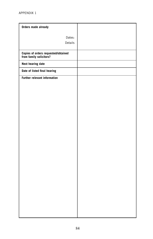| Orders made already                                            |  |
|----------------------------------------------------------------|--|
| Dates:                                                         |  |
| <b>Details</b>                                                 |  |
|                                                                |  |
| Copies of orders requested/obtained<br>from family solicitors? |  |
| Next hearing date                                              |  |
| Date of listed final hearing                                   |  |
| <b>Further relevant information</b>                            |  |
|                                                                |  |
|                                                                |  |
|                                                                |  |
|                                                                |  |
|                                                                |  |
|                                                                |  |
|                                                                |  |
|                                                                |  |
|                                                                |  |
|                                                                |  |
|                                                                |  |
|                                                                |  |
|                                                                |  |
|                                                                |  |
|                                                                |  |
|                                                                |  |
|                                                                |  |
|                                                                |  |
|                                                                |  |
|                                                                |  |
|                                                                |  |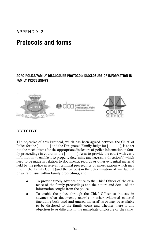## APPENDIX 2

## **Protocols and forms**

#### **ACPO POLICE/FAMILY DISCLOSURE PROTOCOL: DISCLOSURE OF INFORMATION IN FAMILY PROCEEDINGS**



#### **OBJECTIVE**

The objective of this Protocol, which has been agreed between the Chief of Police for the [ ] and the Designated Family Judge for [ ], is to set out the mechanisms for the appropriate disclosure of police information in family proceedings in courts in the  $\begin{bmatrix} 1 & 1 \end{bmatrix}$  Area to provide the court with early information to enable it to properly determine any necessary direction(s) which need to be made in relation to documents, records or other evidential material held by the police in relevant criminal proceedings or investigations which may inform the Family Court (and the parties) in the determination of any factual or welfare issue within family proceedings, and:

- To provide timely advance notice to the Chief Officer of the existence of the family proceedings and the nature and detail of the information sought from the police
- To enable the police through the Chief Officer to indicate in advance what documents, records or other evidential material (including both used and unused material) is or may be available to be disclosed to the family court and whether there is any objection to or difficulty in the immediate disclosure of the same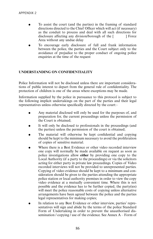- To assist the court (and the parties) in the framing of standard directions directed to the Chief Officer which will act (if necessary) as the conduit to process and deal with all such directions for disclosure affecting any division/borough of the [ ] Force Area without any undue delay
- To encourage early disclosure of full and frank information between the police, the parties and the Court subject only to the avoidance of prejudice to the proper conduct of ongoing police enquiries at the time of the request

#### **UNDERSTANDING ON CONFIDENTIALITY**

Police Information will not be disclosed unless there are important considerations of public interest to depart from the general rule of confidentiality. The protection of children is one of the areas where exceptions may be made.

Information supplied by the police in pursuance to this protocol is subject to the following implicit undertakings on the part of the parties and their legal representatives unless otherwise specifically directed by the court:–

- Any material disclosed will only be used for the purposes of, and preparation for, the current proceedings unless the permission of the Court is obtained;
- It will only be disclosed to professionals in the proceedings (and the parties) unless the permission of the court is obtained;
- The material will otherwise be kept confidential and copying should be kept to the minimum necessary to avoid the proliferation of copies of sensitive material.
- Where there is a Best Evidence or other video recorded interview one copy will normally be made available on request as soon as police investigations allow **either** by providing one copy to the Local Authority (if a party to the proceedings) or via the solicitors acting for either party in private law proceedings. Copies of Video recorded interviews will not be provided to unrepresented parties. Copying of video evidence should be kept to a minimum and consideration should be given to the parties attending the appropriate police station or local authority premises in order to view the copy video evidence at a mutually convenient time. Where this is not possible and the evidence has to be further copied, the party(ies) will meet the police reasonable costs of copying unless alternative arrangements have been agreed between the police and the parties legal representatives for making copies;
- In relation to any Best Evidence or other interview, parties' representatives will sign and abide by the terms of the police Standard Form of Undertaking in order to prevent the unauthorised dissemination / copying / use of the evidence. See Annex A – Form of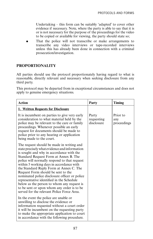Undertaking – this form can be suitably 'adapted' to cover other evidence if necessary. Note, where the party is able to say that it is or is not necessary for the purpose of the proceedings for the video to be copied or available for viewing, the party should state so;

● That the police will not transcribe or make arrangements to transcribe any video interviews or tape-recorded interviews unless this has already been done in connection with a criminal prosecution/investigation.

#### **PROPORTIONALITY**

All parties should use the protocol proportionately having regard to what is reasonable, directly relevant and necessary when seeking disclosure from any third party.

This protocol may be departed from in exceptional circumstances and does not apply to genuine emergency situations.

| <b>Action</b>                                                                                                                                                                                                                                                                                                                                                                                                                                                                                                                                                                                        | Party                             | <b>Timing</b>                  |
|------------------------------------------------------------------------------------------------------------------------------------------------------------------------------------------------------------------------------------------------------------------------------------------------------------------------------------------------------------------------------------------------------------------------------------------------------------------------------------------------------------------------------------------------------------------------------------------------------|-----------------------------------|--------------------------------|
| 1. Written Requests for Disclosure                                                                                                                                                                                                                                                                                                                                                                                                                                                                                                                                                                   |                                   |                                |
| It is incumbent on parties to give very early<br>consideration to what material held by the<br>police may be relevant to the care or family<br>proceedings. Whenever possible an early<br>request for documents should be made to<br>police prior to any hearing or application<br>being made to the court.                                                                                                                                                                                                                                                                                          | Party<br>requesting<br>disclosure | Prior to<br>any<br>proceedings |
| The request should be made in writing and<br>state precisely what evidence and information<br>is sought and why in accordance with the<br>Standard Request Form at Annex B. The<br>police will normally respond to that request<br>within 5 working days in accordance with<br>the Standard Reply Form at Annex C. The<br>Request Form should be sent to the<br>nominated police disclosure officer or police<br>representative identified in the Schedule<br>below as the person to whom any request is<br>to be sent or upon whom any order is to be<br>served for the relevant Police Force Area. |                                   |                                |
| In the event the police are unable or<br>unwilling to disclose the evidence or<br>information requested without a court order<br>it will be incumbent on the requesting party<br>to make the appropriate application to court<br>in accordance with the following procedure.                                                                                                                                                                                                                                                                                                                         |                                   |                                |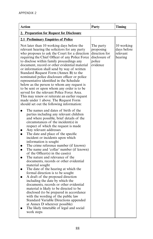| Action                                                                                                                                                                                                                                                                                                                                                                                                                                                                                                                                                                                                                                                                                                                                                                                                                                                                                                                                                                                                                                            | Party                                                                          | <b>Timing</b>                                    |
|---------------------------------------------------------------------------------------------------------------------------------------------------------------------------------------------------------------------------------------------------------------------------------------------------------------------------------------------------------------------------------------------------------------------------------------------------------------------------------------------------------------------------------------------------------------------------------------------------------------------------------------------------------------------------------------------------------------------------------------------------------------------------------------------------------------------------------------------------------------------------------------------------------------------------------------------------------------------------------------------------------------------------------------------------|--------------------------------------------------------------------------------|--------------------------------------------------|
| 2. Preparation for Request for Disclosure                                                                                                                                                                                                                                                                                                                                                                                                                                                                                                                                                                                                                                                                                                                                                                                                                                                                                                                                                                                                         |                                                                                |                                                  |
| 2.1 Preliminary Enquiries of Police                                                                                                                                                                                                                                                                                                                                                                                                                                                                                                                                                                                                                                                                                                                                                                                                                                                                                                                                                                                                               |                                                                                |                                                  |
| Not later than 10 working days before the<br>relevant hearing the solicitors for any party<br>who proposes to ask the Court for a direction<br>requiring the Chief Officer of any Police Force<br>to disclose within family proceedings any<br>document, record or other evidential material<br>or information shall send by way of written<br>Standard Request Form (Annex B) to the<br>nominated police disclosure officer or police<br>representative identified in the Schedule<br>below as the person to whom any request is<br>to be sent or upon whom any order is to be<br>served for the relevant Police Force Area.<br>This may renew or reiterate an earlier request<br>made under 1 above. The Request Form<br>should set out the following information:                                                                                                                                                                                                                                                                              | The party<br>proposing<br>direction for<br>disclosure of<br>police<br>evidence | 10 working<br>days before<br>relevant<br>hearing |
| The names and dates of birth of the<br>parties including any relevant children<br>and where possible, brief details of the<br>circumstances of the incident(s) in<br>respect of which the request is made<br>Any relevant addresses<br>The date and place of the specific<br>incident or incidents upon which<br>information is sought.<br>The crime reference number (if known)<br>The name and 'collar' number (if known)<br>$\bullet$<br>of the Officer $(s)$ in the case $(s)$<br>The nature and relevance of the<br>documents, records or other evidential<br>material sought<br>The date of the hearing at which the<br>formal direction is to be sought.<br>A draft of the proposed direction<br>including the date by which the<br>documents, records or other evidential<br>material is likely to be directed to be<br>disclosed (to be prepared in accordance<br>with the wording of the public law<br>Standard Variable Directions appended<br>at Annex D wherever possible)<br>The likely timetable of legal and social<br>work steps |                                                                                |                                                  |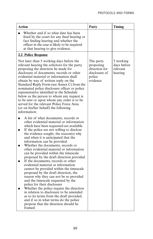| <b>Action</b>                                                                                                                                                                                                                                                                                                                                                                                                                                                                                                                                                                                                                                           | Party                                                                          | <b>Timing</b>                                   |
|---------------------------------------------------------------------------------------------------------------------------------------------------------------------------------------------------------------------------------------------------------------------------------------------------------------------------------------------------------------------------------------------------------------------------------------------------------------------------------------------------------------------------------------------------------------------------------------------------------------------------------------------------------|--------------------------------------------------------------------------------|-------------------------------------------------|
| Whether and if so what date has been<br>fixed by the court for any final hearing or<br>fact finding hearing and whether the<br>officer in the case is likely to be required<br>at that hearing to give evidence.                                                                                                                                                                                                                                                                                                                                                                                                                                        |                                                                                |                                                 |
| <b>2.2 Police Response</b>                                                                                                                                                                                                                                                                                                                                                                                                                                                                                                                                                                                                                              |                                                                                |                                                 |
| Not later than 5 working days before the<br>relevant hearing the solicitors for the party<br>proposing the direction be made for<br>disclosure of documents, records or other<br>evidential material or information shall<br>obtain by way of written reply on the<br>Standard Reply Form (see Annex C) from the<br>nominated police disclosure officer or police<br>representative identified in the Schedule<br>below as the person to whom any request is<br>to be sent or upon whom any order is to be<br>served for the relevant Police Force Area<br>(or on his/her behalf) the following<br>information:<br>A list of what documents, records or | The party<br>proposing<br>direction for<br>disclosure of<br>police<br>evidence | 5 working<br>days before<br>relevant<br>hearing |
| other evidential material or information<br>which have been requested are available.<br>If the police are not willing to disclose<br>$\bullet$<br>the evidence sought, the reason(s) why<br>and when it is anticipated that the<br>information can be provided.<br>Whether the documents, records or<br>other evidential material or information<br>can be provided within the timescale<br>proposed by the draft direction provided                                                                                                                                                                                                                    |                                                                                |                                                 |
| If the documents, records or other<br>evidential material or information<br>cannot be provided within the timescale<br>proposed by the draft direction, the<br>reason why they can not be so provided<br>and the timescale requested by the<br>police for their disclosure<br>Whether the police require the direction<br>in relation to disclosure to be amended<br>as to its terms from the draft provided,<br>and if so in what terms do the police<br>propose that the direction should be<br>framed                                                                                                                                                |                                                                                |                                                 |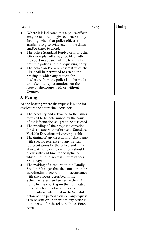| <b>Action</b>                                                                                                                                                                                                                                                                                                                                                                                                                                                                                                                                                                                                                                                                                                                                                                                                                                                                                                                                                                                                                                                                                                                     | Party | Timing |
|-----------------------------------------------------------------------------------------------------------------------------------------------------------------------------------------------------------------------------------------------------------------------------------------------------------------------------------------------------------------------------------------------------------------------------------------------------------------------------------------------------------------------------------------------------------------------------------------------------------------------------------------------------------------------------------------------------------------------------------------------------------------------------------------------------------------------------------------------------------------------------------------------------------------------------------------------------------------------------------------------------------------------------------------------------------------------------------------------------------------------------------|-------|--------|
| Where it is indicated that a police officer<br>may be required to give evidence at any<br>hearing, when that police officer is<br>available to give evidence, and the dates<br>and/or times to avoid.<br>The police Standard Reply Form or other<br>letter in reply will always be filed with<br>the court in advance of the hearing by<br>both the police and the requesting party.<br>The police and/or a representative of the<br>CPS shall be permitted to attend the<br>hearing at which any request for<br>disclosure from the police is to be made<br>to make oral representations on the<br>issue of disclosure, with or without<br>Counsel.                                                                                                                                                                                                                                                                                                                                                                                                                                                                              |       |        |
| 3. Hearing                                                                                                                                                                                                                                                                                                                                                                                                                                                                                                                                                                                                                                                                                                                                                                                                                                                                                                                                                                                                                                                                                                                        |       |        |
| At the hearing where the request is made for<br>disclosure the court shall consider:<br>The necessity and relevance to the issues<br>required to be determined by the court,<br>of the information sought to be disclosed.<br>The wording of the proposed direction<br>for disclosure, with reference to Standard<br>Variable Directions wherever possible.<br>The timing of any direction for disclosure<br>with specific reference to any written<br>representations by the police under 2.2<br>above. All disclosure directions should<br>allow sufficient time for compliance<br>which should in normal circumstances<br>be 14 days.<br>The making of a request to the Family<br>Section Manager that the court order be<br>expedited in its preparation in accordance<br>with the process described in the<br>Schedule hereto and served within 24<br>hours by the court upon the nominated<br>police disclosure officer or police<br>representative identified in the Schedule<br>below as the person to whom any request<br>is to be sent or upon whom any order is<br>to be served for the relevant Police Force<br>Area. |       |        |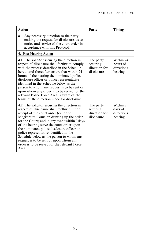| <b>Action</b>                                                                                                                                                                                                                                                                                                                                                                                                                                                                                                                     | Party                                                | Timing                                         |
|-----------------------------------------------------------------------------------------------------------------------------------------------------------------------------------------------------------------------------------------------------------------------------------------------------------------------------------------------------------------------------------------------------------------------------------------------------------------------------------------------------------------------------------|------------------------------------------------------|------------------------------------------------|
| Any necessary direction to the party<br>making the request for disclosure, as to<br>notice and service of the court order in<br>accordance with this Protocol.                                                                                                                                                                                                                                                                                                                                                                    |                                                      |                                                |
| 4. Post-Hearing Action                                                                                                                                                                                                                                                                                                                                                                                                                                                                                                            |                                                      |                                                |
| <b>4.1</b> The solicitor securing the direction in<br>respect of disclosure shall forthwith comply<br>with the process described in the Schedule<br>hereto and thereafter ensure that within 24<br>hours of the hearing the nominated police<br>disclosure officer or police representative<br>identified in the Schedule below as the<br>person to whom any request is to be sent or<br>upon whom any order is to be served for the<br>relevant Police Force Area is aware of the<br>terms of the direction made for disclosure. | The party<br>securing<br>direction for<br>disclosure | Within 24<br>hours of<br>directions<br>hearing |
| <b>4.2</b> The solicitor securing the direction in<br>respect of disclosure shall forthwith upon<br>receipt of the court order (or in the<br>Magistrates Court on drawing up the order<br>for the Court) and in any event within 2 days<br>of the hearing serve the court order upon<br>the nominated police disclosure officer or<br>police representative identified in the<br>Schedule below as the person to whom any<br>request is to be sent or upon whom any<br>order is to be served for the relevant Force<br>Area.      | The party<br>securing<br>direction for<br>disclosure | Within 2<br>days of<br>directions<br>hearing   |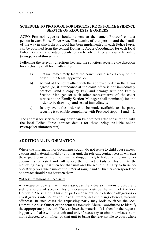#### **SCHEDULE TO PROTOCOL FOR DISCLOSURE OF POLICE EVIDENCE SERVICE OF REQUESTS & ORDERS**

ACPO Protocol requests should be sent to the named Protocol contact person in each Police Force Area. The identity of that person, and the details of the way in which the Protocol has been implemented in each Police Force, can be obtained from the central Domestic Abuse Coordinator for each local Police Force area. Contact details for each Police Force are available online (**www.police.uk/forces.htm**).

Following the relevant directions hearing the solicitors securing the direction for disclosure shall forthwith either:

- a) Obtain immediately from the court clerk a sealed copy of the order in the terms approved; or
- b) Attend at the court office with the approved order in the terms agreed (or, if attendance at the court office is not immediately practical send a copy by Fax) and arrange with the Family Section Manager (or such other representative of the court service as the Family Section Manager shall nominate) for the order to be drawn up and sealed immediately;
- c) In any event the order shall be made available to the party securing it to enable compliance with Protocol steps 4.1 and 4.2.

The address for service of any order can be obtained after consultation with the local Police Force, contact details for these being available online (**www.police.uk/forces.htm**).

## **ADDITIONAL INFORMATION**

Where the information or documents sought do not relate to child abuse investigations and material is held by another unit, the relevant contact person will pass the request form to the unit or units holding, or likely to hold, the information or documents requested and will supply the contact details of this unit to the requesting party. It is then for that unit and the requesting party to liaise cooperatively over disclosure of the material sought and all further correspondence or contact should pass between them.

#### Witness Summons if necessary

Any requesting party may, if necessary, use the witness summons procedure to seek disclosure of specific files or documents outside the remit of the local Domestic Abuse Unit. This is of particular relevance to historic allegations or investigations into serious crime (e.g. murder, neglect, drugs offences, firearms offences). In such cases the requesting party may look to either the local Domestic Abuse Officer or the central Domestic Abuse Coordinator to identify the appropriate police unit likely to have the material. It is then for the requesting party to liaise with that unit and only if necessary to obtain a witness summons directed to an officer of that unit to bring the relevant file to court where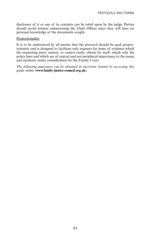disclosure of it or any of its contents can be ruled upon by the judge. Parties should avoid witness summonsing the Chief Officer since they will have no personal knowledge of the documents sought.

#### Proportionality

It is to be understood by all parties that the protocol should be used proportionately and is designed to facilitate only requests for items of evidence which the requesting party cannot, or cannot easily, obtain for itself, which only the police have and which are of central and not peripheral importance to the issues and incidents under consideration by the Family Court.

*The following annexures can be obtained in electronic format by accessing this guide online* (**www.family-justice-council.org.uk**)*.*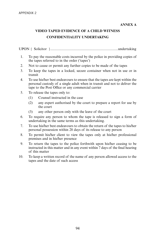# **VIDEO TAPED EVIDENCE OF A CHILD WITNESS CONFIDENTIALITY UNDERTAKING**

UPON { Solicitor }.......................................................................undertaking

- 1. To pay the reasonable costs incurred by the police in providing copies of the tapes referred to in the order ('tapes')
- 2. Not to cause or permit any further copies to be made of the tapes
- 3. To keep the tapes in a locked, secure container when not in use or in transit
- 4. To use his/her best endeavours to ensure that the tapes are kept within the personal custody of a single adult when in transit and not to deliver the tape to the Post Office or any commercial carrier
- 5. To release the tapes only to:
	- (1) Counsel instructed in the case
	- (2) any expert authorised by the court to prepare a report for use by the court
	- (3) any other person only with the leave of the court
- 6. To require any person to whom the tape is released to sign a form of undertaking in the same terms as this undertaking.
- 7. To use his/her best endeavours to obtain the return of the tapes to his/her personal possession within 28 days of its release to any person
- 8. To permit his/her client to view the tapes only at his/her professional premises and in his/her presence
- 9. To return the tapes to the police forthwith upon his/her ceasing to be instructed in this matter and in any event within 7 days of the final hearing of this matter
- 10. To keep a written record of the name of any person allowed access to the tapes and the date of such access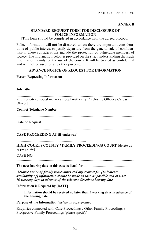**ANNEX B**

#### **STANDARD REQUEST FORM FOR DISCLOSURE OF POLICE INFORMATION**

[This form should be completed in accordance with the agreed protocol]

Police information will not be disclosed unless there are important considerations of public interest to justify departure from the general rule of confidentiality. These considerations include the protection of vulnerable members of society. The information below is provided on the strict understanding that such information is only for the use of the courts. It will be treated as confidential and will not be used for any other purpose.

#### **ADVANCE NOTICE OF REQUEST FOR INFORMATION**

#### **Person Requesting Information**

#### **Job Title**

[e.g., solicitor / social worker / Local Authority Disclosure Officer / Cafcass Officer]

#### **Contact Telephone Number**

...........................................................................................................................

Date of Request

#### **CASE PROCEEDING AT (if underway)**

**HIGH COURT / COUNTY / FAMILY PROCEEDINGS COURT** (delete as appropriate)

CASE NO

**The next hearing date in this case is listed for** ....................................................

*Advance notice of family proceedings and any request for [to indicate availability of] information should be made as soon as possible and at least 10 working days in advance of the relevant directions hearing date*

**Information is Required by [DATE]** ....................................................................

**Information should be received no later than 5 working days in advance of the hearing date**

**Purpose of the Information** *(delete as appropriate):*

Enquiries connected with Care Proceedings / Other Family Proceedings / Prospective Family Proceedings (please specify)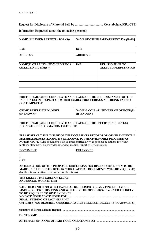$\overline{a}$ 

**Request for Disclosure of Material held by ................................. Constabulary/FSU/CPU**

 $\overline{\phantom{0}}$ 

**Information Requested about the following person(s):**

| NAME (ALLEGED PERPETRATOR (S)):                                                                                                                                                                                                                                                                                                       |                  | NAME OF OTHER PARTY/PARENT [if applicable]:          |
|---------------------------------------------------------------------------------------------------------------------------------------------------------------------------------------------------------------------------------------------------------------------------------------------------------------------------------------|------------------|------------------------------------------------------|
| DoB:                                                                                                                                                                                                                                                                                                                                  | DoB:             |                                                      |
| <b>ADDRESS:</b>                                                                                                                                                                                                                                                                                                                       | <b>ADDRESS:</b>  |                                                      |
| NAME(S) OF RELEVANT CHILD(REN) /<br>(ALLEGED VICTIM(S)):                                                                                                                                                                                                                                                                              | <b>DoB</b>       | <b>RELATIONSHIP TO</b><br><b>ALLEGED PERPETRATOR</b> |
|                                                                                                                                                                                                                                                                                                                                       |                  |                                                      |
| BRIEF DETAILS (INCLUDING DATE AND PLACE) OF THE CIRCUMSTANCES OF THE<br>INCIDENT(S) IN RESPECT OF WHICH FAMILY PROCEEDINGS ARE BEING TAKEN /<br><b>CONTEMPLATED</b>                                                                                                                                                                   |                  |                                                      |
| <b>CRIME REFERENCE NUMBER</b><br>(IF KNOWN):                                                                                                                                                                                                                                                                                          | (IF KNOWN):      | <b>NAME &amp; COLLAR NUMBER OF OFFICER(S)</b>        |
| BRIEF DETAILS (INCLUDING DATE AND PLACE) OF THE SPECIFIC INCIDENT(S)<br>UPON WHICH INFORMATION IS SOUGHT.                                                                                                                                                                                                                             |                  |                                                      |
| PLEASE SET OUT THE NATURE OF THE DOCUMENTS, RECORDS OR OTHER EVIDENTIAL<br>MATERIAL REQUESTED AND ITS RELEVANCE TO THE CIVIL/FAMILY PROCEEDINGS<br><b>NOTED ABOVE:</b> (List documents with as much particularity as possible eg father's interview,<br>mother's statement, sister's video interview, medical report of Dr Jones etc) |                  |                                                      |
| <b>DOCUMENT</b><br>1.<br>2.<br>$3.$ etc                                                                                                                                                                                                                                                                                               | <b>RELEVANCE</b> |                                                      |
| AN INDICATION OF THE PROPOSED DIRECTIONS FOR DISCLOSURE LIKELY TO BE<br>MADE (INCLUDING THE DATE BY WHICH ACTUAL DOCUMENTS WILL BE REQUIRED)<br>(list directions or attach draft order for directions)                                                                                                                                |                  |                                                      |
| THE LIKELY TIMETABLE OF LEGAL<br><b>AND SOCIAL WORK STEPS:</b>                                                                                                                                                                                                                                                                        |                  |                                                      |
| WHETHER AND IF SO WHAT DATE HAS BEEN FIXED FOR ANY FINAL HEARING/<br>FINDING OF FACT HEARING AND WHETHER THE OFFICER(S) INVOLVED IS LIKELY<br>TO BE REQUIRED TO GIVE EVIDENCE<br><b>FINAL / FINDING OF FACT HEARING</b><br><b>OFFICER(S) NOT REQUIRED / REQUIRED TO GIVE EVIDENCE {DELETE AS APPROPRIATE}</b>                         |                  |                                                      |
|                                                                                                                                                                                                                                                                                                                                       |                  |                                                      |
| <b>PRINT NAME</b>                                                                                                                                                                                                                                                                                                                     |                  |                                                      |
|                                                                                                                                                                                                                                                                                                                                       |                  |                                                      |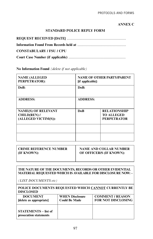## **ANNEX C**

### **STANDARD POLICE REPLY FORM**

| <b>CONSTABULARY / FSU / CPU</b> |
|---------------------------------|
|                                 |

**No Information Found** *(delete if not applicable)* 

| <b>NAME (ALLEGED</b><br><b>PERPETRATOR):</b>                              | [if applicable]: | NAME OF OTHER PARTY/PARENT                                     |
|---------------------------------------------------------------------------|------------------|----------------------------------------------------------------|
| DoB:                                                                      | DoB:             |                                                                |
| <b>ADDRESS:</b>                                                           | <b>ADDRESS:</b>  |                                                                |
| <b>NAME(S) OF RELEVANT</b><br><b>CHILD(REN) /</b><br>(ALLEGED VICTIM(S)): | <b>DoB</b>       | <b>RELATIONSHIP</b><br><b>TO ALLEGED</b><br><b>PERPETRATOR</b> |
|                                                                           |                  |                                                                |
|                                                                           |                  |                                                                |

| <b>CRIME REFERENCE NUMBER</b> | <b>NAME AND COLLAR NUMBER</b> |
|-------------------------------|-------------------------------|
| (IF KNOWN):                   | OF OFFICER/S (IF KNOWN):      |

#### **THE NATURE OF THE DOCUMENTS, RECORDS OR OTHER EVIDENTIAL MATERIAL REQUESTED WHICH IS AVAILABLE FOR DISCLOSURE NOW: –**

*(LIST DOCUMENTS etc)* 

**POLICE DOCUMENTS REQUESTED WHICH CANNOT CURRENTLY BE DISCLOSED**

| <b>DOCUMENT</b>                                       | <b>WHEN Disclosure</b> | <b>COMMENT / REASON</b>   |
|-------------------------------------------------------|------------------------|---------------------------|
| [delete as appropriate]                               | <b>Could Be Made</b>   | <b>FOR NOT DISCLOSING</b> |
| <b>STATEMENTS – list of</b><br>prosecution statements |                        |                           |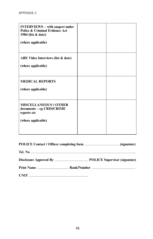| <b>INTERVIEWS</b> – with suspect under<br><b>Police &amp; Criminal Evidence Act</b><br>1984 (list & date)<br>(where applicable) |  |
|---------------------------------------------------------------------------------------------------------------------------------|--|
| ABE Video Interviews (list & date)<br>(where applicable)                                                                        |  |
| <b>MEDICAL REPORTS</b><br>(where applicable)                                                                                    |  |
| <b>MISCELLANEOUS / OTHER</b><br>documents - eg CRIS/CRIME<br>reports etc<br>(where applicable)                                  |  |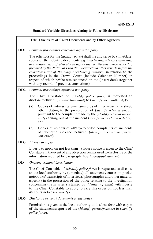## **ANNEX D**

# **Standard Variable Directions relating to Police Disclosure**

|                             | DD: Disclosure of Court Documents and by Other Agencies                                                                                                                                                                                                                                                                                                                                                                                                                                                                                                                                      |
|-----------------------------|----------------------------------------------------------------------------------------------------------------------------------------------------------------------------------------------------------------------------------------------------------------------------------------------------------------------------------------------------------------------------------------------------------------------------------------------------------------------------------------------------------------------------------------------------------------------------------------------|
| D <sub>D</sub> 1            | Criminal proceedings concluded against a party                                                                                                                                                                                                                                                                                                                                                                                                                                                                                                                                               |
|                             | The solicitors for the <i>(identify party)</i> shall file and serve by <i>(time/date)</i><br>copies of the (identify documents e.g. indictments/witness statements/<br>any written basis of plea placed before the court/pre-sentence report( $s$ )<br>prepared by the National Probation Serviceland other reports before the<br>court/transcript of the judge's sentencing remarks) in relation to the<br>proceedings in the Crown Court (include Calendar Number) in<br>respect of which he/she was sentenced on the (insert date) (together<br>with any record of previous convictions). |
| D <sub>D</sub> <sub>2</sub> | Criminal proceedings against a non party                                                                                                                                                                                                                                                                                                                                                                                                                                                                                                                                                     |
|                             | The Chief Constable of (identify police force) is requested to<br>disclose forthwith (or state time limit) to (identify local authority):-                                                                                                                                                                                                                                                                                                                                                                                                                                                   |
|                             | Copies of witness statements/records of interview/charge sheet/<br>(a)<br>other relating to the prosecution of (identify relevant person)<br>pursuant to the complaint made by the (identify relevant personl<br><i>party</i> ) arising out of the incident ( <i>specify incident and date(s)</i> );<br>and                                                                                                                                                                                                                                                                                  |
|                             | Copies of records of all/any-recorded complaints of incidents<br>(b)<br>of domestic violence between (identify persons or parties<br>concerned).                                                                                                                                                                                                                                                                                                                                                                                                                                             |
| DD <sub>3</sub>             | Liberty to apply                                                                                                                                                                                                                                                                                                                                                                                                                                                                                                                                                                             |
|                             | Liberty to apply on not less than 48 hours notice is given to the Chief<br>Constable in the event of any objection being raised to disclosure of the<br>information required by paragraph (insert paragraph number).                                                                                                                                                                                                                                                                                                                                                                         |
| D <sub>D</sub> <sub>4</sub> | Ongoing criminal investigation                                                                                                                                                                                                                                                                                                                                                                                                                                                                                                                                                               |
|                             | The Chief Constable of (identify police force) is requested to disclose<br>to the local authority by (time/date) all statements/ entries in pocket<br>notebooks/ transcripts of interviews/ photographs/ and other material<br>(specify) in the possession of the police relating to the investigation<br>concerning the injuries sustained by <i>(identity of child)</i> with liberty<br>to the Chief Constable to apply to vary this order on not less than<br>48 hours notice (or specify).                                                                                               |
| D <sub>D</sub> 5            | Disclosure of court documents to the police                                                                                                                                                                                                                                                                                                                                                                                                                                                                                                                                                  |
|                             | Permission is given to the local authority to disclose forthwith copies<br>of the statements/reports of the (Identify parties/persons) to (identify<br>police force).                                                                                                                                                                                                                                                                                                                                                                                                                        |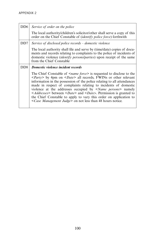| DD <sub>6</sub> | Service of order on the police                                                                                                                                                                                                                                                                                                                                                                                                                                                                                                                                                                                                                                    |
|-----------------|-------------------------------------------------------------------------------------------------------------------------------------------------------------------------------------------------------------------------------------------------------------------------------------------------------------------------------------------------------------------------------------------------------------------------------------------------------------------------------------------------------------------------------------------------------------------------------------------------------------------------------------------------------------------|
|                 | The local authority/children's solicitor/other shall serve a copy of this<br>order on the Chief Constable of (identify police force) forthwith                                                                                                                                                                                                                                                                                                                                                                                                                                                                                                                    |
| DD7 I           | Service of disclosed police records - domestic violence                                                                                                                                                                                                                                                                                                                                                                                                                                                                                                                                                                                                           |
|                 | The local authority shall file and serve by (time/date) copies of docu-<br>ments and records relating to complaints to the police of incidents of<br>domestic violence <i>(identify persons/parties)</i> upon receipt of the same<br>from the Chief Constable                                                                                                                                                                                                                                                                                                                                                                                                     |
| DD8.            | Domestic violence incident records                                                                                                                                                                                                                                                                                                                                                                                                                                                                                                                                                                                                                                |
|                 | The Chief Constable of <i><name force=""></name></i> is requested to disclose to the<br>$\langle$ <i>Party</i> $>$ by 4pm on $\langle$ <i>Date</i> $>$ all records, FWINs or other relevant<br>information in the possession of the police relating to all attendances<br>made in respect of complaints relating to incidents of domestic<br>violence at the addresses occupied by <name persons=""> namely<br/><addresses> between <date> and <date>. Permission is granted to<br/>the Chief Constable to apply to vary this order on application to<br/>&lt;<i>Case Management Judge</i>&gt; on not less than 48 hours notice.</date></date></addresses></name> |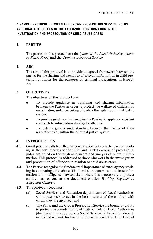## **A SAMPLE PROTOCOL BETWEEN THE CROWN PROSECUTION SERVICE, POLICE AND LOCAL AUTHORITIES IN THE EXCHANGE OF INFORMATION IN THE INVESTIGATION AND PROSECUTION OF CHILD ABUSE CASES**

#### **1. PARTIES**

The parties to this protocol are the [*name of the Local Authority*], [*name of Police Force*] and the Crown Prosecution Service.

#### **2. AIM**

The aim of this protocol is to provide an agreed framework between the parties for the sharing and exchange of relevant information in child protection enquiries for the purposes of criminal prosecutions in [*specify Area*].

#### **3. OBJECTIVES**

The objectives of this protocol are:

- To provide guidance in obtaining and sharing information between the Parties in order to protect the welfare of children by investigating and prosecuting offenders through the criminal justice system;
- To provide guidance that enables the Parties to apply a consistent approach to information sharing locally; and
- To foster a greater understanding between the Parties of their respective roles within the criminal justice system.

#### **4. INTRODUCTION**

- **4.1** Good practice calls for effective co-operation between the parties; working in the best interests of the child; and careful exercise of professional judgment based on thorough assessment and analysis of relevant information. This protocol is addressed to those who work in the investigation and prosecution of offenders in relation to child abuse cases.
- **4.2** The Parties recognise the fundamental importance of inter-agency working in combating child abuse. The Parties are committed to share information and intelligence between them where this is necessary to protect children as set out in the document entitled *Working Together to Safeguard Children.*
- **4.3** This protocol recognises:
	- (a) Social Services and Education departments of Local Authorities will always seek to act in the best interests of the children with whom they are involved; and
	- (b) The Police and the Crown Prosecution Service are bound by a duty to protect the confidentiality of material held by Local Authorities (dealing with the appropriate Social Services or Education department) and will not disclose to third parties, except with the leave of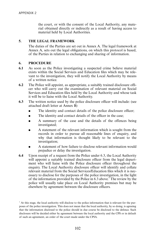the court, or with the consent of the Local Authority, any material obtained directly or indirectly as a result of having access to material held by Local Authorities.

#### **5. THE LEGAL FRAMEWORK**

The duties of the Parties are set out in Annex A. The legal framework at Annex A, sets out the legal obligations, on which this protocol is based, of the Parties in relation to exchanging and sharing of information.

#### **6. PROCEDURE**

- **6.1** As soon as the Police investigating a suspected crime believe material exists within the Social Services and Education files which may be relevant to the investigation, they will notify the Local Authority by means of a written notice.
- **6.2** The Police will appoint, as appropriate, a suitably trained disclosure officer who will carry out the examination of relevant material on Social Services and Education files held by the Local Authority and whose task it will be to liaise with the Local Authority.
- **6.3** The written notice used by the police disclosure officer will include: (see attached draft letter at Annex B)
	- The identity and contact details of the police disclosure officer;
	- The identity and contact details of the officer in the case;
	- A summary of the case and the details of the offences being investigated;
	- A statement of the relevant information which is sought from the records in order to pursue all reasonable lines of enquiry, and why that information is thought likely to be relevant to the investigation;
	- A statement of how failure to disclose relevant information would prejudice or delay the investigation.
- **6.4** Upon receipt of a request from the Police under 6.3, the Local Authority will appoint a suitably trained disclosure officer from the legal department who will liaise with the Police disclosure officer throughout the enquiry. The Local Authority disclosure officer will identify and collate relevant material from the Social Services/Education files which it is necessary to disclose for the purposes of the police investigation, in the light of the information provided by the Police in 6.3 above.\* The review by the police will usually take place on Local Authority premises but may be elsewhere by agreement between the disclosure officers.

<sup>\*</sup> At this stage, the local authority will disclose to the police information that is relevant for the purposes of the police investigation. This does not mean that the local authority, by so doing, is agreeing that the information disclosed to the police should in due course be disclosed to the defence. Such disclosure will be decided either by agreement between the local authority and the CPS or in default of such an agreement, an order of the court made under the CPIA.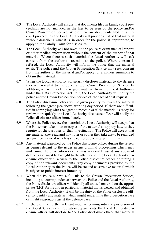- **6.5** The Local Authority will ensure that documents filed in family court proceedings are not included in the files to be seen by the police and/or Crown Prosecution Service. Where there are documents filed in family court proceedings, the Local Authority will provide a list of that material without describing what it is, in order for the police, if appropriate, to apply to the Family Court for disclosure.
- **6.6** The Local Authority will not reveal to the police relevant medical reports or other medical information without the consent of the author of that material. Where there is such material, the Local Authority will seek consent from the author to reveal it to the police. Where consent is refused, the Local Authority will inform the police that the material exists. The police and the Crown Prosecution Service may seek consent from the author of the material and/or apply for a witness summons to obtain the material.
- **6.7** When the Local Authority voluntarily discloses material to the defence they will reveal it to the police and/or Crown Prosecution Service. In addition, when the defence request material from the Local Authority under the Data Protection Act 1998, the Local Authority will notify the police and/or Crown Prosecution Service of the fact of that request.
- **6.8** The Police disclosure officer will be given priority to review the material following the agreed [see above] working day period. If there are difficulties in complying with the agreed timescale or if the material is ready for review more quickly, the Local Authority disclosure officer will notify the Police disclosure officer immediately.
- **6.9** Where the Police review the material, the Local Authority will accept that the Police may take notes or copies of the material as appropriate, as they require for the purposes of their investigation. The Police will accept that any material they read and any notes or copies they take are to be regarded as sensitive material which is subject to public interest immunity.
- **6.10** Any material identified by the Police disclosure officer during the review as being relevant to the issues in any criminal proceedings which may undermine the prosecution case or may reasonably assist any apparent defence case, must be brought to the attention of the Local Authority disclosure officer with a view to the Police disclosure officer obtaining a copy of the relevant documents. Any copy documents provided by the Local Authority to the Police will be treated as sensitive material which is subject to public interest immunity.
- **6.11** When the Police submit a full file to the Crown Prosecution Service, including all correspondence between the Police and the Local Authority, the Police disclosure officer will identify all unused material on the appropriate (MG) forms and in particular material that is viewed and obtained from the Local Authority. It will be the duty of the Police disclosure officer to identify any material which might undermine the prosecution case or might reasonably assist the defence case.
- **6.12** In the event of further relevant material coming into the possession of the Social Services and Education departments, the Local Authority disclosure officer will disclose to the Police disclosure officer that material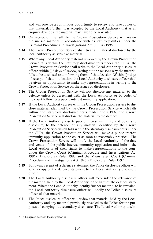and will provide a continuous opportunity to review and take copies of that material. Further, it is accepted by the Local Authority that as an enquiry develops, the material may have to be re-visited.

- **6.13** On receipt of the full file the Crown Prosecution Service will review the unused material in accordance with its statutory duties under the Criminal Procedure and Investigations Act (CPIA) 1996.
- **6.14** The Crown Prosecution Service shall treat all material disclosed by the local Authority as sensitive material.
- **6.15** Where any Local Authority material reviewed by the Crown Prosecution Service falls within the statutory disclosure tests under the CPIA, the Crown Prosecution Service shall write to the Local Authority disclosure officer, within [ ]\* days of review, setting out the reasons why the material falls to be disclosed and informing them of that decision. Within [ ]\* days of receipt of that notification, the Local Authority disclosure officer shall be given an opportunity to make any representations in writing to the Crown Prosecution Service on the issues of disclosure.
- **6.16** The Crown Prosecution Service will not disclose any material to the defence unless by agreement with the Local Authority or by order of the court following a public interest immunity application.
- **6.17** If the Local Authority agrees with the Crown Prosecution Service to disclose material identified by the Crown Prosecution Service which falls within the statutory disclosure tests under the CPIA, the Crown Prosecution Service will disclose the material to the defence.
- **6.18** If the Local Authority asserts public interest immunity and objects to disclosure, to the defence, of any material identified by the Crown Prosecution Service which falls within the statutory disclosure tests under the CPIA, the Crown Prosecution Service will make a public interest immunity application to the court as soon as reasonably practical. The Crown Prosecution Service will notify the Local Authority of the date and venue of the public interest immunity application and inform the Local Authority of their rights to make representations to the court under the Crown Court (Criminal Procedure and Investigations Act 1996) (Disclosure) Rules 1997 and the Magistrates' Court (Criminal Procedure and Investigations Act 1996) (Disclosure) Rules 1997.
- **6.19** Following receipt of a defence statement, the Police disclosure officer will send a copy of the defence statement to the Local Authority disclosure officer.
- **6.20** The Local Authority disclosure officer will reconsider the relevance of the material held by the Local Authority in the light of the defence statement. Where the Local Authority identify further material to be revealed, the Local Authority disclosure officer will notify the Police disclosure officer of that material.
- **6.21** The Police disclosure officer will review that material held by the Local Authority and any material previously revealed to the Police for the purposes of carrying out secondary disclosure. The Local Authority disclo-

<sup>\*</sup> To be agreed between local signatories.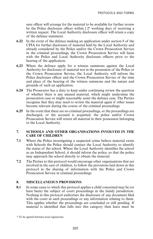sure officer will arrange for the material to be available for further review by the Police disclosure officer within [ ]\* working days of receiving a written request. The Local Authority disclosure officer will retain a copy of the defence statement.

- **6.22** In the event of the defence making an application under section 8 of the CPIA for further disclosure of material held by the Local Authority and already considered by the Police and/or the Crown Prosecution Service in the criminal proceedings, the Crown Prosecution Service will liaise with the Police and Local Authority disclosure officers prior to the hearing of the application.
- **6.23** Where the defence apply for a witness summons against the Local Authority for disclosure of material not in the possession of the Police or the Crown Prosecution Service, the Local Authority will inform the Police disclosure officer and the Crown Prosecution Service of the time and place of the hearing of the witness summons and the nature and grounds of such an application.
- **6.24** The Prosecutor has a duty to keep under continuing review the question of whether there is any unused material, which might undermine the prosecution case or might reasonably assist the defence case. The Parties recognise that they may need to review the material again if other issues become relevant during the course of the criminal proceedings.
- **6.25** In the event that there are no criminal proceedings, or the proceedings are discharged, or the accused is acquitted, the police and/or Crown Prosecution Service will return all material in their possession belonging to the Local Authority.

#### **7. SCHOOLS AND OTHER ORGANISATIONS INVOLVED IN THE CARE OF CHILDREN**

- **7.1** Where the Police investigating a suspected crime believe material exists with Schools the Police should contact the Local Authority to identify the status of the school. Where the Local Authority identifies the school as an Independent School, it should inform the police, so that the police may approach the school directly to obtain the material.
- **7.2** The Parties to this protocol would encourage other organisations that are involved in the care of children, to follow the provisions laid down in this protocol in the sharing of information with the Police and Crown Prosecution Service in criminal proceedings.

#### **8. MISCELLANEOUS PROVISIONS**

**8.1** In some cases to which this protocol applies a child concerned may be (or have been) the subject of court proceedings in the family jurisdiction. Nothing in this protocol authorises the disclosure of any document filed with the court in such proceedings or any information relating to them. This applies whether the proceedings are concluded or still pending. If material is identified that falls into this category then leave must be

<sup>\*</sup> To be agreed between local signatories.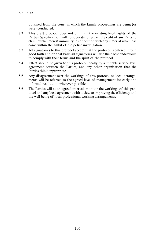obtained from the court in which the family proceedings are being (or were) conducted.

- **8.2** This draft protocol does not diminish the existing legal rights of the Parties. Specifically, it will not operate to restrict the right of any Party to claim public interest immunity in connection with any material which has come within the ambit of the police investigation.
- **8.3** All signatories to this protocol accept that the protocol is entered into in good faith and on that basis all signatories will use their best endeavours to comply with their terms and the spirit of the protocol.
- **8.4** Effect should be given to this protocol locally by a suitable service level agreement between the Parties, and any other organisation that the Parties think appropriate.
- **8.5** Any disagreement over the workings of this protocol or local arrangements will be referred to the agreed level of management for early and informal resolution, wherever possible.
- **8.6** The Parties will at an agreed interval, monitor the workings of this protocol and any local agreement with a view to improving the efficiency and the well being of local professional working arrangements.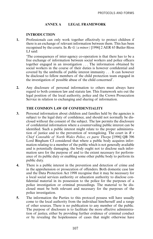#### **ANNEX A LEGAL FRAMEWORK**

#### **INTRODUCTION**

**1.** Professionals can only work together effectively to protect children if there is an exchange of relevant information between them. This has been recognised by the courts. In *Re G (a minor)* [1996] 2 AER 65 Butler-Sloss LJ said:

'The consequences of inter-agency co-operation is that there has to be a free exchange of information between social workers and police officers together engaged in an investigation . . . The information obtained by social workers in the course of their duties is however confidential and covered by the umbrella of public interest immunity . . . It can however be disclosed to fellow members of the child protection team engaged in the investigation of possible abuse of the child concerned'.

**2.** Any disclosure of personal information to others must always have regard to both common law and statute law. This framework sets out the legal position of the local authority, police and the Crown Prosecution Service in relation to exchanging and sharing of information.

#### **THE COMMON LAW OF CONFIDENTIALITY**

- **3.** Personal information about children and families held by the agencies is subject to the legal duty of confidence, and should not normally be disclosed without the consent of the subject. The law permits the disclosure of confidential information where a countervailing public interest can be identified. Such a public interest might relate to the proper administration of justice and to the prevention of wrongdoing. The court in *R v Chief Constable of North Wales Police, ex parte Thorpe* [1996] QB 396 Lord Bingham CJ considered that where a public body acquires information relating to a member of the public which is not generally available and is potentially damaging, the body ought not to disclose such information save for the purpose of and to the extent necessary for performance of its public duty or enabling some other public body to perform its public duty.
- **4.** There is a public interest in the prevention and detection of crime and in the apprehension or prosecution of offenders. Both domestic case law and the Data Protection Act 1998 recognise that it may be necessary for a local social services authority or education authority to disclose confidential material in its possession to the police for the purposes of a police investigation or criminal proceedings. The material to be disclosed must be both relevant and necessary for the purposes of the police investigation.
- **5.** The information the Parties to this protocol possess will have usually come to the local authority from the individual him/herself and a range of other sources. There is no publication to any member of the public. The purpose of disclosure is to facilitate the more effective administration of justice, either by providing further evidence of criminal conduct or by revealing the hopelessness of cases that might otherwise have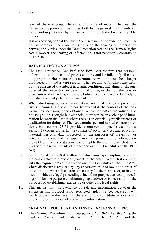reached the trial stage. Therefore, disclosure of material between the Parties to this protocol is permitted both by the general law on confidentiality and in particular by the law governing such disclosures by public bodies.

**6.** It is acknowledged that the law in the disclosure of confidential information is complex. There are restrictions on the sharing of information between the parties under the Data Protection Act and the Human Rights Act. However, the sharing of information is not necessarily contrary to these Acts.

#### **DATA PROTECTION ACT 1998**

- **7.** The Data Protection Act 1998 (the 1998 Act) requires that personal information is obtained and processed fairly and lawfully; only disclosed in appropriate circumstances; is accurate, relevant and not held longer than necessary; and is kept securely. The Act allows for disclosure without the consent of the subject in certain conditions, including for the purposes of the prevention or detection of crime, or the apprehension or prosecution of offenders, and where failure to disclose would be likely to prejudice those objectives in a particular case.
- **8.** When disclosing personal information, many of the data protection issues surrounding disclosure can be avoided if the consent of the individual has been sought and obtained. Where consent of the individual is not sought, or is sought but withheld, there can be an exchange of information between the Parties where there is an overriding public interest or justification for doing so. The Act contains general non-disclosure provisions, but sections 27–31 provide a number of specific exemptions. Section 29 covers crime. In the context of social services and education material, personal data processed for the purposes of prevention or detection of crime and the apprehension or prosecution of offenders is exempt from the first data principle (except to the extent to which it complies with the requirements of the second and third schedules of the 1998 Act).
- **9.** Section 35 of the 1998 Act allows for disclosure by exempting data from the non-disclosure provisions (except to the extent to which it complies with the requirements of the second and third schedules of the 1998 Act), where disclosure is required by any enactment, rule of law, or an order of the court and, where disclosure is necessary for the purpose of, or in connection with, any legal proceedings (including prospective legal proceedings), or for the purpose of obtaining legal advice or is necessary for the purposes of establishing, exercising or defending legal rights.
- **10.** This means that the exchange of relevant information between the Parties in this protocol is not restricted under the Act because it will nearly always be the case that the exemptions constitute an overriding public interest in favour of sharing the information.

#### **CRIMINAL PROCEDURE AND INVESTIGATIONS ACT 1996**

**11.** The Criminal Procedure and Investigations Act 1996 (the 1996 Act), the Code of Practice made under section 23 of the 1996 Act, and the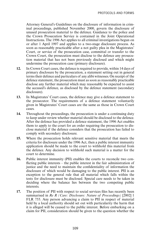Attorney General's Guidelines on the disclosure of information in criminal proceedings, published November 2000, govern the disclosure of unused prosecution material to the defence. Guidance to the police and the Crown Prosecution Service is contained in the Joint Operational Instructions. The 1996 Act applies to all criminal investigations begun on or after 1 April 1997 and applies to a two-stage disclosure process. As soon as reasonably practicable after a not guilty plea in the Magistrates' Court, or service of the prosecution case, committal or transfer to the Crown Court, the prosecution must disclose to the defence any prosecution material that has not been previously disclosed and which might undermine the prosecution case (primary disclosure).

- **12.** In Crown Court cases, the defence is required to provide, within 14 days of primary disclosure by the prosecution, a statement setting out in general terms their defence and particulars of any alibi witnesses. On receipt of the defence statement, the prosecution must as soon as reasonably practicable disclose any further material which may reasonably be expected to assist the accused's defence, as disclosed by the defence statement (secondary disclosure).
- **13.** In Magistrates' Court cases, the defence may give a defence statement to the prosecutor. The requirements of a defence statement voluntarily given in Magistrates' Court cases are the same as those in Crown Court cases.
- 14. Throughout the proceedings, the prosecution is under a continuing duty to keep under review whether material should be disclosed to the defence. After the defence has provided a defence statement, the 1996 Act enables them to apply to the court for an order requiring the prosecution to disclose material if the defence considers that the prosecution has failed to comply with secondary disclosure.
- **15.** Where the prosecution holds relevant sensitive material that meets the criteria for disclosure under the 1996 Act, then a public interest immunity application should be made to the court to withhold this material from the defence. Any decision to withhold such material is a matter for the court to determine.
- **16.** Public interest immunity (PII) enables the courts to reconcile two conflicting public interests – the public interest in the fair administration of justice and the need to maintain the confidentiality of information the disclosure of which would be damaging to the public interest. PII is an exception to the general rule that all material which falls within the tests for disclosure must be disclosed. Special care needs to be taken in deciding where the balance lies between the two competing public interests.
- **17.** The position of PII with respect to social services files has recently been summarised in *Re R (Care: Disclosure: Nature of Proceedings)* [2002] 1 FLR 755. Any person advancing a claim to PII in respect of material held by a local authority should set out with particularity the harm that it is alleged will be caused to the public interest. Before embarking on a claim for PII, consideration should be given to the question whether the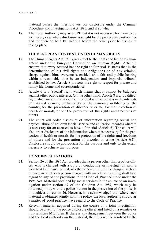material passes the threshold test for disclosure under the Criminal Procedure and Investigations Act 1996, and if so why.

**18.** The Local Authority may assert PII but it is not necessary for them to do so in every case where disclosure is sought by the prosecuting authorities and for there to be a PII hearing before the court prior to disclosure taking place.

#### **THE EUROPEAN CONVENTION ON HUMAN RIGHTS**

- **19.** The Human Rights Act 1998 gives effect to the rights and freedoms guaranteed under the European Convention on Human Rights. Article 6 ensures that every accused has the right to fair trial. It states that in the determination of his civil rights and obligations or of any criminal charge against him, everyone is entitled to a fair and public hearing within a reasonable time by an independent and impartial tribunal established by law. Article 8 protects the right to respect for private and family life, home and correspondence.
- **20.** Article 6 is a 'special' right which means that it cannot be balanced against other public interests. On the other hand, Article 8 is a 'qualified' right which means that it can be interfered with where it is in the interests of national security, public safety or the economic well-being of the country, for the prevention of disorder or crime, for the protection of health or morals, or for the protection of the rights and freedoms of others.
- **21.** The court will order disclosure of information regarding sexual and physical abuse of children (social service and education records) where it is necessary for an accused to have a fair trial (Article 6). The court will also order disclosure of the information where it is necessary for the protection of health or morals, for the protection of the rights and freedoms of others and for the prevention of disorder or crime (Article 8(2)). Disclosure should be appropriate for the purpose and only to the extent necessary to achieve that purpose.

#### **JOINT INVESTIGATIONS**

- **22.** Section 26 of the 1996 Act provides that a person other than a police officer, who is charged with a duty of conducting an investigation with a view to it being ascertained, whether a person should be charged with an offence, or whether a person charged with an offence is guilty, shall have regard to any of the provisions in the Code of Practice made under the 1996 Act. Material obtained by social services in the course of an investigation under section 47 of the Children Act 1989, which may be obtained jointly with the police, but not in the possession of the police, is not subject to section 26. However, it is acknowledged that where such material is obtained jointly with the police, the local authority should as a matter of good practice, have regard to the Code of Practice.
- **23.** Relevant material acquired during the course of a joint investigation should be given to the police disclosure officer and listed on a sensitive or non-sensitive MG form. If there is any disagreement between the police and the local authority on the material, then this will be resolved by the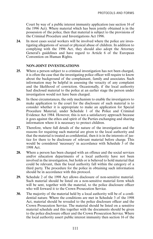Court by way of a public interest immunity application (see section 16 of the 1996 Act). Where material which has been jointly obtained is in the possession of the police, then that material is subject to the provisions of the Criminal Procedure and Investigations Act 1996.

**24.** In most cases social workers will be involved where the police are investigating allegations of sexual or physical abuse of children. In addition to complying with the 1996 Act, they should also adopt the Attorney General's guidelines and have regard to Article 6 of the European Convention on Human Rights.

#### **NON-JOINT INVESTIGATIONS**

- **25.** Where a person subject to a criminal investigation has not been charged, it is often the case that the investigating police officer will require to know about the background of the complainant, family and associates. Such information may be helpful in assessing the veracity of any complaint and the likelihood of conviction. Occasionally, if the local authority had disclosed material to the police at an earlier stage the person under investigation would not have been charged.
- **26.** In these circumstances, the only mechanism to enable the investigators to make application to the court for the disclosure of such material is to consider whether it is appropriate to make an application for Special Procedure Material, under Schedule 1 of the Police and Criminal Evidence Act 1984. However, this is not a satisfactory approach because it goes against the ethos and spirit of the Parties exchanging and sharing information where it is necessary to protect children.
- **27.** Therefore, where full details of the nature of the investigation and the reasons for requiring such material are given to the local authority and that the material is treated as confidential, then it is in the interests of justice for there to be disclosure of relevant material before charge. This would be considered 'necessary' in accordance with Schedule 3 of the 1998 Act.
- **28.** Where a person has been charged with an offence and the social services and/or education departments of a local authority have not been involved in the investigation, but holds or is believed to hold material that could be relevant, then the local authority fall within the category of a third party. The procedure for the police in obtaining such information should be in accordance with this protocol.
- **29.** Schedule 2 of the 1998 Act allows disclosure of non-sensitive material. Such material should be listed on a non-sensitive material form which will be sent, together with the material, to the police disclosure officer who will forward it to the Crown Prosecution Service.
- **30.** The majority of the material held by a local authority will be of a confidential nature. Where the conditions are met in Schedule 3 of the 1998 Act, material should be revealed to the police disclosure officer and the Crown Prosecution Service. The material should be listed on a sensitive material schedule and this together with the documents should be given to the police disclosure officer and the Crown Prosecution Service. Where the local authority assert public interest immunity then section 16 of the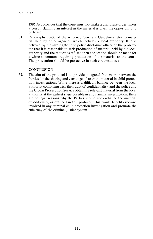1996 Act provides that the court must not make a disclosure order unless a person claiming an interest in the material is given the opportunity to be heard.

**31.** Paragraphs 30–33 of the Attorney General's Guidelines refer to material held by other agencies, which includes a local authority. If it is believed by the investigator, the police disclosure officer or the prosecutor that it is reasonable to seek production of material held by the local authority and the request is refused then application should be made for a witness summons requiring production of the material to the court. The prosecution should be pro-active in such circumstances.

### **CONCLUSION**

**32.** The aim of the protocol is to provide an agreed framework between the Parties for the sharing and exchange of relevant material in child protection investigations. While there is a difficult balance between the local authority complying with their duty of confidentiality, and the police and the Crown Prosecution Service obtaining relevant material from the local authority at the earliest stage possible in any criminal investigation, there are no legal reasons why the Parties should not exchange the material expeditiously, as outlined in this protocol. This would benefit everyone involved in any criminal child protection investigation and promote the efficiency of the criminal justice system.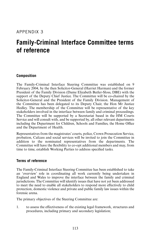# APPENDIX 3

# **Family-Criminal Interface Committee terms of reference**

### **Composition**

The Family-Criminal Interface Steering Committee was established on 9 February 2004, by the then Solicitor-General (Harriet Harman) and the former President of the Family Division (Dame Elizabeth Butler-Sloss, DBE) with the support of the Deputy Chief Justice. The Committee will be co-chaired by the Solicitor-General and the President of the Family Division. Management of the Committee has been delegated to its Deputy Chair, the Hon Mr Justice Hedley. The membership of the Committee will be representative of the key stakeholders involved in the interface between family and criminal proceedings. The Committee will be supported by a Secretariat based in the HM Courts Service and will consult with, and be supported by, all other relevant departments including the Department for Children, Schools and Families, the Home Office and the Department of Health.

Representatives from the magistrates' courts, police, Crown Prosecution Service, probation, Cafcass and social services will be invited to join the Committee in addition to the nominated representatives from the departments. The Committee will have the flexibility to co-opt additional members and may, from time to time, establish Working Parties to address specified tasks.

#### **Terms of reference**

The Family-Criminal Interface Steering Committee has been established to take an 'overview' role in coordinating all work currently being undertaken in England and Wales to improve the interface between the family and criminal jurisdictions. The Committee will identify issues that have not yet been addressed to meet the need to enable all stakeholders to respond more effectively to child protection, domestic violence and private and public family law issues within the forensic arena.

The primary objectives of the Steering Committee are:

1. to assess the effectiveness of the existing legal framework, structures and procedures, including primary and secondary legislation;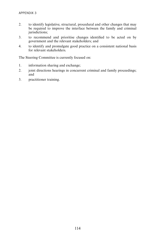- 2. to identify legislative, structural, procedural and other changes that may be required to improve the interface between the family and criminal jurisdictions;
- 3. to recommend and prioritise changes identified to be acted on by government and the relevant stakeholders; and
- 4. to identify and promulgate good practice on a consistent national basis for relevant stakeholders.

The Steering Committee is currently focused on:

- 1. information sharing and exchange;
- 2. joint directions hearings in concurrent criminal and family proceedings; and
- 3. practitioner training.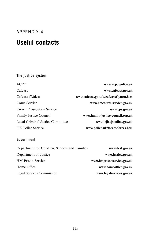# APPENDIX 4

# **Useful contacts**

# **The justice system**

| <b>ACPO</b>                       | www.acpo.police.uk                  |
|-----------------------------------|-------------------------------------|
| Cafcass                           | www.cafcass.gov.uk                  |
| Cafcass (Wales)                   | www.cafcass.gov.uk/cafcassCymru.htm |
| Court Service                     | www.hmcourts-service.gov.uk         |
| Crown Prosecution Service         | www.cps.gov.uk                      |
| Family Justice Council            | www.family-justice-council.org.uk   |
| Local Criminal Justice Committees | www.lcjb.cjsonline.gov.uk           |
| UK Police Service                 | www.police.uk/forces/forces.htm     |

## **Government**

| Department for Children, Schools and Families | www.dcsf.gov.uk            |
|-----------------------------------------------|----------------------------|
| Department of Justice                         | www.justice.gov.uk         |
| <b>HM Prison Service</b>                      | www.hmprisonservice.gov.uk |
| Home Office                                   | www.homeoffice.gov.uk      |
| Legal Services Commission                     | www.legalservices.gov.uk   |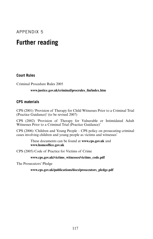# APPENDIX 5

# **Further reading**

## **Court Rules**

Criminal Procedure Rules 2005

#### **www.justice.gov.uk/criminal/procrules\_fin/index.htm**

### **CPS materials**

CPS (2001) 'Provision of Therapy for Child Witnesses Prior to a Criminal Trial (Practice Guidance)' (to be revised 2007)

CPS (2002) 'Provision of Therapy for Vulnerable or Intimidated Adult Witnesses Prior to a Criminal Trial (Practice Guidance)'

CPS (2006) 'Children and Young People – CPS policy on prosecuting criminal cases involving children and young people as victims and witnesses'

> These documents can be found at **www.cps.gov.uk** and **www.homeoffice.gov.uk**

CPS (2005) Code of Practice for Victims of Crime

**www.cps.gov.uk/victims\_witnesses/victims\_code.pdf**

The Prosecutors' Pledge

**www.cps.gov.uk/publications/docs/prosecutors\_pledge.pdf**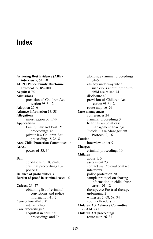# **Index**

**Achieving Best Evidence (ABE) interview** 5, 54, 58 **ACPO Police/Family Disclosure Protocol** 39, 85–100 **Acquittal** 76 **Admissions** provision of Children Act section 98 61–2 **Adoption** 25–6 **Advance information** 13, 38 **Allegations** investigation of 17–9 **Applications** Family Law Act Part IV proceedings 32 private law Children Act proceedings 2, 26–8 **Area Child Protection Committees** 14 **Arrest** power of 33, 34

#### **Bail**

conditions 5, 10, 79–80 criminal proceedings 10–1 police 10 **Balance of probabilities** 3 **Burden of proof in criminal cases** 16

**Cafcass** 26, 27 obtaining list of criminal convictions and police information 41–2 **Care orders** 20–1, 30 interim 22–3 **Care proceedings** 5 acquittal in criminal proceedings and 76

alongside criminal proceedings 74–5 already underway when suspicions about injuries to child are raised 74 disclosure 40 provision of Children Act section 98 61–2 route map 16–26 **Case management** conferences 24 criminal proceedings 3 hearings *see* Joint case management hearings Judicial Case Management Protocol 2, 16 **Caution** interview under 9 **Charges** criminal proceedings 10 **Children** abuse 1, 5 assessment 23 contact *see* Pre-trial contact interviews 19 police protection 20 sample protocol on sharing information in child abuse cases 101–12 therapy *see* Pre-trial therapy upbringing 2 witnesses 5, 68, 69, 94 young offenders 12 **Children Act Advisory Committee (CAAC)** 47 **Children Act proceedings** route map 26–31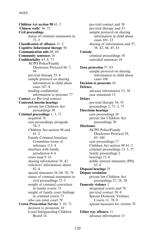**Children Act section 98** 61–2 **'Chinese walls'** 36, 72 **Civil proceedings** status of criminal statements in  $72-3$ **Classification of offences** 11–2 **Cognitive behavioural therapy** 56 **Communication aids** 68, 69 **Community sentences** 16 **Confidentiality** 63–4, 71 ACPO Police/Family Disclosure Protocol 86–7, 94 pre-trial therapy 55–6 sample protocol on sharing information in child abuse cases 107–8 sending confidential information to prisoner 77 **Contact** *see* Pre-trial contact **Contested interim hearings** private law Children Act proceedings 30 **Criminal proceedings** 1, 3, 71 acquittal 76 care proceedings alongside 74–5 Children Act section 98 and  $61-2$ Family-Criminal Interface Committee terms of reference 113–4 interface with family jurisdiction 4–6 route map 9–16 sharing information 36–42 solicitors' information sheets 82–4 special measures 16, 68–70, 78 status of criminal statements in civil proceedings 72–3 weight of criminal conviction in family courts 73 weight of family court findings in criminal courts 73 who can enter court 79 **Crown Prosecution Service** 3, 10, 71 decision to prosecute 10 Local Safeguarding Children Board 14

pre-trial contact and 58 pre-trial therapy and 53 sample protocol on sharing information in child abuse cases 101–12 sharing of information and 37, 38, 42, 44, 45, 63 **Custody** criminal proceedings 10 custodial sentences 16 **Data protection** 37, 63 sample protocol on sharing information in child abuse cases 108 **Decision to prosecute** 10 **Defence** advance information 13, 38 case statement 13 **Delays** pre-trial therapy 54, 55 proceedings 2, 71–2, 75 **Directions hearings** care proceedings 24 private law Children Act proceedings 30 **Disclosure** ACPO Police/Family Disclosure Protocol 39, 85–100 care proceedings 17 Children Act section 98 61–2 criminal proceedings 13–5, 37 family proceedings 2 hearings 15–6 public interest immunity (PII) 63–6 **Disposal hearings** 25 **Dispute resolution** private law Children Act proceedings 27, 28, 30 **Domestic violence** 1 integrated courts and 78 pre-trial contact 58–9 Special Domestic Violence Courts 11, 78–9 special measures for victims 78 **Either way offences** 11

advance information 13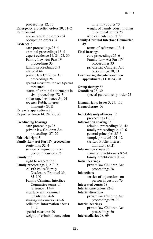proceedings 12, 13 **Emergency protection orders** 20, 21–2 **Enforcement** non-molestation orders 34 occupation orders 34 **Evidence** 5 care proceedings 23–4 criminal proceedings 13–5 expert evidence 14, 24, 25, 30 Family Law Act Part IV proceedings 33 family proceedings 2–3 material 64 private law Children Act proceedings 28 special measures for *see* Special measures status of criminal statements in civil proceedings 72–3 video-taped evidence 54, 94 *see also* Public interest immunity (PII) **Ex parte applications** 26 **Expert evidence** 14, 24, 25, 30

**Fact-finding hearings** care proceedings 25 private law Children Act proceedings 27, 29 **Fair trial right** 3 **Family Law Act Part IV proceedings** route map 32–4 service of injunctions on person in custody 76 **Family life** right to respect for 3 **Family proceedings** 1, 2–3, 71 ACPO Police/Family Disclosure Protocol 39, 85–100 Family-Criminal Interface Committee terms of reference 113–4 interface with criminal jurisdiction 4–6 sharing information 42–6 solicitors' information sheets 81–2 special measures 70 weight of criminal conviction

in family courts 73 weight of family court findings in criminal courts 73 who can enter court 79 **Family-Criminal Interface Committee** 49 terms of reference 113–4 **Final hearings** care proceedings 25–6 Family Law Act Part IV proceedings 33 private law Children Act proceedings 28, 31 **First hearing dispute resolution appointment (FHDRA)** 28

**Group therapy** 56 **Guardians** 23, 30 special guardianship order 25

**Human rights issues** 3, 37, 110 **Hypnotherapy** 56

**Indictable only offences** 12 proceedings 12, 13 **Information sharing** 35 criminal proceedings 36–42 family proceedings 2, 42–6 general principles 35–6 sample protocol 101–12 *see also* Public interest immunity (PII) **Information sheets** 36 criminal practitioners 82–4 family practitioners 81–2 **Initial hearings** private law Children Act proceedings 28 **Injunctions** service of injunctions on person in custody 76 **Integrated courts** 78 **Interim care orders** 22–3 **Interim directions** private law Children Act proceedings 29–30 **Interim hearings** private law Children Act proceedings 30 **Intermediaries** 68, 69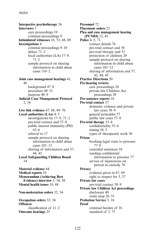**Interpretive psychotherapy** 56 **Interviews** 5 care proceedings 19 criminal proceedings 9 **Intimidated witnesses** 16, 53, 68, 69 **Investigations** 4 criminal proceedings 9–10 delays 71–2 local authorities (LA) 17–9,  $71-2$ sample protocol on sharing information in child abuse cases 110–2 **Joint case management hearings** 41,

46 background 47–8 procedure 49–51 purpose 48–9 **Judicial Case Management Protocol** 2, 16 **Live link evidence** 67, 68, 69–70 **Local authorities (LAs)** 4–5 investigations by 17–9, 71–2 pre-trial contact and 57–8 public interest immunity (PII) 63–6 referral to 17 sample protocol on sharing information in child abuse cases 101–12 sharing of information and 37, 44, 45 **Local Safeguarding Children Board** 14

**Material evidence** 64 **Medical reports** 16 **Memorandum (Achieving Best Evidence) interview** 5, 54, 58 **Mental health issues** 10, 68

**Non-molestation orders** 32, 34

**Occupation orders** 32, 34 **Offences** classification of 11–2 **Outcome hearings** 25

**Personnel** 72 **Placement orders** 25 **Plea and case management hearing (PCMH)** 12, 41 **Police** 4–5, 71 contact details 76 pre-trial contact and 58 pre-trial therapy and 53 protection of children 20 sample protocol on sharing information in child abuse cases 101–12 sharing of information and 37, 42, 44, 45 **Practice Directions** 50 **Pre-hearing reviews** care proceedings 24 private law Children Act proceedings 30 **Pre-sentence reports** 16 **Pre-trial contact** 57 domestic violence and private law cases 58–9 general principles 57 public law cases 57–8 **Pre-trial therapy** 53–4 confidentiality 55–6 timing 54–5 types of therapeutic work 56 **Prison** booking legal visits to prisoner 77–8 custodial sentences 16 sending confidential information to prisoner 77 service of injunctions on person in custody 76 **Privacy** evidence given in 67, 69 right to respect for 3, 37 **Private law cases** pre-trial contact 58–9 **Private law Children Act proceedings** disclosure 40 route map 26–31 **Probation Service** 3, 16 **Proof** criminal burden of 16 standard of 3, 73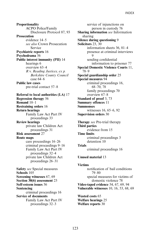**Proportionality** ACPO Police/Family Disclosure Protocol 87, 93 **Prosecution** evidence 14–5 *see also* Crown Prosecution Service **Psychiatric reports** 16 **Psychodrama** 56 **Public interest immunity (PII)** 14 hearings 6 overview 63–4 *R* v. *Reading Justices, ex p. Berkshire County Council* case 64–6 **Public law cases** pre-trial contact 57–8 **Referral to local authorities (LA)** 17 **Regression therapy** 56 **Remand** 10–1 **Restraining orders** 16 **Return hearings** Family Law Act Part IV proceedings 33 **Review hearings** private law Children Act proceedings 31 **Risk assessment** 27 **Route maps** care proceedings 16–26 criminal proceedings 9–16 Family Law Act Part IV proceedings 32–4 private law Children Act proceedings 26–31 **Safety** *see* Special measures **Schools** 105 **Screening witnesses** 67, 69 **Section 38(6) assessment** 23 **Self-esteem issues** 56 **Sentencing** criminal proceedings 16 **Service of documents** Family Law Act Part IV proceedings 32–3

service of injunctions on person in custody 76 **Sharing information** *see* Information sharing **Silence during questioning** 9 **Solicitors** 23, 30 information sheets 36, 81–4 presence at criminal interviews 9 sending confidential information to prisoner 77 **Special Domestic Violence Courts** 11, 78–9 **Special guardianship order** 25 **Special measures** 94 criminal proceedings 16, 68–70, 78 family proceedings 70 overview 67–8 **Standard of proof** 3, 73 **Summary offences** 11 **Summonses** witnesses 16, 65–6, 92 **Supervision orders** 30

**Therapy** *see* Pre-trial therapy **Third parties** evidence from 15 **Time limits** criminal proceedings 3 detention 10 **Trials** criminal proceedings 16

#### **Unused material** 13

**Victims** notification of bail conditions 79–80 special measures for victims of domestic violence 78 **Video-taped evidence** 54, 67, 69, 94 **Vulnerable witnesses** 10, 16, 53, 68, 69

**Wasted costs** 65 **Welfare hearings** 25 **Welfare reports** 30